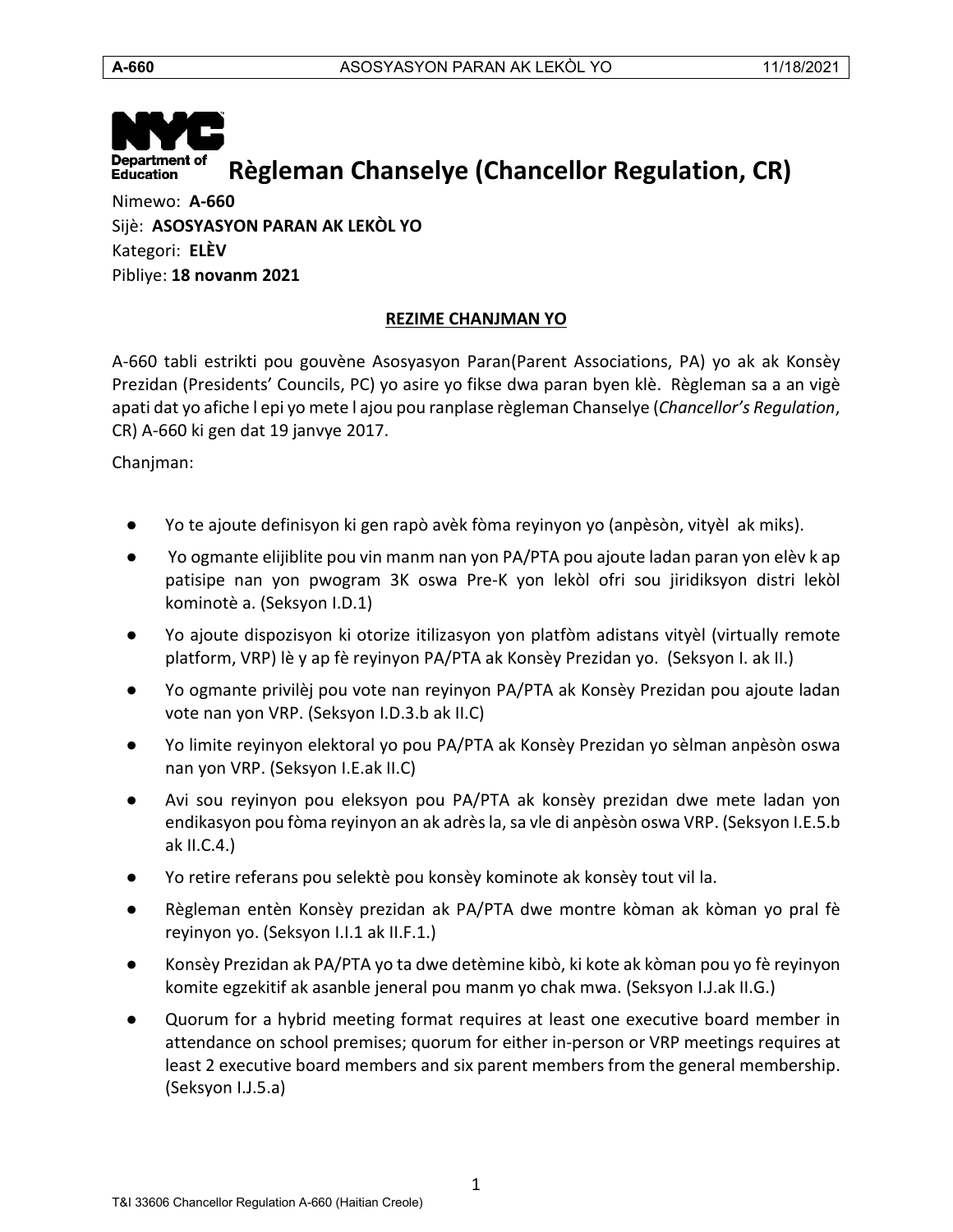

Nimewo: **A-660** Sijè: **ASOSYASYON PARAN AK LEKÒL YO** Kategori: **ELÈV** Pibliye: **18 novanm 2021**

# **REZIME CHANJMAN YO**

<span id="page-0-0"></span>A-660 tabli estrikti pou gouvène Asosyasyon Paran(Parent Associations, PA) yo ak ak Konsèy Prezidan (Presidents' Councils, PC) yo asire yo fikse dwa paran byen klè. Règleman sa a an vigè apati dat yo afiche l epi yo mete l ajou pou ranplase règleman Chanselye (*Chancellor's Regulation*, CR) A-660 ki gen dat 19 janvye 2017.

Chanjman:

- Yo te ajoute definisyon ki gen rapò avèk fòma reyinyon yo (anpèsòn, vityèl ak miks).
- Yo ogmante elijiblite pou vin manm nan yon PA/PTA pou ajoute ladan paran yon elèv k ap patisipe nan yon pwogram 3K oswa Pre-K yon lekòl ofri sou jiridiksyon distri lekòl kominotè a. (Seksyon I.D.1)
- Yo ajoute dispozisyon ki otorize itilizasyon yon platfòm adistans vityèl (virtually remote platform, VRP) lè y ap fè reyinyon PA/PTA ak Konsèy Prezidan yo. (Seksyon I. ak II.)
- Yo ogmante privilèj pou vote nan reyinyon PA/PTA ak Konsèy Prezidan pou ajoute ladan vote nan yon VRP. (Seksyon I.D.3.b ak II.C)
- Yo limite reyinyon elektoral yo pou PA/PTA ak Konsèy Prezidan yo sèlman anpèsòn oswa nan yon VRP. (Seksyon I.E.ak II.C)
- Avi sou reyinyon pou eleksyon pou PA/PTA ak konsèy prezidan dwe mete ladan yon endikasyon pou fòma reyinyon an ak adrès la, sa vle di anpèsòn oswa VRP. (Seksyon I.E.5.b ak II.C.4.)
- Yo retire referans pou selektè pou konsèy kominote ak konsèy tout vil la.
- Règleman entèn Konsèy prezidan ak PA/PTA dwe montre kòman ak kòman yo pral fè reyinyon yo. (Seksyon I.I.1 ak II.F.1.)
- Konsèy Prezidan ak PA/PTA yo ta dwe detèmine kibò, ki kote ak kòman pou yo fè reyinyon komite egzekitif ak asanble jeneral pou manm yo chak mwa. (Seksyon I.J.ak II.G.)
- Quorum for a hybrid meeting format requires at least one executive board member in attendance on school premises; quorum for either in-person or VRP meetings requires at least 2 executive board members and six parent members from the general membership. (Seksyon I.J.5.a)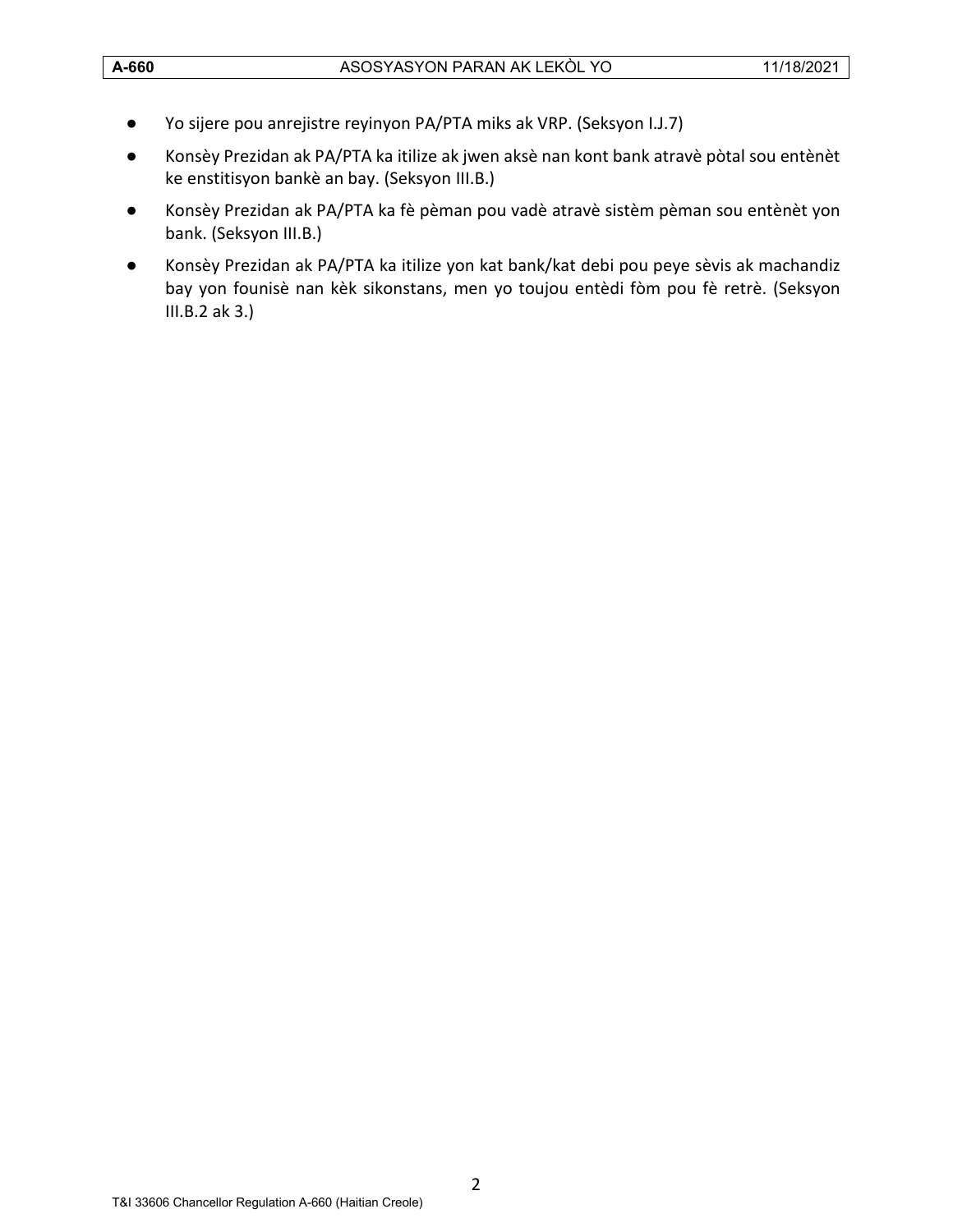- Yo sijere pou anrejistre reyinyon PA/PTA miks ak VRP. (Seksyon I.J.7)
- Konsèy Prezidan ak PA/PTA ka itilize ak jwen aksè nan kont bank atravè pòtal sou entènèt ke enstitisyon bankè an bay. (Seksyon III.B.)
- Konsèy Prezidan ak PA/PTA ka fè pèman pou vadè atravè sistèm pèman sou entènèt yon bank. (Seksyon III.B.)
- Konsèy Prezidan ak PA/PTA ka itilize yon kat bank/kat debi pou peye sèvis ak machandiz bay yon founisè nan kèk sikonstans, men yo toujou entèdi fòm pou fè retrè. (Seksyon III.B.2 ak 3.)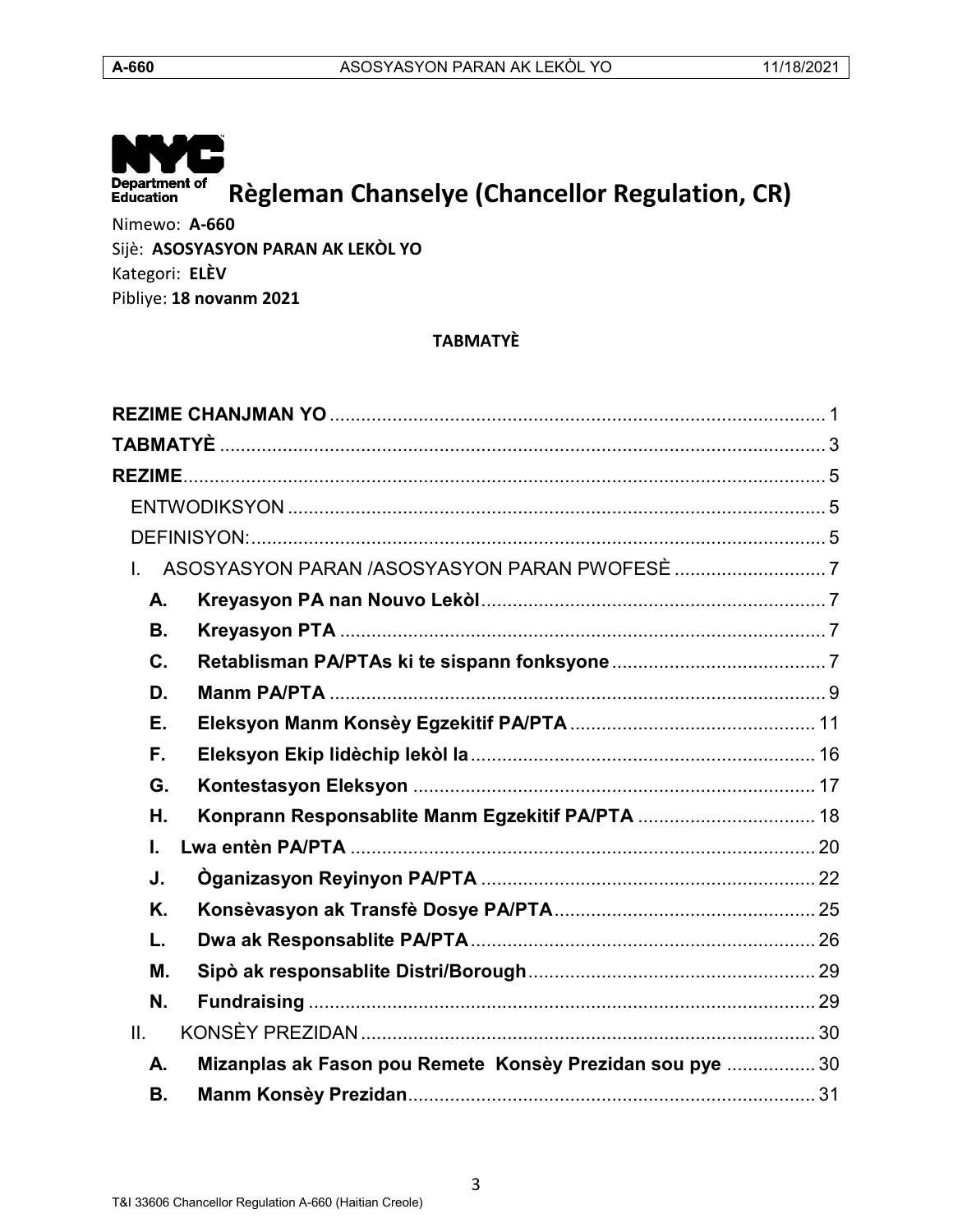

Nimewo: **A-660** Sijè: **ASOSYASYON PARAN AK LEKÒL YO** Kategori: **ELÈV**

<span id="page-2-0"></span>Pibliye: **18 novanm 2021**

# **TABMATYÈ**

| А.             |                                                           |  |
|----------------|-----------------------------------------------------------|--|
| <b>B.</b>      |                                                           |  |
| $\mathbf{C}$ . |                                                           |  |
| D.             |                                                           |  |
| Ε.             |                                                           |  |
| F.             |                                                           |  |
| G.             |                                                           |  |
| Η.             | Konprann Responsablite Manm Egzekitif PA/PTA  18          |  |
| I.             |                                                           |  |
| J.             |                                                           |  |
| Κ.             |                                                           |  |
| L.             |                                                           |  |
| М.             |                                                           |  |
| N.             |                                                           |  |
| II.            |                                                           |  |
| А.             | Mizanplas ak Fason pou Remete Konsèy Prezidan sou pye  30 |  |
| <b>B.</b>      |                                                           |  |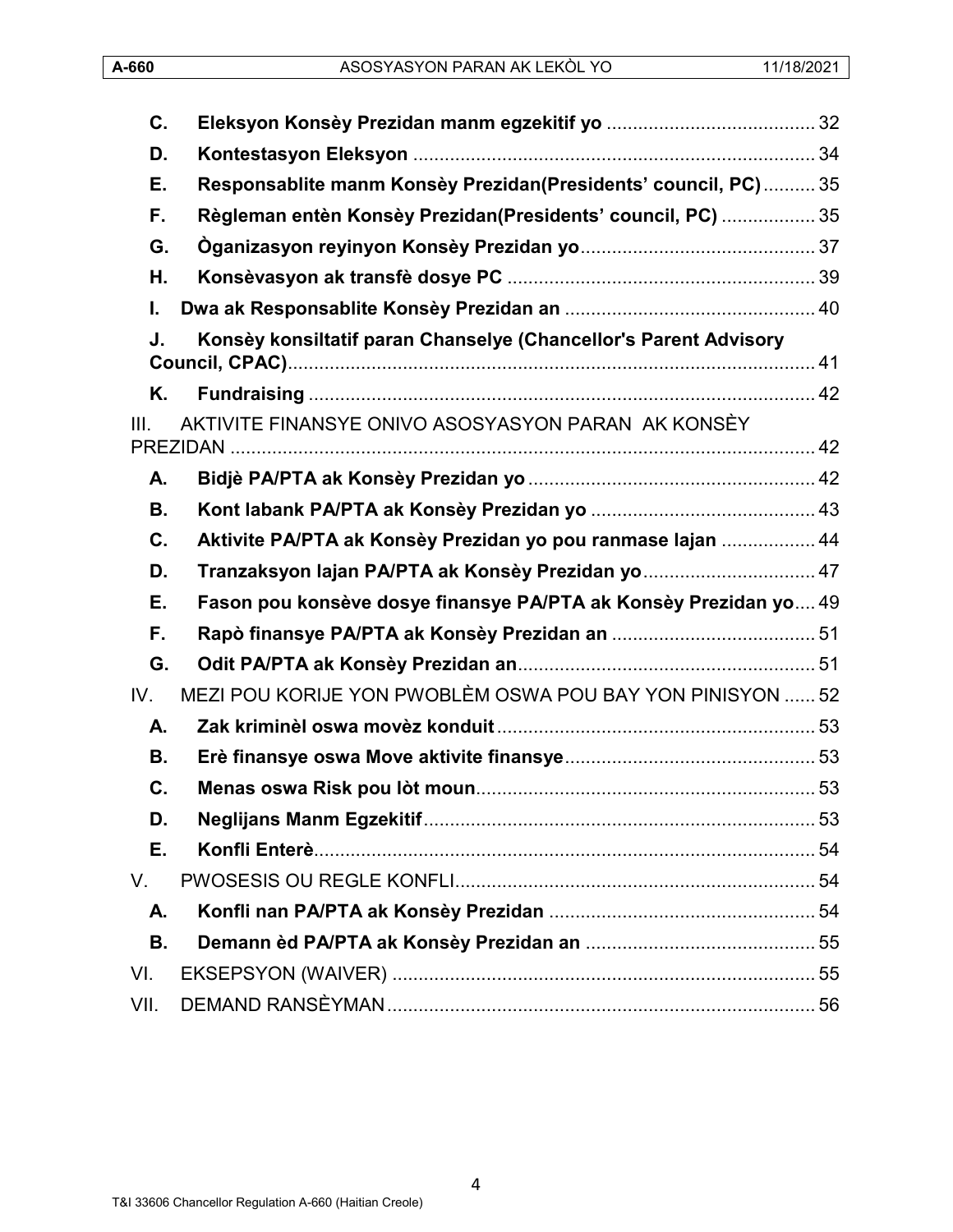| C.   |                                                                  |  |
|------|------------------------------------------------------------------|--|
| D.   |                                                                  |  |
| Е.   | Responsablite manm Konsèy Prezidan(Presidents' council, PC) 35   |  |
| F.   | Règleman entèn Konsèy Prezidan(Presidents' council, PC)  35      |  |
| G.   |                                                                  |  |
| Н.   |                                                                  |  |
| I.   |                                                                  |  |
| J.   | Konsèy konsiltatif paran Chanselye (Chancellor's Parent Advisory |  |
| Κ.   |                                                                  |  |
| III. | AKTIVITE FINANSYE ONIVO ASOSYASYON PARAN AK KONSÈY               |  |
| А.   |                                                                  |  |
| В.   |                                                                  |  |
| C.   | Aktivite PA/PTA ak Konsèy Prezidan yo pou ranmase lajan  44      |  |
| D.   | Tranzaksyon lajan PA/PTA ak Konsèy Prezidan yo  47               |  |
| Е.   | Fason pou konsève dosye finansye PA/PTA ak Konsèy Prezidan yo 49 |  |
| F.   |                                                                  |  |
| G.   |                                                                  |  |
| IV.  | MEZI POU KORIJE YON PWOBLÈM OSWA POU BAY YON PINISYON  52        |  |
| А.   |                                                                  |  |
| В.   |                                                                  |  |
| C.   |                                                                  |  |
| D.   |                                                                  |  |
| Е.   |                                                                  |  |
| V.   |                                                                  |  |
| А.   |                                                                  |  |
| В.   |                                                                  |  |
| VI.  |                                                                  |  |
| VII. |                                                                  |  |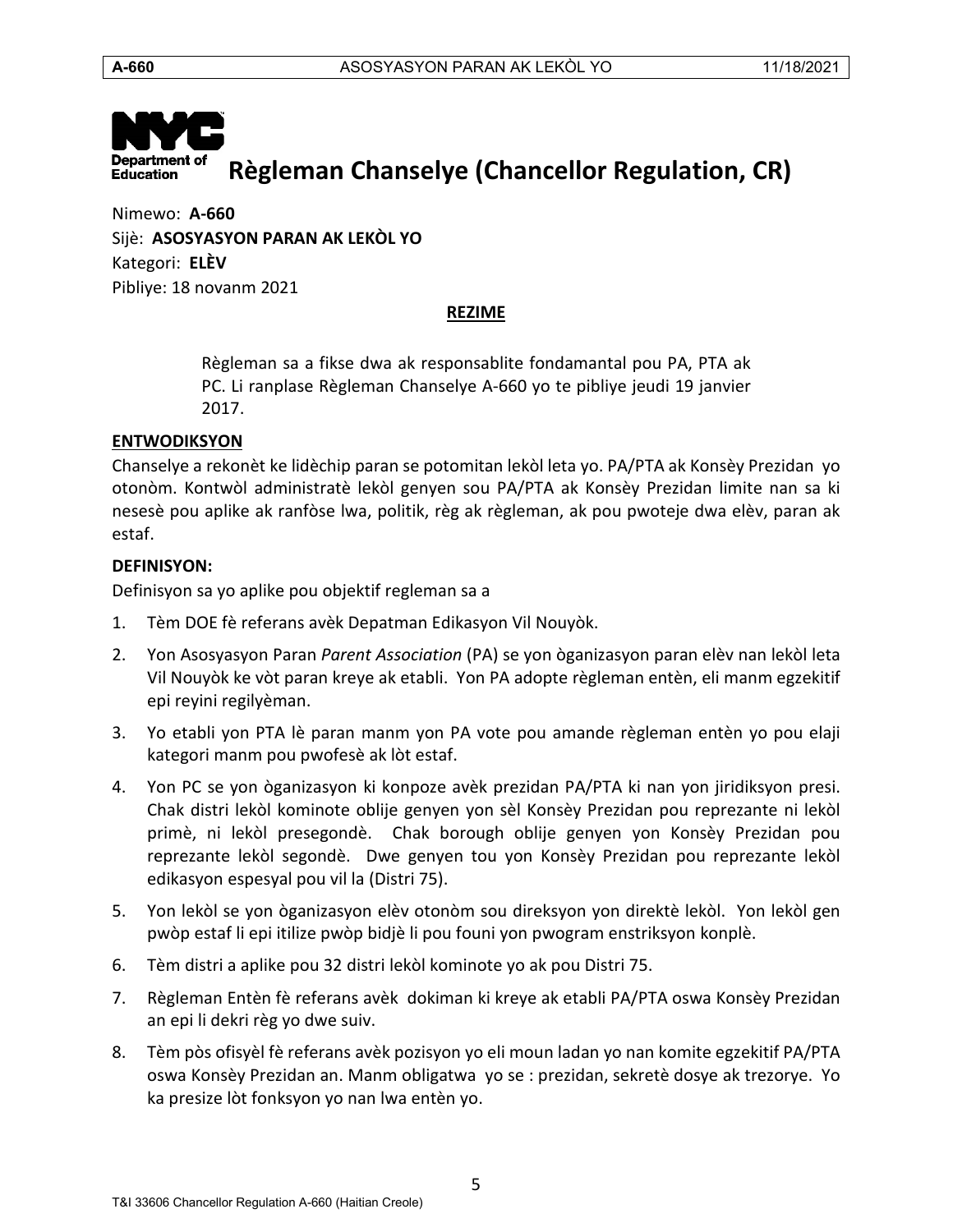

<span id="page-4-0"></span>Nimewo: **A-660** Sijè: **ASOSYASYON PARAN AK LEKÒL YO** Kategori: **ELÈV** Pibliye: 18 novanm 2021

#### **REZIME**

Règleman sa a fikse dwa ak responsablite fondamantal pou PA, PTA ak PC. Li ranplase Règleman Chanselye A-660 yo te pibliye jeudi 19 janvier 2017.

#### <span id="page-4-1"></span>**ENTWODIKSYON**

Chanselye a rekonèt ke lidèchip paran se potomitan lekòl leta yo. PA/PTA ak Konsèy Prezidan yo otonòm. Kontwòl administratè lekòl genyen sou PA/PTA ak Konsèy Prezidan limite nan sa ki nesesè pou aplike ak ranfòse lwa, politik, règ ak règleman, ak pou pwoteje dwa elèv, paran ak estaf.

#### <span id="page-4-2"></span>**DEFINISYON:**

Definisyon sa yo aplike pou objektif regleman sa a

- 1. Tèm DOE fè referans avèk Depatman Edikasyon Vil Nouyòk.
- 2. Yon Asosyasyon Paran *Parent Association* (PA) se yon òganizasyon paran elèv nan lekòl leta Vil Nouyòk ke vòt paran kreye ak etabli. Yon PA adopte règleman entèn, eli manm egzekitif epi reyini regilyèman.
- 3. Yo etabli yon PTA lè paran manm yon PA vote pou amande règleman entèn yo pou elaji kategori manm pou pwofesè ak lòt estaf.
- 4. Yon PC se yon òganizasyon ki konpoze avèk prezidan PA/PTA ki nan yon jiridiksyon presi. Chak distri lekòl kominote oblije genyen yon sèl Konsèy Prezidan pou reprezante ni lekòl primè, ni lekòl presegondè. Chak borough oblije genyen yon Konsèy Prezidan pou reprezante lekòl segondè. Dwe genyen tou yon Konsèy Prezidan pou reprezante lekòl edikasyon espesyal pou vil la (Distri 75).
- 5. Yon lekòl se yon òganizasyon elèv otonòm sou direksyon yon direktè lekòl. Yon lekòl gen pwòp estaf li epi itilize pwòp bidjè li pou founi yon pwogram enstriksyon konplè.
- 6. Tèm distri a aplike pou 32 distri lekòl kominote yo ak pou Distri 75.
- 7. Règleman Entèn fè referans avèk dokiman ki kreye ak etabli PA/PTA oswa Konsèy Prezidan an epi li dekri règ yo dwe suiv.
- 8. Tèm pòs ofisyèl fè referans avèk pozisyon yo eli moun ladan yo nan komite egzekitif PA/PTA oswa Konsèy Prezidan an. Manm obligatwa yo se : prezidan, sekretè dosye ak trezorye. Yo ka presize lòt fonksyon yo nan lwa entèn yo.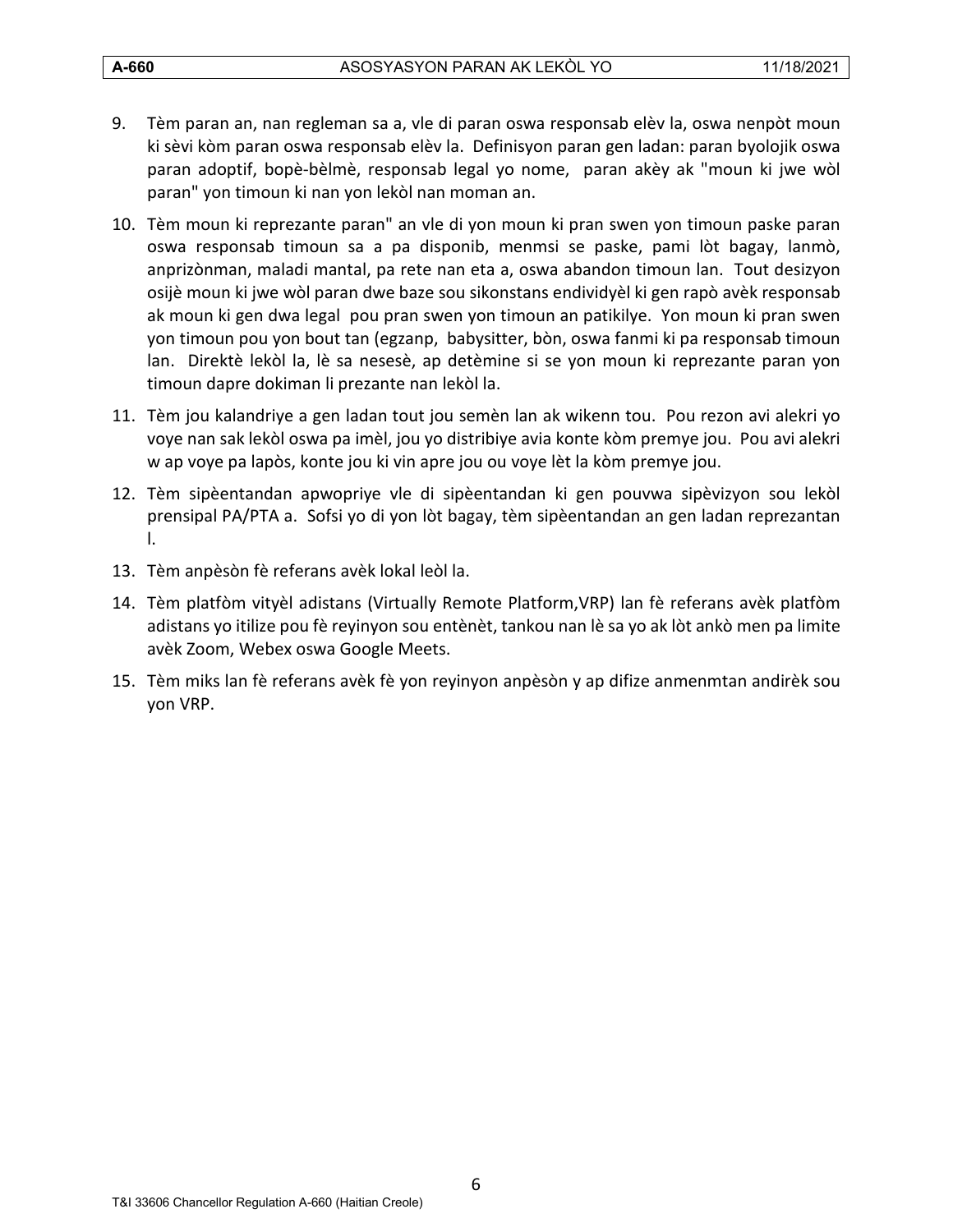- 9. Tèm paran an, nan regleman sa a, vle di paran oswa responsab elèv la, oswa nenpòt moun ki sèvi kòm paran oswa responsab elèv la. Definisyon paran gen ladan: paran byolojik oswa paran adoptif, bopè-bèlmè, responsab legal yo nome, paran akèy ak "moun ki jwe wòl paran" yon timoun ki nan yon lekòl nan moman an.
- 10. Tèm moun ki reprezante paran" an vle di yon moun ki pran swen yon timoun paske paran oswa responsab timoun sa a pa disponib, menmsi se paske, pami lòt bagay, lanmò, anprizònman, maladi mantal, pa rete nan eta a, oswa abandon timoun lan. Tout desizyon osijè moun ki jwe wòl paran dwe baze sou sikonstans endividyèl ki gen rapò avèk responsab ak moun ki gen dwa legal pou pran swen yon timoun an patikilye. Yon moun ki pran swen yon timoun pou yon bout tan (egzanp, babysitter, bòn, oswa fanmi ki pa responsab timoun lan. Direktè lekòl la, lè sa nesesè, ap detèmine si se yon moun ki reprezante paran yon timoun dapre dokiman li prezante nan lekòl la.
- 11. Tèm jou kalandriye a gen ladan tout jou semèn lan ak wikenn tou. Pou rezon avi alekri yo voye nan sak lekòl oswa pa imèl, jou yo distribiye avia konte kòm premye jou. Pou avi alekri w ap voye pa lapòs, konte jou ki vin apre jou ou voye lèt la kòm premye jou.
- 12. Tèm sipèentandan apwopriye vle di sipèentandan ki gen pouvwa sipèvizyon sou lekòl prensipal PA/PTA a. Sofsi yo di yon lòt bagay, tèm sipèentandan an gen ladan reprezantan l.
- 13. Tèm anpèsòn fè referans avèk lokal leòl la.
- 14. Tèm platfòm vityèl adistans (Virtually Remote Platform,VRP) lan fè referans avèk platfòm adistans yo itilize pou fè reyinyon sou entènèt, tankou nan lè sa yo ak lòt ankò men pa limite avèk Zoom, Webex oswa Google Meets.
- 15. Tèm miks lan fè referans avèk fè yon reyinyon anpèsòn y ap difize anmenmtan andirèk sou yon VRP.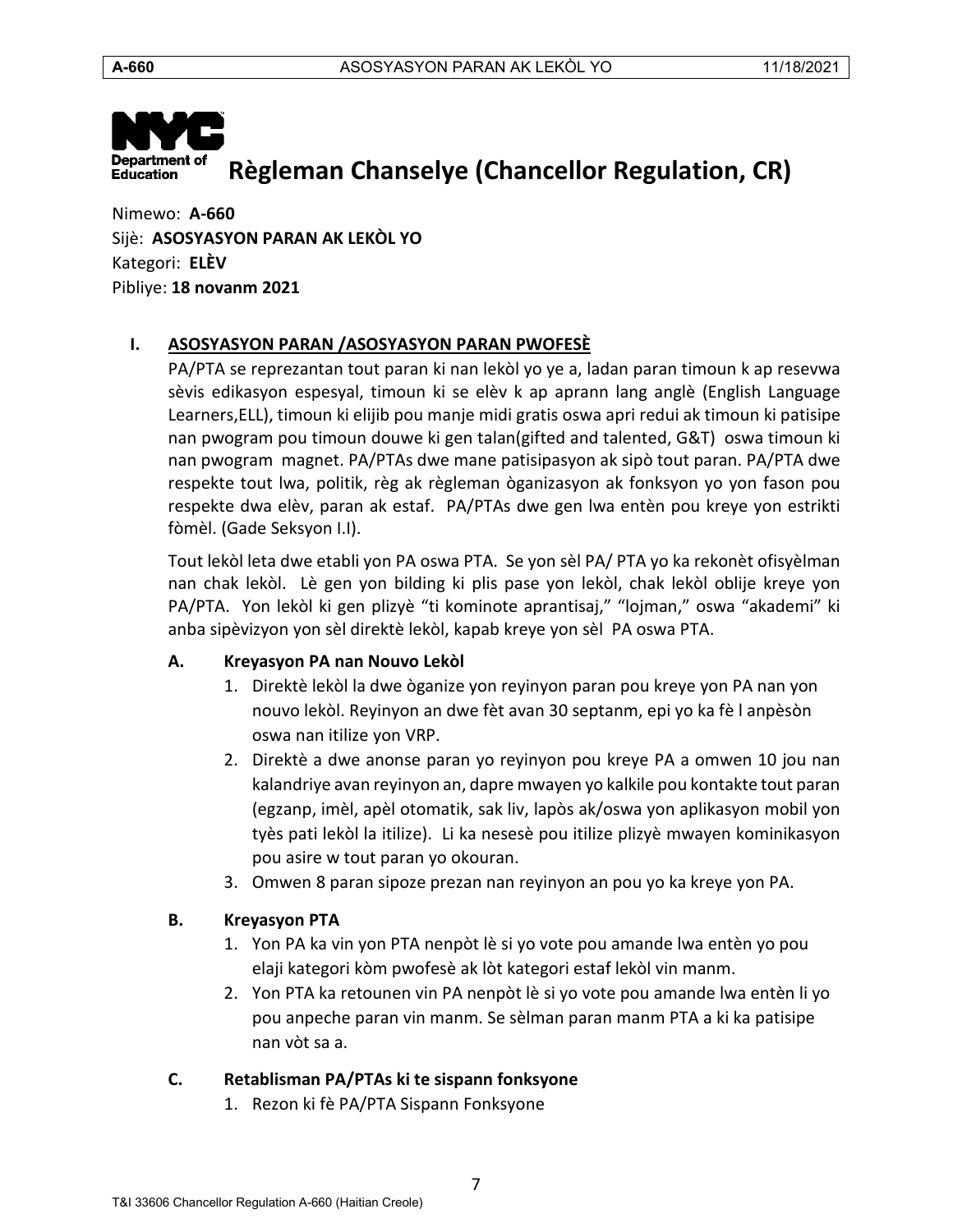

Nimewo: **A-660** Sijè: **ASOSYASYON PARAN AK LEKÒL YO** Kategori: **ELÈV** Pibliye: **18 novanm 2021**

# <span id="page-6-0"></span>**I. ASOSYASYON PARAN /ASOSYASYON PARAN PWOFESÈ**

PA/PTA se reprezantan tout paran ki nan lekòl yo ye a, ladan paran timoun k ap resevwa sèvis edikasyon espesyal, timoun ki se elèv k ap aprann lang anglè (English Language Learners,ELL), timoun ki elijib pou manje midi gratis oswa apri redui ak timoun ki patisipe nan pwogram pou timoun douwe ki gen talan(gifted and talented, G&T) oswa timoun ki nan pwogram magnet. PA/PTAs dwe mane patisipasyon ak sipò tout paran. PA/PTA dwe respekte tout lwa, politik, règ ak règleman òganizasyon ak fonksyon yo yon fason pou respekte dwa elèv, paran ak estaf. PA/PTAs dwe gen lwa entèn pou kreye yon estrikti fòmèl. (Gade Seksyon I.I).

Tout lekòl leta dwe etabli yon PA oswa PTA. Se yon sèl PA/ PTA yo ka rekonèt ofisyèlman nan chak lekòl. Lè gen yon bilding ki plis pase yon lekòl, chak lekòl oblije kreye yon PA/PTA. Yon lekòl ki gen plizyè "ti kominote aprantisaj," "lojman," oswa "akademi" ki anba sipèvizyon yon sèl direktè lekòl, kapab kreye yon sèl PA oswa PTA.

# <span id="page-6-1"></span>**A. Kreyasyon PA nan Nouvo Lekòl**

- 1. Direktè lekòl la dwe òganize yon reyinyon paran pou kreye yon PA nan yon nouvo lekòl. Reyinyon an dwe fèt avan 30 septanm, epi yo ka fè l anpèsòn oswa nan itilize yon VRP.
- 2. Direktè a dwe anonse paran yo reyinyon pou kreye PA a omwen 10 jou nan kalandriye avan reyinyon an, dapre mwayen yo kalkile pou kontakte tout paran (egzanp, imèl, apèl otomatik, sak liv, lapòs ak/oswa yon aplikasyon mobil yon tyès pati lekòl la itilize). Li ka nesesè pou itilize plizyè mwayen kominikasyon pou asire w tout paran yo okouran.
- 3. Omwen 8 paran sipoze prezan nan reyinyon an pou yo ka kreye yon PA.

# <span id="page-6-2"></span>**B. Kreyasyon PTA**

- 1. Yon PA ka vin yon PTA nenpòt lè si yo vote pou amande lwa entèn yo pou elaji kategori kòm pwofesè ak lòt kategori estaf lekòl vin manm.
- 2. Yon PTA ka retounen vin PA nenpòt lè si yo vote pou amande lwa entèn li yo pou anpeche paran vin manm. Se sèlman paran manm PTA a ki ka patisipe nan vòt sa a.

# <span id="page-6-3"></span>**C. Retablisman PA/PTAs ki te sispann fonksyone**

1. Rezon ki fè PA/PTA Sispann Fonksyone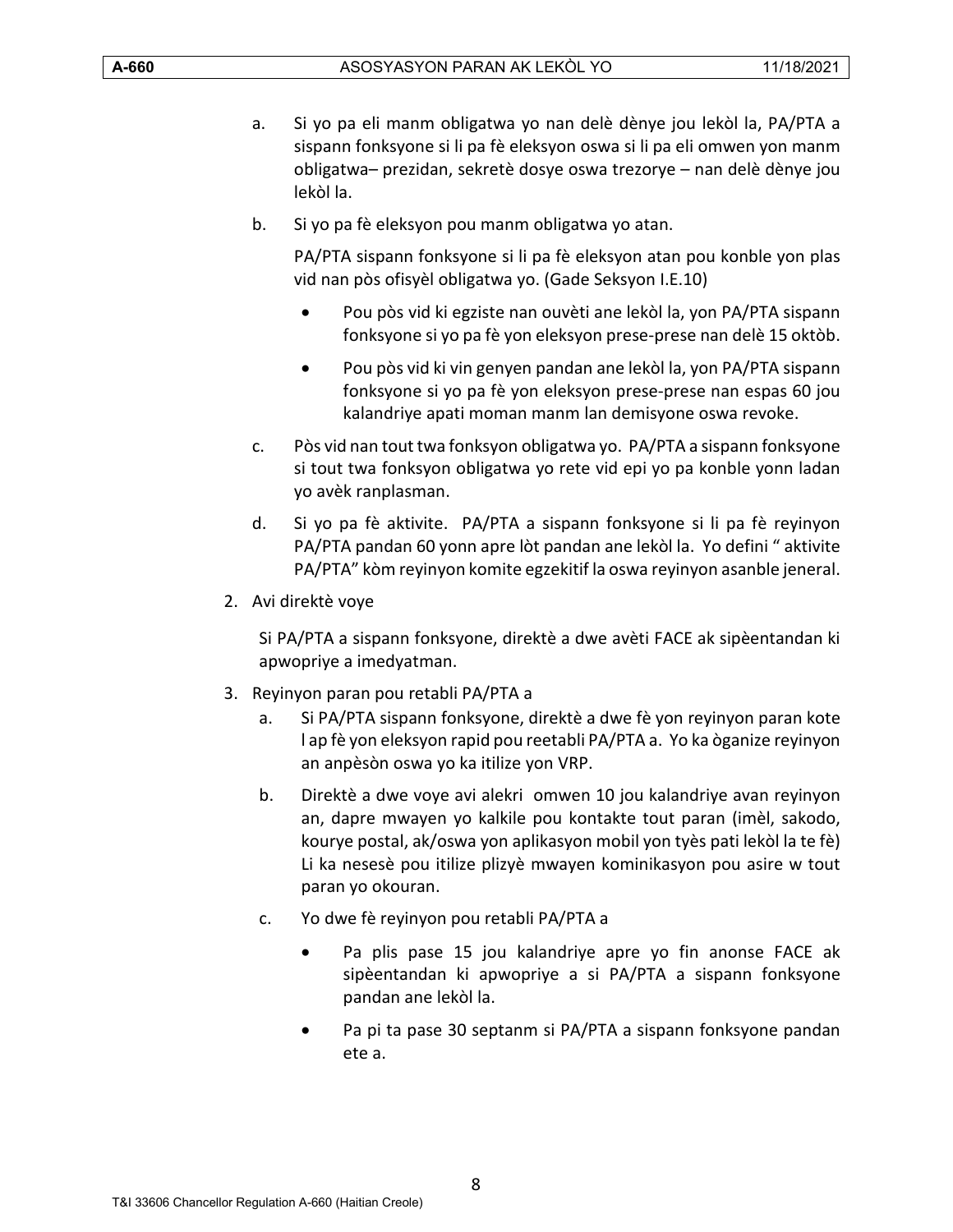- a. Si yo pa eli manm obligatwa yo nan delè dènye jou lekòl la, PA/PTA a sispann fonksyone si li pa fè eleksyon oswa si li pa eli omwen yon manm obligatwa– prezidan, sekretè dosye oswa trezorye – nan delè dènye jou lekòl la.
- b. Si yo pa fè eleksyon pou manm obligatwa yo atan.

PA/PTA sispann fonksyone si li pa fè eleksyon atan pou konble yon plas vid nan pòs ofisyèl obligatwa yo. (Gade Seksyon I.E.10)

- Pou pòs vid ki egziste nan ouvèti ane lekòl la, yon PA/PTA sispann fonksyone si yo pa fè yon eleksyon prese-prese nan delè 15 oktòb.
- Pou pòs vid ki vin genyen pandan ane lekòl la, yon PA/PTA sispann fonksyone si yo pa fè yon eleksyon prese-prese nan espas 60 jou kalandriye apati moman manm lan demisyone oswa revoke.
- c. Pòs vid nan tout twa fonksyon obligatwa yo. PA/PTA a sispann fonksyone si tout twa fonksyon obligatwa yo rete vid epi yo pa konble yonn ladan yo avèk ranplasman.
- d. Si yo pa fè aktivite. PA/PTA a sispann fonksyone si li pa fè reyinyon PA/PTA pandan 60 yonn apre lòt pandan ane lekòl la. Yo defini " aktivite PA/PTA" kòm reyinyon komite egzekitif la oswa reyinyon asanble jeneral.
- 2. Avi direktè voye

Si PA/PTA a sispann fonksyone, direktè a dwe avèti FACE ak sipèentandan ki apwopriye a imedyatman.

- 3. Reyinyon paran pou retabli PA/PTA a
	- a. Si PA/PTA sispann fonksyone, direktè a dwe fè yon reyinyon paran kote l ap fè yon eleksyon rapid pou reetabli PA/PTA a. Yo ka òganize reyinyon an anpèsòn oswa yo ka itilize yon VRP.
	- b. Direktè a dwe voye avi alekri omwen 10 jou kalandriye avan reyinyon an, dapre mwayen yo kalkile pou kontakte tout paran (imèl, sakodo, kourye postal, ak/oswa yon aplikasyon mobil yon tyès pati lekòl la te fè) Li ka nesesè pou itilize plizyè mwayen kominikasyon pou asire w tout paran yo okouran.
	- c. Yo dwe fè reyinyon pou retabli PA/PTA a
		- Pa plis pase 15 jou kalandriye apre yo fin anonse FACE ak sipèentandan ki apwopriye a si PA/PTA a sispann fonksyone pandan ane lekòl la.
		- Pa pi ta pase 30 septanm si PA/PTA a sispann fonksyone pandan ete a.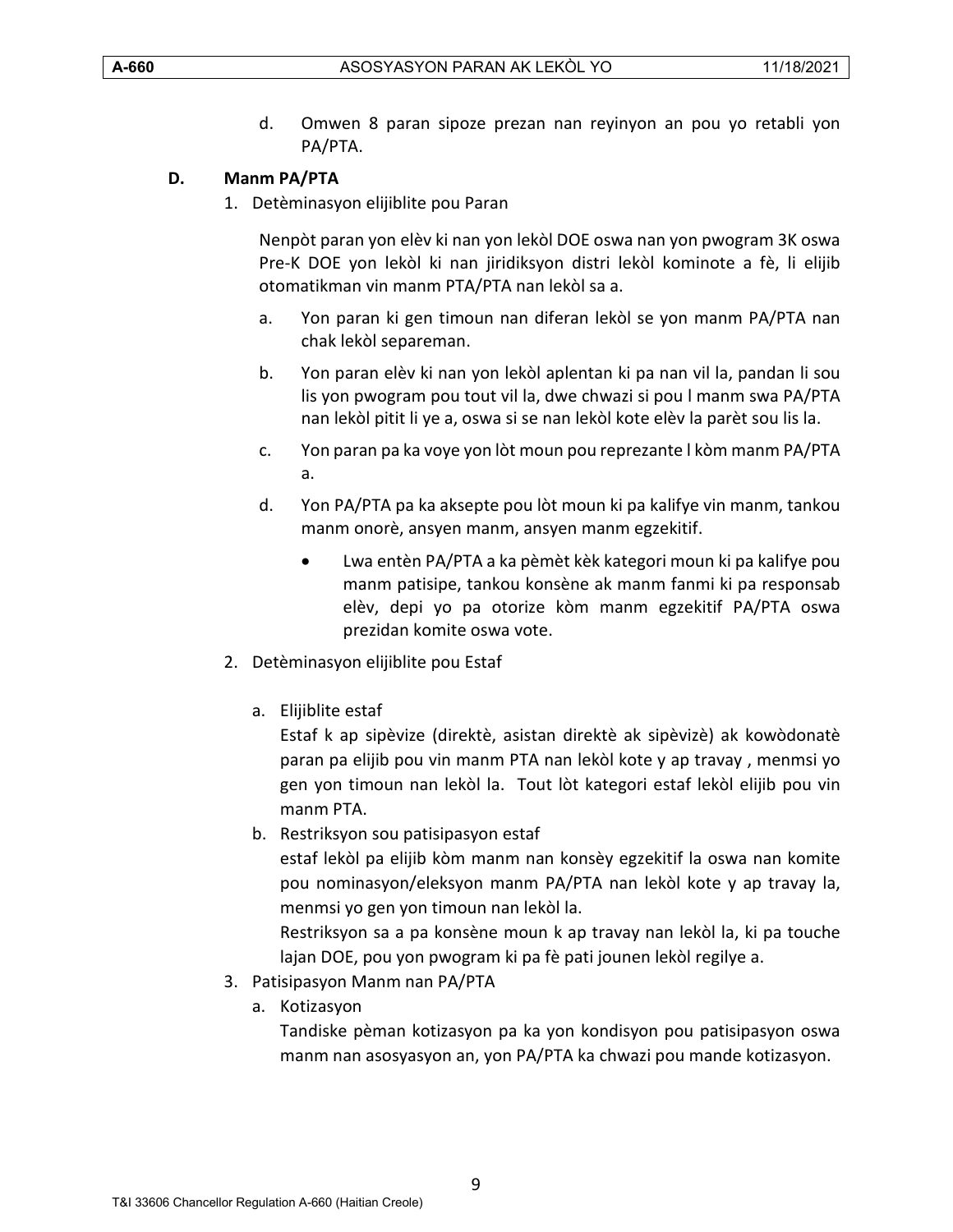d. Omwen 8 paran sipoze prezan nan reyinyon an pou yo retabli yon PA/PTA.

#### <span id="page-8-0"></span>**D. Manm PA/PTA**

1. Detèminasyon elijiblite pou Paran

Nenpòt paran yon elèv ki nan yon lekòl DOE oswa nan yon pwogram 3K oswa Pre-K DOE yon lekòl ki nan jiridiksyon distri lekòl kominote a fè, li elijib otomatikman vin manm PTA/PTA nan lekòl sa a.

- a. Yon paran ki gen timoun nan diferan lekòl se yon manm PA/PTA nan chak lekòl separeman.
- b. Yon paran elèv ki nan yon lekòl aplentan ki pa nan vil la, pandan li sou lis yon pwogram pou tout vil la, dwe chwazi si pou l manm swa PA/PTA nan lekòl pitit li ye a, oswa si se nan lekòl kote elèv la parèt sou lis la.
- c. Yon paran pa ka voye yon lòt moun pou reprezante l kòm manm PA/PTA a.
- d. Yon PA/PTA pa ka aksepte pou lòt moun ki pa kalifye vin manm, tankou manm onorè, ansyen manm, ansyen manm egzekitif.
	- Lwa entèn PA/PTA a ka pèmèt kèk kategori moun ki pa kalifye pou manm patisipe, tankou konsène ak manm fanmi ki pa responsab elèv, depi yo pa otorize kòm manm egzekitif PA/PTA oswa prezidan komite oswa vote.
- 2. Detèminasyon elijiblite pou Estaf
	- a. Elijiblite estaf

Estaf k ap sipèvize (direktè, asistan direktè ak sipèvizè) ak kowòdonatè paran pa elijib pou vin manm PTA nan lekòl kote y ap travay , menmsi yo gen yon timoun nan lekòl la. Tout lòt kategori estaf lekòl elijib pou vin manm PTA.

b. Restriksyon sou patisipasyon estaf

estaf lekòl pa elijib kòm manm nan konsèy egzekitif la oswa nan komite pou nominasyon/eleksyon manm PA/PTA nan lekòl kote y ap travay la, menmsi yo gen yon timoun nan lekòl la.

Restriksyon sa a pa konsène moun k ap travay nan lekòl la, ki pa touche lajan DOE, pou yon pwogram ki pa fè pati jounen lekòl regilye a.

- 3. Patisipasyon Manm nan PA/PTA
	- a. Kotizasyon

Tandiske pèman kotizasyon pa ka yon kondisyon pou patisipasyon oswa manm nan asosyasyon an, yon PA/PTA ka chwazi pou mande kotizasyon.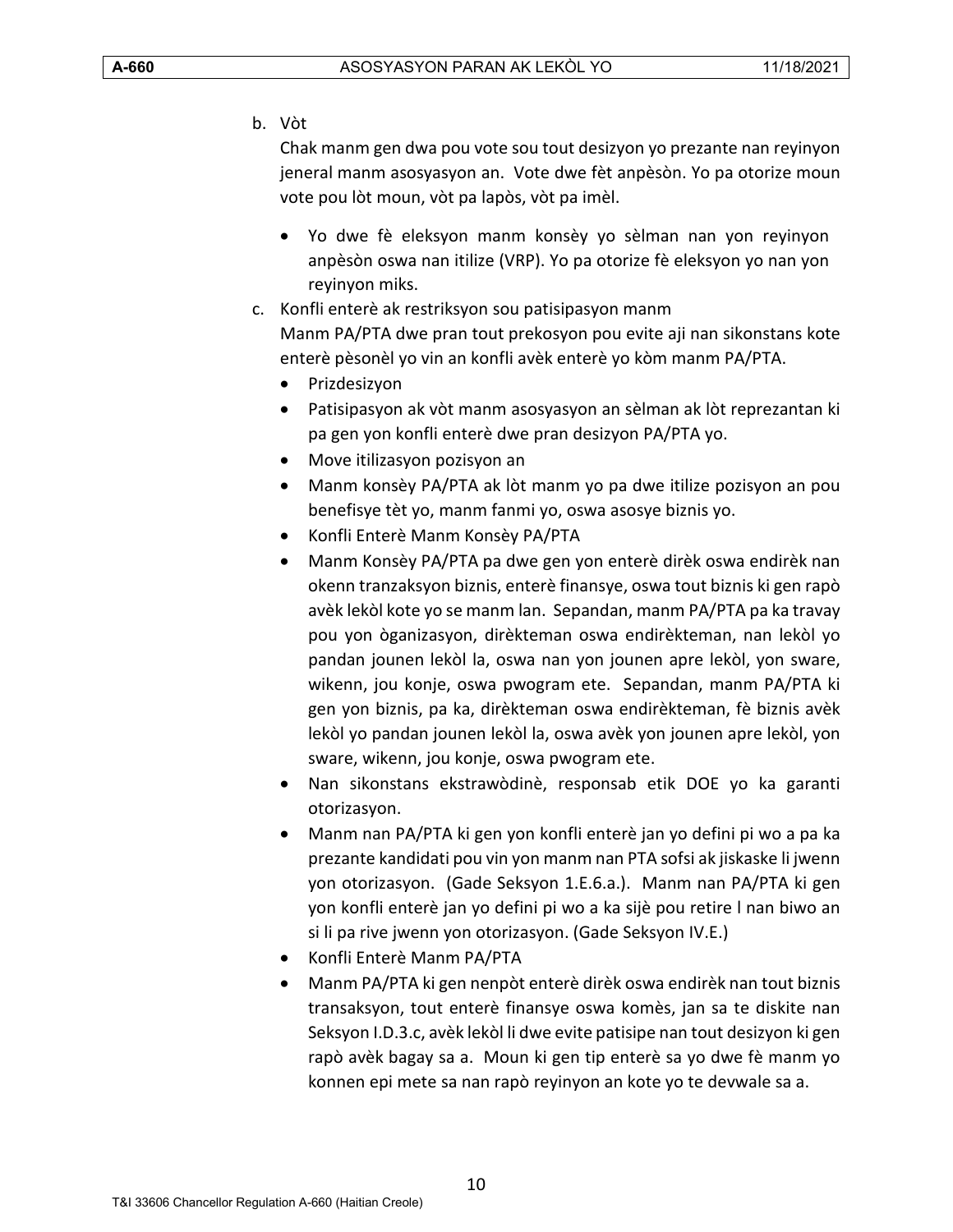b. Vòt

Chak manm gen dwa pou vote sou tout desizyon yo prezante nan reyinyon jeneral manm asosyasyon an. Vote dwe fèt anpèsòn. Yo pa otorize moun vote pou lòt moun, vòt pa lapòs, vòt pa imèl.

- Yo dwe fè eleksyon manm konsèy yo sèlman nan yon reyinyon anpèsòn oswa nan itilize (VRP). Yo pa otorize fè eleksyon yo nan yon reyinyon miks.
- c. Konfli enterè ak restriksyon sou patisipasyon manm Manm PA/PTA dwe pran tout prekosyon pou evite aji nan sikonstans kote enterè pèsonèl yo vin an konfli avèk enterè yo kòm manm PA/PTA.
	- Prizdesizyon
	- Patisipasyon ak vòt manm asosyasyon an sèlman ak lòt reprezantan ki pa gen yon konfli enterè dwe pran desizyon PA/PTA yo.
	- Move itilizasyon pozisyon an
	- Manm konsèy PA/PTA ak lòt manm yo pa dwe itilize pozisyon an pou benefisye tèt yo, manm fanmi yo, oswa asosye biznis yo.
	- Konfli Enterè Manm Konsèy PA/PTA
	- Manm Konsèy PA/PTA pa dwe gen yon enterè dirèk oswa endirèk nan okenn tranzaksyon biznis, enterè finansye, oswa tout biznis ki gen rapò avèk lekòl kote yo se manm lan. Sepandan, manm PA/PTA pa ka travay pou yon òganizasyon, dirèkteman oswa endirèkteman, nan lekòl yo pandan jounen lekòl la, oswa nan yon jounen apre lekòl, yon sware, wikenn, jou konje, oswa pwogram ete. Sepandan, manm PA/PTA ki gen yon biznis, pa ka, dirèkteman oswa endirèkteman, fè biznis avèk lekòl yo pandan jounen lekòl la, oswa avèk yon jounen apre lekòl, yon sware, wikenn, jou konje, oswa pwogram ete.
	- Nan sikonstans ekstrawòdinè, responsab etik DOE yo ka garanti otorizasyon.
	- Manm nan PA/PTA ki gen yon konfli enterè jan yo defini pi wo a pa ka prezante kandidati pou vin yon manm nan PTA sofsi ak jiskaske li jwenn yon otorizasyon. (Gade Seksyon 1.E.6.a.). Manm nan PA/PTA ki gen yon konfli enterè jan yo defini pi wo a ka sijè pou retire l nan biwo an si li pa rive jwenn yon otorizasyon. (Gade Seksyon IV.E.)
	- Konfli Enterè Manm PA/PTA
	- Manm PA/PTA ki gen nenpòt enterè dirèk oswa endirèk nan tout biznis transaksyon, tout enterè finansye oswa komès, jan sa te diskite nan Seksyon I.D.3.c, avèk lekòl li dwe evite patisipe nan tout desizyon ki gen rapò avèk bagay sa a. Moun ki gen tip enterè sa yo dwe fè manm yo konnen epi mete sa nan rapò reyinyon an kote yo te devwale sa a.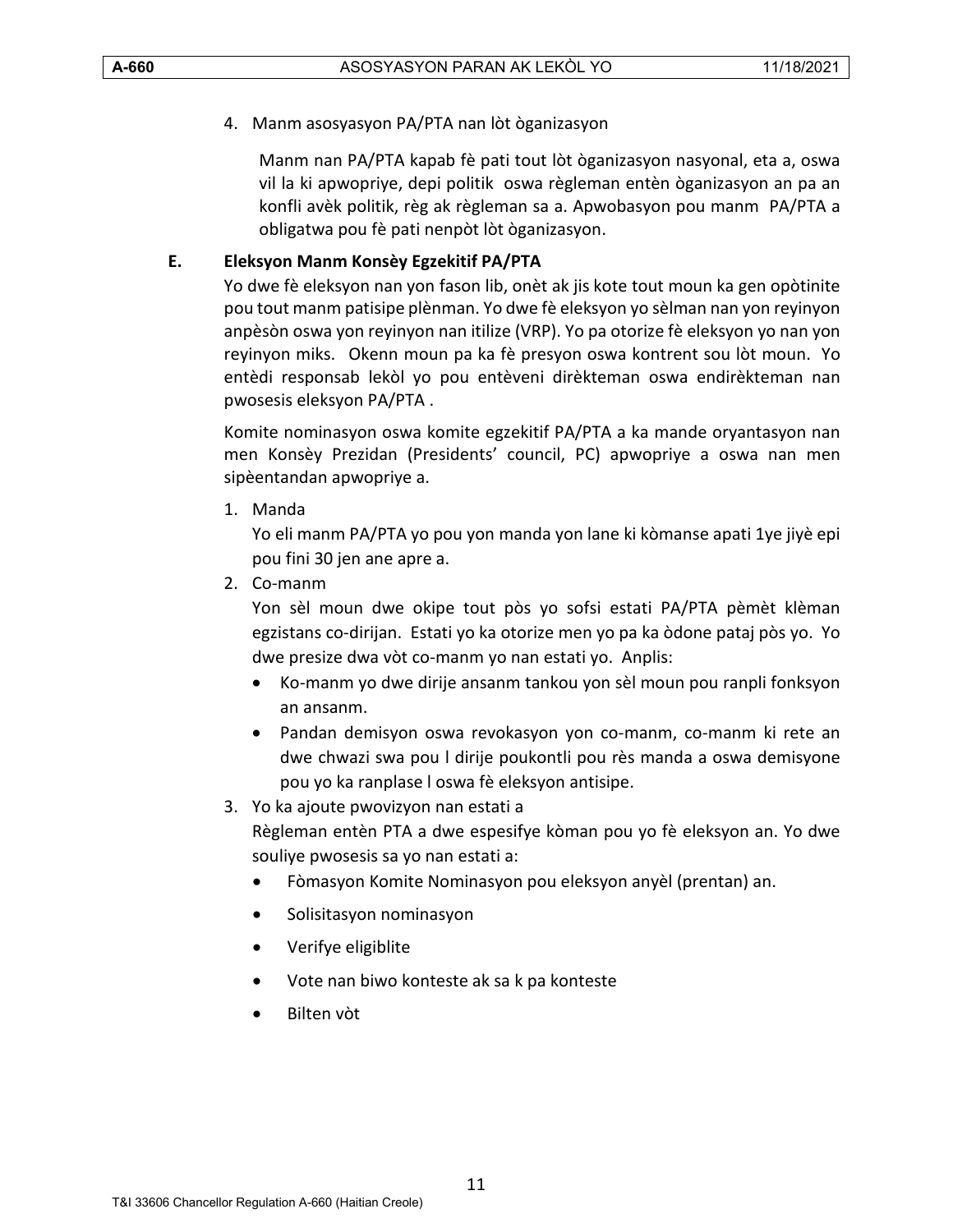4. Manm asosyasyon PA/PTA nan lòt òganizasyon

Manm nan PA/PTA kapab fè pati tout lòt òganizasyon nasyonal, eta a, oswa vil la ki apwopriye, depi politik oswa règleman entèn òganizasyon an pa an konfli avèk politik, règ ak règleman sa a. Apwobasyon pou manm PA/PTA a obligatwa pou fè pati nenpòt lòt òganizasyon.

#### <span id="page-10-0"></span>**E. Eleksyon Manm Konsèy Egzekitif PA/PTA**

Yo dwe fè eleksyon nan yon fason lib, onèt ak jis kote tout moun ka gen opòtinite pou tout manm patisipe plènman. Yo dwe fè eleksyon yo sèlman nan yon reyinyon anpèsòn oswa yon reyinyon nan itilize (VRP). Yo pa otorize fè eleksyon yo nan yon reyinyon miks. Okenn moun pa ka fè presyon oswa kontrent sou lòt moun. Yo entèdi responsab lekòl yo pou entèveni dirèkteman oswa endirèkteman nan pwosesis eleksyon PA/PTA .

Komite nominasyon oswa komite egzekitif PA/PTA a ka mande oryantasyon nan men Konsèy Prezidan (Presidents' council, PC) apwopriye a oswa nan men sipèentandan apwopriye a.

1. Manda

Yo eli manm PA/PTA yo pou yon manda yon lane ki kòmanse apati 1ye jiyè epi pou fini 30 jen ane apre a.

2. Co-manm

Yon sèl moun dwe okipe tout pòs yo sofsi estati PA/PTA pèmèt klèman egzistans co-dirijan. Estati yo ka otorize men yo pa ka òdone pataj pòs yo. Yo dwe presize dwa vòt co-manm yo nan estati yo. Anplis:

- Ko-manm yo dwe dirije ansanm tankou yon sèl moun pou ranpli fonksyon an ansanm.
- Pandan demisyon oswa revokasyon yon co-manm, co-manm ki rete an dwe chwazi swa pou l dirije poukontli pou rès manda a oswa demisyone pou yo ka ranplase l oswa fè eleksyon antisipe.

#### 3. Yo ka ajoute pwovizyon nan estati a

Règleman entèn PTA a dwe espesifye kòman pou yo fè eleksyon an. Yo dwe souliye pwosesis sa yo nan estati a:

- Fòmasyon Komite Nominasyon pou eleksyon anyèl (prentan) an.
- Solisitasyon nominasyon
- Verifye eligiblite
- Vote nan biwo konteste ak sa k pa konteste
- Bilten vòt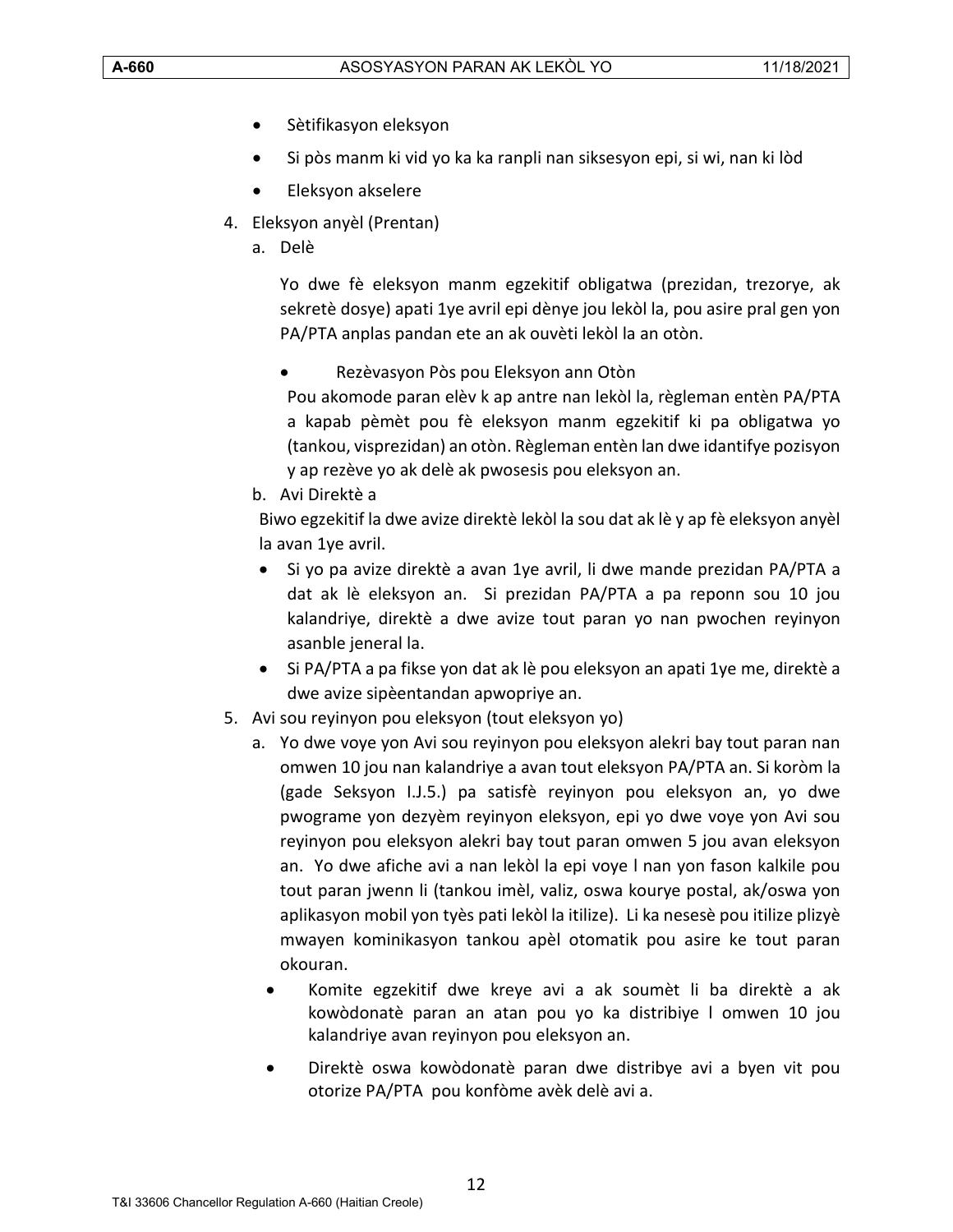- Sètifikasyon eleksyon
- Si pòs manm ki vid yo ka ka ranpli nan siksesyon epi, si wi, nan ki lòd
- Eleksyon akselere
- 4. Eleksyon anyèl (Prentan)
	- a. Delè

Yo dwe fè eleksyon manm egzekitif obligatwa (prezidan, trezorye, ak sekretè dosye) apati 1ye avril epi dènye jou lekòl la, pou asire pral gen yon PA/PTA anplas pandan ete an ak ouvèti lekòl la an otòn.

• Rezèvasyon Pòs pou Eleksyon ann Otòn

Pou akomode paran elèv k ap antre nan lekòl la, règleman entèn PA/PTA a kapab pèmèt pou fè eleksyon manm egzekitif ki pa obligatwa yo (tankou, visprezidan) an otòn. Règleman entèn lan dwe idantifye pozisyon y ap rezève yo ak delè ak pwosesis pou eleksyon an.

b. Avi Direktè a

Biwo egzekitif la dwe avize direktè lekòl la sou dat ak lè y ap fè eleksyon anyèl la avan 1ye avril.

- Si yo pa avize direktè a avan 1ye avril, li dwe mande prezidan PA/PTA a dat ak lè eleksyon an. Si prezidan PA/PTA a pa reponn sou 10 jou kalandriye, direktè a dwe avize tout paran yo nan pwochen reyinyon asanble jeneral la.
- Si PA/PTA a pa fikse yon dat ak lè pou eleksyon an apati 1ye me, direktè a dwe avize sipèentandan apwopriye an.
- 5. Avi sou reyinyon pou eleksyon (tout eleksyon yo)
	- a. Yo dwe voye yon Avi sou reyinyon pou eleksyon alekri bay tout paran nan omwen 10 jou nan kalandriye a avan tout eleksyon PA/PTA an. Si koròm la (gade Seksyon I.J.5.) pa satisfè reyinyon pou eleksyon an, yo dwe pwograme yon dezyèm reyinyon eleksyon, epi yo dwe voye yon Avi sou reyinyon pou eleksyon alekri bay tout paran omwen 5 jou avan eleksyon an. Yo dwe afiche avi a nan lekòl la epi voye l nan yon fason kalkile pou tout paran jwenn li (tankou imèl, valiz, oswa kourye postal, ak/oswa yon aplikasyon mobil yon tyès pati lekòl la itilize). Li ka nesesè pou itilize plizyè mwayen kominikasyon tankou apèl otomatik pou asire ke tout paran okouran.
		- Komite egzekitif dwe kreye avi a ak soumèt li ba direktè a ak kowòdonatè paran an atan pou yo ka distribiye l omwen 10 jou kalandriye avan reyinyon pou eleksyon an.
		- Direktè oswa kowòdonatè paran dwe distribye avi a byen vit pou otorize PA/PTA pou konfòme avèk delè avi a.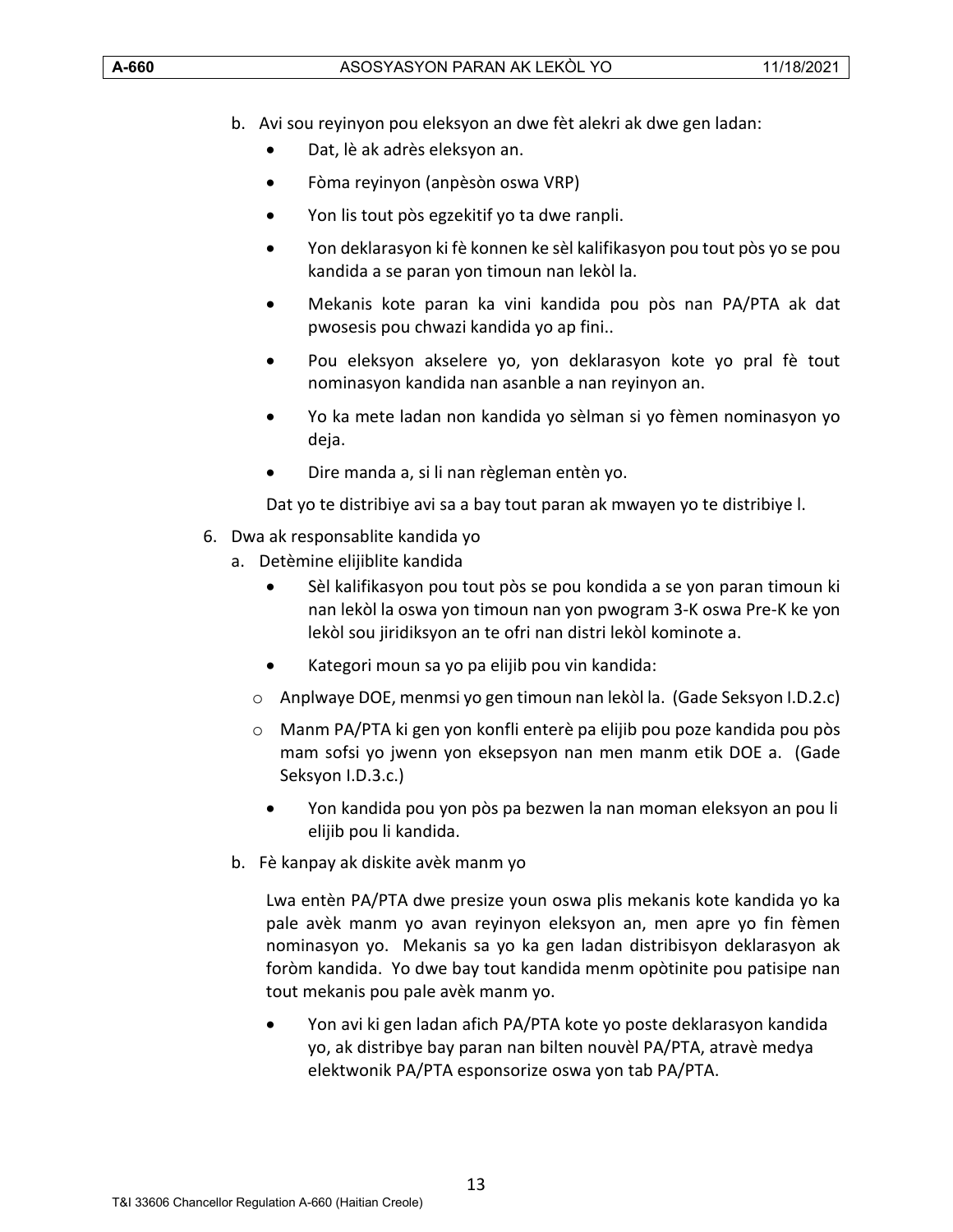- b. Avi sou reyinyon pou eleksyon an dwe fèt alekri ak dwe gen ladan:
	- Dat, lè ak adrès eleksyon an.
	- Fòma reyinyon (anpèsòn oswa VRP)
	- Yon lis tout pòs egzekitif yo ta dwe ranpli.
	- Yon deklarasyon ki fè konnen ke sèl kalifikasyon pou tout pòs yo se pou kandida a se paran yon timoun nan lekòl la.
	- Mekanis kote paran ka vini kandida pou pòs nan PA/PTA ak dat pwosesis pou chwazi kandida yo ap fini..
	- Pou eleksyon akselere yo, yon deklarasyon kote yo pral fè tout nominasyon kandida nan asanble a nan reyinyon an.
	- Yo ka mete ladan non kandida yo sèlman si yo fèmen nominasyon yo deja.
	- Dire manda a, si li nan règleman entèn yo.

Dat yo te distribiye avi sa a bay tout paran ak mwayen yo te distribiye l.

- 6. Dwa ak responsablite kandida yo
	- a. Detèmine elijiblite kandida
		- Sèl kalifikasyon pou tout pòs se pou kondida a se yon paran timoun ki nan lekòl la oswa yon timoun nan yon pwogram 3-K oswa Pre-K ke yon lekòl sou jiridiksyon an te ofri nan distri lekòl kominote a.
		- Kategori moun sa yo pa elijib pou vin kandida:
		- o Anplwaye DOE, menmsi yo gen timoun nan lekòl la. (Gade Seksyon I.D.2.c)
		- o Manm PA/PTA ki gen yon konfli enterè pa elijib pou poze kandida pou pòs mam sofsi yo jwenn yon eksepsyon nan men manm etik DOE a. (Gade Seksyon I.D.3.c.)
			- Yon kandida pou yon pòs pa bezwen la nan moman eleksyon an pou li elijib pou li kandida.
	- b. Fè kanpay ak diskite avèk manm yo

Lwa entèn PA/PTA dwe presize youn oswa plis mekanis kote kandida yo ka pale avèk manm yo avan reyinyon eleksyon an, men apre yo fin fèmen nominasyon yo. Mekanis sa yo ka gen ladan distribisyon deklarasyon ak foròm kandida. Yo dwe bay tout kandida menm opòtinite pou patisipe nan tout mekanis pou pale avèk manm yo.

• Yon avi ki gen ladan afich PA/PTA kote yo poste deklarasyon kandida yo, ak distribye bay paran nan bilten nouvèl PA/PTA, atravè medya elektwonik PA/PTA esponsorize oswa yon tab PA/PTA.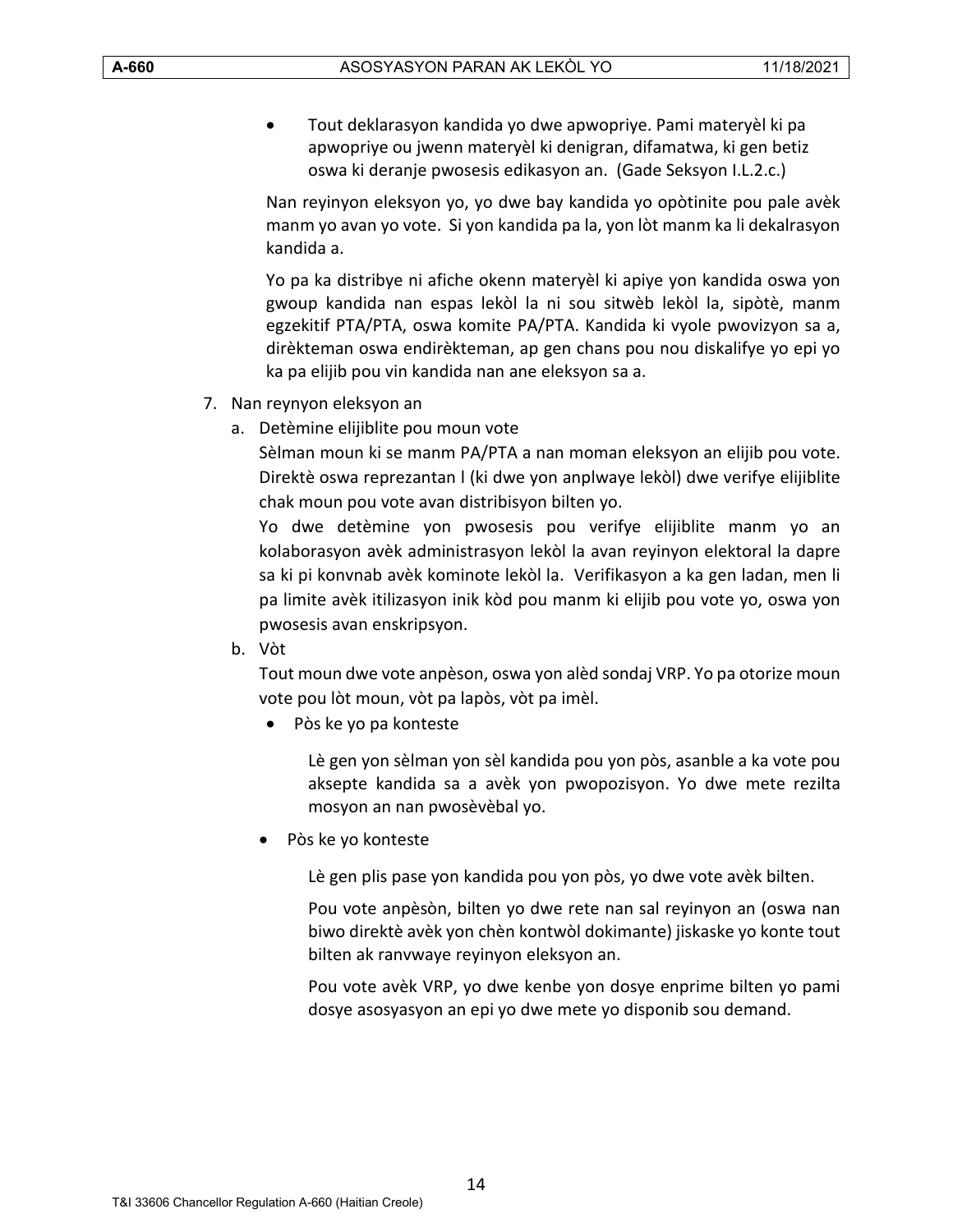• Tout deklarasyon kandida yo dwe apwopriye. Pami materyèl ki pa apwopriye ou jwenn materyèl ki denigran, difamatwa, ki gen betiz oswa ki deranje pwosesis edikasyon an. (Gade Seksyon I.L.2.c.)

Nan reyinyon eleksyon yo, yo dwe bay kandida yo opòtinite pou pale avèk manm yo avan yo vote. Si yon kandida pa la, yon lòt manm ka li dekalrasyon kandida a.

Yo pa ka distribye ni afiche okenn materyèl ki apiye yon kandida oswa yon gwoup kandida nan espas lekòl la ni sou sitwèb lekòl la, sipòtè, manm egzekitif PTA/PTA, oswa komite PA/PTA. Kandida ki vyole pwovizyon sa a, dirèkteman oswa endirèkteman, ap gen chans pou nou diskalifye yo epi yo ka pa elijib pou vin kandida nan ane eleksyon sa a.

- 7. Nan reynyon eleksyon an
	- a. Detèmine elijiblite pou moun vote

Sèlman moun ki se manm PA/PTA a nan moman eleksyon an elijib pou vote. Direktè oswa reprezantan l (ki dwe yon anplwaye lekòl) dwe verifye elijiblite chak moun pou vote avan distribisyon bilten yo.

Yo dwe detèmine yon pwosesis pou verifye elijiblite manm yo an kolaborasyon avèk administrasyon lekòl la avan reyinyon elektoral la dapre sa ki pi konvnab avèk kominote lekòl la. Verifikasyon a ka gen ladan, men li pa limite avèk itilizasyon inik kòd pou manm ki elijib pou vote yo, oswa yon pwosesis avan enskripsyon.

b. Vòt

Tout moun dwe vote anpèson, oswa yon alèd sondaj VRP. Yo pa otorize moun vote pou lòt moun, vòt pa lapòs, vòt pa imèl.

• Pòs ke yo pa konteste

Lè gen yon sèlman yon sèl kandida pou yon pòs, asanble a ka vote pou aksepte kandida sa a avèk yon pwopozisyon. Yo dwe mete rezilta mosyon an nan pwosèvèbal yo.

• Pòs ke yo konteste

Lè gen plis pase yon kandida pou yon pòs, yo dwe vote avèk bilten.

Pou vote anpèsòn, bilten yo dwe rete nan sal reyinyon an (oswa nan biwo direktè avèk yon chèn kontwòl dokimante) jiskaske yo konte tout bilten ak ranvwaye reyinyon eleksyon an.

Pou vote avèk VRP, yo dwe kenbe yon dosye enprime bilten yo pami dosye asosyasyon an epi yo dwe mete yo disponib sou demand.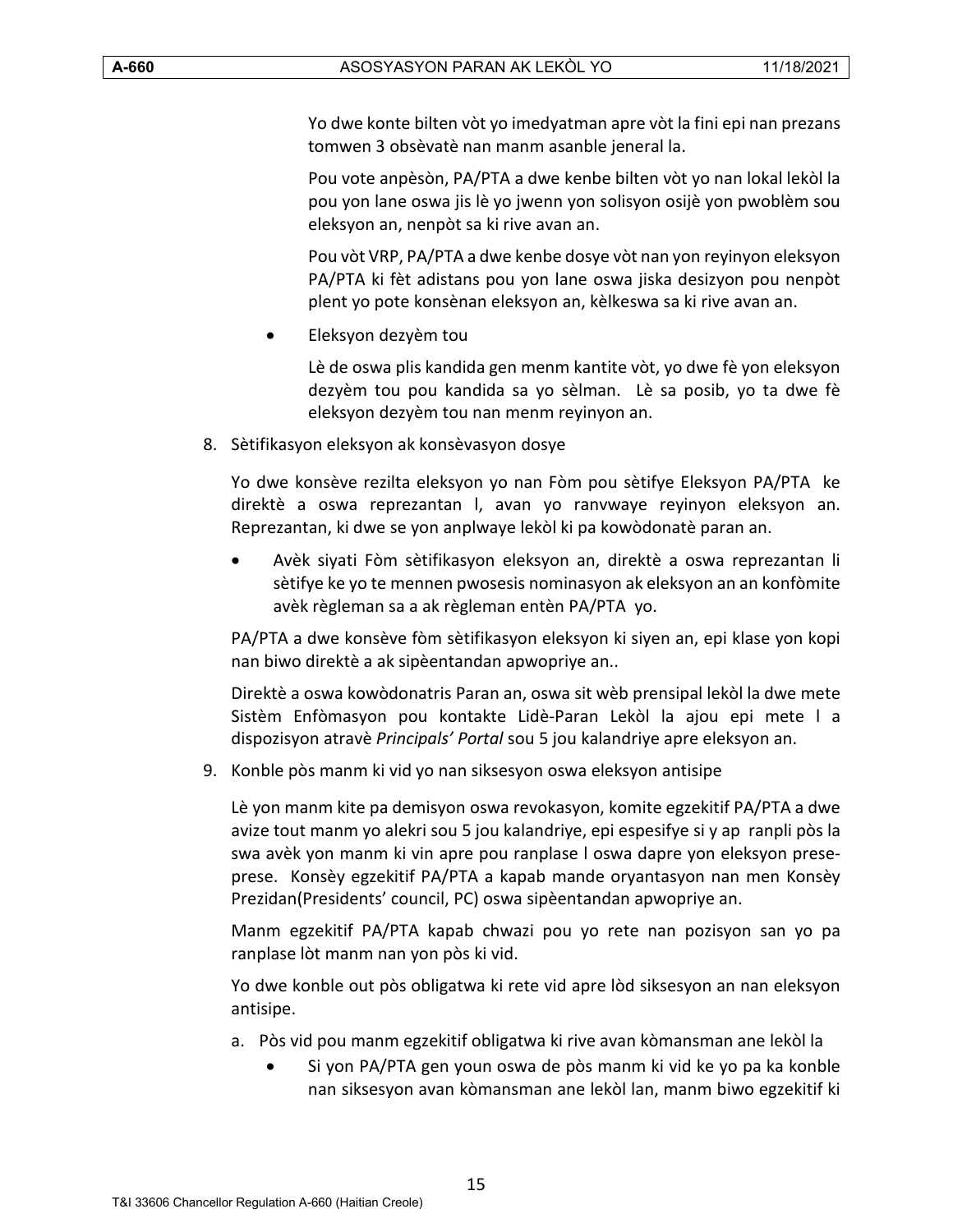Yo dwe konte bilten vòt yo imedyatman apre vòt la fini epi nan prezans tomwen 3 obsèvatè nan manm asanble jeneral la.

Pou vote anpèsòn, PA/PTA a dwe kenbe bilten vòt yo nan lokal lekòl la pou yon lane oswa jis lè yo jwenn yon solisyon osijè yon pwoblèm sou eleksyon an, nenpòt sa ki rive avan an.

Pou vòt VRP, PA/PTA a dwe kenbe dosye vòt nan yon reyinyon eleksyon PA/PTA ki fèt adistans pou yon lane oswa jiska desizyon pou nenpòt plent yo pote konsènan eleksyon an, kèlkeswa sa ki rive avan an.

• Eleksyon dezyèm tou

Lè de oswa plis kandida gen menm kantite vòt, yo dwe fè yon eleksyon dezyèm tou pou kandida sa yo sèlman. Lè sa posib, yo ta dwe fè eleksyon dezyèm tou nan menm reyinyon an.

8. Sètifikasyon eleksyon ak konsèvasyon dosye

Yo dwe konsève rezilta eleksyon yo nan Fòm pou sètifye Eleksyon PA/PTA ke direktè a oswa reprezantan l, avan yo ranvwaye reyinyon eleksyon an. Reprezantan, ki dwe se yon anplwaye lekòl ki pa kowòdonatè paran an.

• Avèk siyati Fòm sètifikasyon eleksyon an, direktè a oswa reprezantan li sètifye ke yo te mennen pwosesis nominasyon ak eleksyon an an konfòmite avèk règleman sa a ak règleman entèn PA/PTA yo.

PA/PTA a dwe konsève fòm sètifikasyon eleksyon ki siyen an, epi klase yon kopi nan biwo direktè a ak sipèentandan apwopriye an..

Direktè a oswa kowòdonatris Paran an, oswa sit wèb prensipal lekòl la dwe mete Sistèm Enfòmasyon pou kontakte Lidè-Paran Lekòl la ajou epi mete l a dispozisyon atravè *Principals' Portal* sou 5 jou kalandriye apre eleksyon an.

9. Konble pòs manm ki vid yo nan siksesyon oswa eleksyon antisipe

Lè yon manm kite pa demisyon oswa revokasyon, komite egzekitif PA/PTA a dwe avize tout manm yo alekri sou 5 jou kalandriye, epi espesifye si y ap ranpli pòs la swa avèk yon manm ki vin apre pou ranplase l oswa dapre yon eleksyon preseprese. Konsèy egzekitif PA/PTA a kapab mande oryantasyon nan men Konsèy Prezidan(Presidents' council, PC) oswa sipèentandan apwopriye an.

Manm egzekitif PA/PTA kapab chwazi pou yo rete nan pozisyon san yo pa ranplase lòt manm nan yon pòs ki vid.

Yo dwe konble out pòs obligatwa ki rete vid apre lòd siksesyon an nan eleksyon antisipe.

- a. Pòs vid pou manm egzekitif obligatwa ki rive avan kòmansman ane lekòl la
	- Si yon PA/PTA gen youn oswa de pòs manm ki vid ke yo pa ka konble nan siksesyon avan kòmansman ane lekòl lan, manm biwo egzekitif ki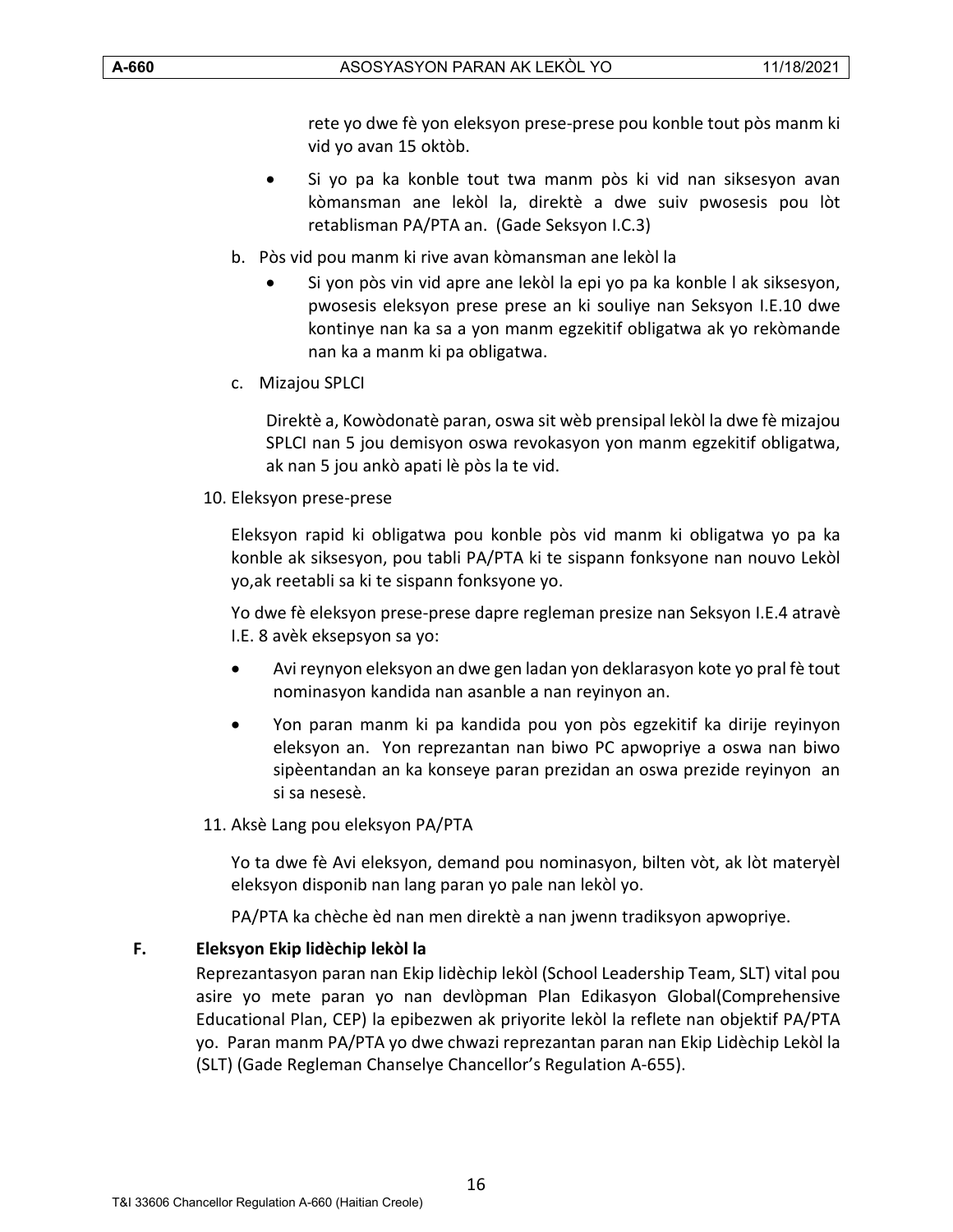rete yo dwe fè yon eleksyon prese-prese pou konble tout pòs manm ki vid yo avan 15 oktòb.

- Si yo pa ka konble tout twa manm pòs ki vid nan siksesyon avan kòmansman ane lekòl la, direktè a dwe suiv pwosesis pou lòt retablisman PA/PTA an. (Gade Seksyon I.C.3)
- b. Pòs vid pou manm ki rive avan kòmansman ane lekòl la
	- Si yon pòs vin vid apre ane lekòl la epi yo pa ka konble l ak siksesyon, pwosesis eleksyon prese prese an ki souliye nan Seksyon I.E.10 dwe kontinye nan ka sa a yon manm egzekitif obligatwa ak yo rekòmande nan ka a manm ki pa obligatwa.
- c. Mizajou SPLCI

Direktè a, Kowòdonatè paran, oswa sit wèb prensipal lekòl la dwe fè mizajou SPLCI nan 5 jou demisyon oswa revokasyon yon manm egzekitif obligatwa, ak nan 5 jou ankò apati lè pòs la te vid.

10. Eleksyon prese-prese

Eleksyon rapid ki obligatwa pou konble pòs vid manm ki obligatwa yo pa ka konble ak siksesyon, pou tabli PA/PTA ki te sispann fonksyone nan nouvo Lekòl yo,ak reetabli sa ki te sispann fonksyone yo.

Yo dwe fè eleksyon prese-prese dapre regleman presize nan Seksyon I.E.4 atravè I.E. 8 avèk eksepsyon sa yo:

- Avi reynyon eleksyon an dwe gen ladan yon deklarasyon kote yo pral fè tout nominasyon kandida nan asanble a nan reyinyon an.
- Yon paran manm ki pa kandida pou yon pòs egzekitif ka dirije reyinyon eleksyon an. Yon reprezantan nan biwo PC apwopriye a oswa nan biwo sipèentandan an ka konseye paran prezidan an oswa prezide reyinyon an si sa nesesè.

#### 11. Aksè Lang pou eleksyon PA/PTA

Yo ta dwe fè Avi eleksyon, demand pou nominasyon, bilten vòt, ak lòt materyèl eleksyon disponib nan lang paran yo pale nan lekòl yo.

PA/PTA ka chèche èd nan men direktè a nan jwenn tradiksyon apwopriye.

#### <span id="page-15-0"></span>**F. Eleksyon Ekip lidèchip lekòl la**

Reprezantasyon paran nan Ekip lidèchip lekòl (School Leadership Team, SLT) vital pou asire yo mete paran yo nan devlòpman Plan Edikasyon Global(Comprehensive Educational Plan, CEP) la epibezwen ak priyorite lekòl la reflete nan objektif PA/PTA yo. Paran manm PA/PTA yo dwe chwazi reprezantan paran nan Ekip Lidèchip Lekòl la (SLT) (Gade Regleman Chanselye Chancellor's Regulation A-655).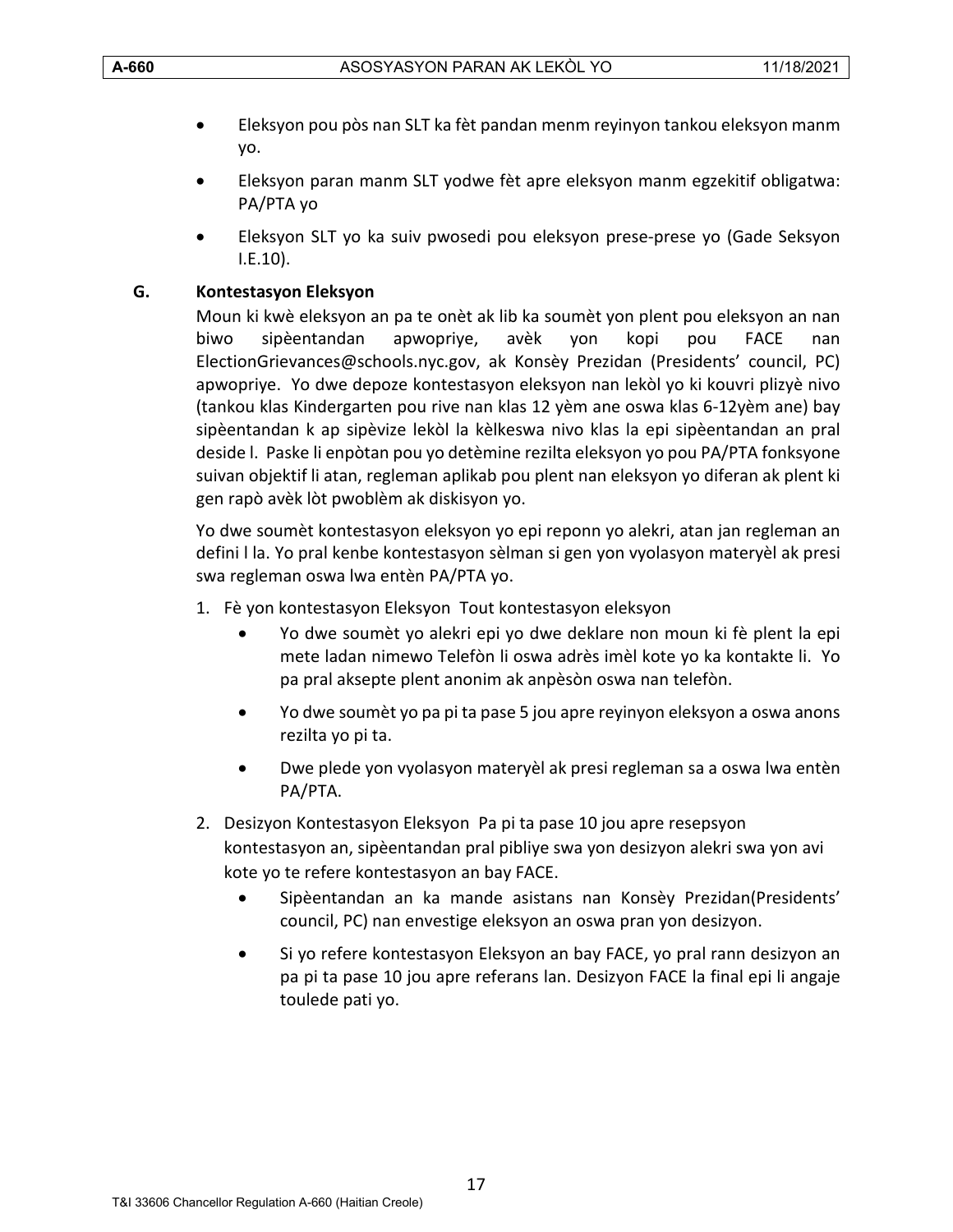- Eleksyon pou pòs nan SLT ka fèt pandan menm reyinyon tankou eleksyon manm yo.
- Eleksyon paran manm SLT yodwe fèt apre eleksyon manm egzekitif obligatwa: PA/PTA yo
- Eleksyon SLT yo ka suiv pwosedi pou eleksyon prese-prese yo (Gade Seksyon I.E.10).

# <span id="page-16-0"></span>**G. Kontestasyon Eleksyon**

Moun ki kwè eleksyon an pa te onèt ak lib ka soumèt yon plent pou eleksyon an nan biwo sipèentandan apwopriye, avèk yon kopi pou FACE nan ElectionGrievances@schools.nyc.gov, ak Konsèy Prezidan (Presidents' council, PC) apwopriye. Yo dwe depoze kontestasyon eleksyon nan lekòl yo ki kouvri plizyè nivo (tankou klas Kindergarten pou rive nan klas 12 yèm ane oswa klas 6-12yèm ane) bay sipèentandan k ap sipèvize lekòl la kèlkeswa nivo klas la epi sipèentandan an pral deside l. Paske li enpòtan pou yo detèmine rezilta eleksyon yo pou PA/PTA fonksyone suivan objektif li atan, regleman aplikab pou plent nan eleksyon yo diferan ak plent ki gen rapò avèk lòt pwoblèm ak diskisyon yo.

Yo dwe soumèt kontestasyon eleksyon yo epi reponn yo alekri, atan jan regleman an defini l la. Yo pral kenbe kontestasyon sèlman si gen yon vyolasyon materyèl ak presi swa regleman oswa lwa entèn PA/PTA yo.

- 1. Fè yon kontestasyon Eleksyon Tout kontestasyon eleksyon
	- Yo dwe soumèt yo alekri epi yo dwe deklare non moun ki fè plent la epi mete ladan nimewo Telefòn li oswa adrès imèl kote yo ka kontakte li. Yo pa pral aksepte plent anonim ak anpèsòn oswa nan telefòn.
	- Yo dwe soumèt yo pa pi ta pase 5 jou apre reyinyon eleksyon a oswa anons rezilta yo pi ta.
	- Dwe plede yon vyolasyon materyèl ak presi regleman sa a oswa lwa entèn PA/PTA.
- 2. Desizyon Kontestasyon Eleksyon Pa pi ta pase 10 jou apre resepsyon kontestasyon an, sipèentandan pral pibliye swa yon desizyon alekri swa yon avi kote yo te refere kontestasyon an bay FACE.
	- Sipèentandan an ka mande asistans nan Konsèy Prezidan(Presidents' council, PC) nan envestige eleksyon an oswa pran yon desizyon.
	- Si yo refere kontestasyon Eleksyon an bay FACE, yo pral rann desizyon an pa pi ta pase 10 jou apre referans lan. Desizyon FACE la final epi li angaje toulede pati yo.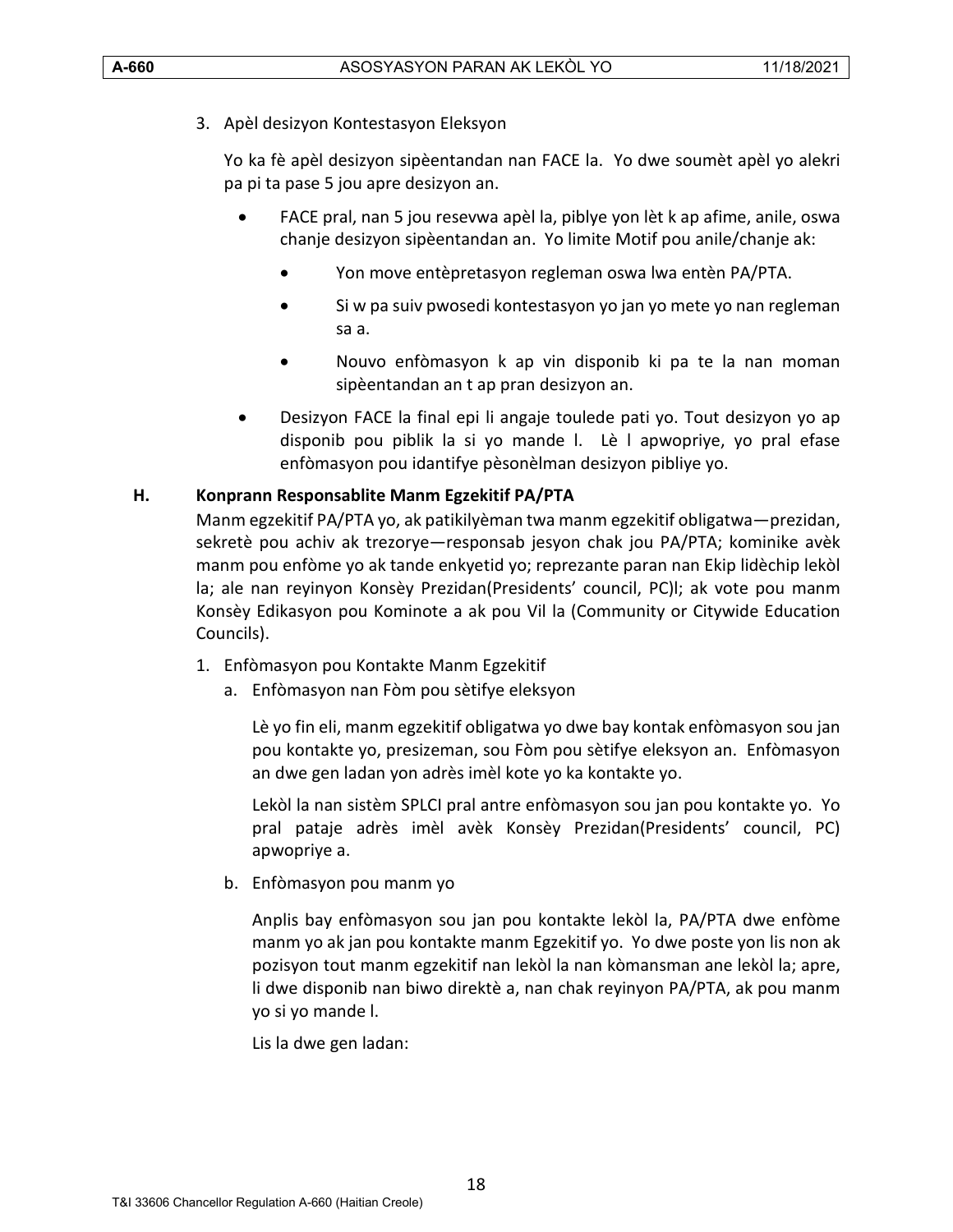3. Apèl desizyon Kontestasyon Eleksyon

Yo ka fè apèl desizyon sipèentandan nan FACE la. Yo dwe soumèt apèl yo alekri pa pi ta pase 5 jou apre desizyon an.

- FACE pral, nan 5 jou resevwa apèl la, piblye yon lèt k ap afime, anile, oswa chanje desizyon sipèentandan an. Yo limite Motif pou anile/chanje ak:
	- Yon move entèpretasyon regleman oswa lwa entèn PA/PTA.
	- Si w pa suiv pwosedi kontestasyon yo jan yo mete yo nan regleman sa a.
	- Nouvo enfòmasyon k ap vin disponib ki pa te la nan moman sipèentandan an t ap pran desizyon an.
- Desizyon FACE la final epi li angaje toulede pati yo. Tout desizyon yo ap disponib pou piblik la si yo mande l. Lè l apwopriye, yo pral efase enfòmasyon pou idantifye pèsonèlman desizyon pibliye yo.

#### <span id="page-17-0"></span>**H. Konprann Responsablite Manm Egzekitif PA/PTA**

Manm egzekitif PA/PTA yo, ak patikilyèman twa manm egzekitif obligatwa—prezidan, sekretè pou achiv ak trezorye—responsab jesyon chak jou PA/PTA; kominike avèk manm pou enfòme yo ak tande enkyetid yo; reprezante paran nan Ekip lidèchip lekòl la; ale nan reyinyon Konsèy Prezidan(Presidents' council, PC)l; ak vote pou manm Konsèy Edikasyon pou Kominote a ak pou Vil la (Community or Citywide Education Councils).

- 1. Enfòmasyon pou Kontakte Manm Egzekitif
	- a. Enfòmasyon nan Fòm pou sètifye eleksyon

Lè yo fin eli, manm egzekitif obligatwa yo dwe bay kontak enfòmasyon sou jan pou kontakte yo, presizeman, sou Fòm pou sètifye eleksyon an. Enfòmasyon an dwe gen ladan yon adrès imèl kote yo ka kontakte yo.

Lekòl la nan sistèm SPLCI pral antre enfòmasyon sou jan pou kontakte yo. Yo pral pataje adrès imèl avèk Konsèy Prezidan(Presidents' council, PC) apwopriye a.

b. Enfòmasyon pou manm yo

Anplis bay enfòmasyon sou jan pou kontakte lekòl la, PA/PTA dwe enfòme manm yo ak jan pou kontakte manm Egzekitif yo. Yo dwe poste yon lis non ak pozisyon tout manm egzekitif nan lekòl la nan kòmansman ane lekòl la; apre, li dwe disponib nan biwo direktè a, nan chak reyinyon PA/PTA, ak pou manm yo si yo mande l.

Lis la dwe gen ladan: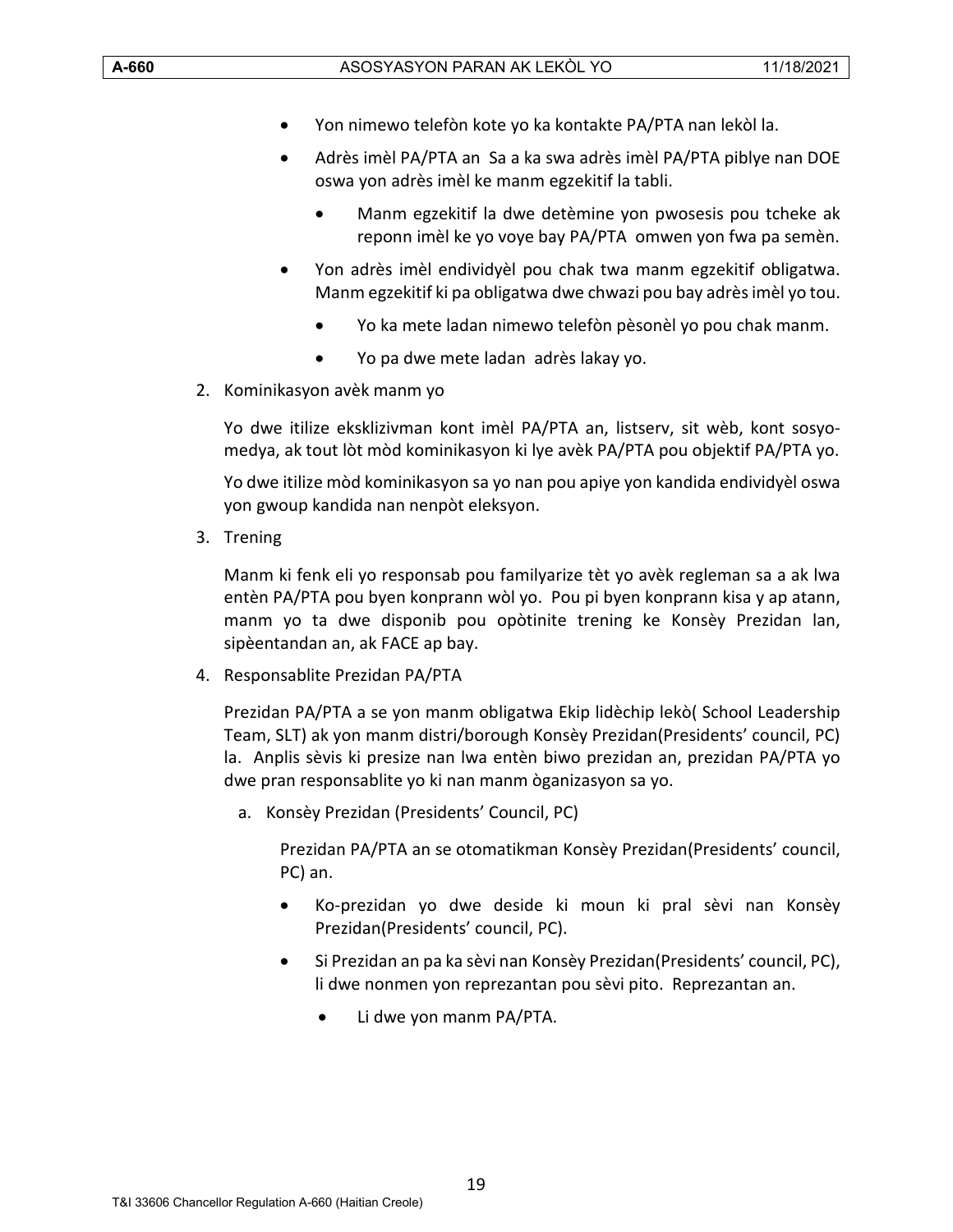- Yon nimewo telefòn kote yo ka kontakte PA/PTA nan lekòl la.
- Adrès imèl PA/PTA an Sa a ka swa adrès imèl PA/PTA piblye nan DOE oswa yon adrès imèl ke manm egzekitif la tabli.
	- Manm egzekitif la dwe detèmine yon pwosesis pou tcheke ak reponn imèl ke yo voye bay PA/PTA omwen yon fwa pa semèn.
- Yon adrès imèl endividyèl pou chak twa manm egzekitif obligatwa. Manm egzekitif ki pa obligatwa dwe chwazi pou bay adrès imèl yo tou.
	- Yo ka mete ladan nimewo telefòn pèsonèl yo pou chak manm.
	- Yo pa dwe mete ladan adrès lakay yo.
- 2. Kominikasyon avèk manm yo

Yo dwe itilize eksklizivman kont imèl PA/PTA an, listserv, sit wèb, kont sosyomedya, ak tout lòt mòd kominikasyon ki lye avèk PA/PTA pou objektif PA/PTA yo.

Yo dwe itilize mòd kominikasyon sa yo nan pou apiye yon kandida endividyèl oswa yon gwoup kandida nan nenpòt eleksyon.

3. Trening

Manm ki fenk eli yo responsab pou familyarize tèt yo avèk regleman sa a ak lwa entèn PA/PTA pou byen konprann wòl yo. Pou pi byen konprann kisa y ap atann, manm yo ta dwe disponib pou opòtinite trening ke Konsèy Prezidan lan, sipèentandan an, ak FACE ap bay.

4. Responsablite Prezidan PA/PTA

Prezidan PA/PTA a se yon manm obligatwa Ekip lidèchip lekò( School Leadership Team, SLT) ak yon manm distri/borough Konsèy Prezidan(Presidents' council, PC) la. Anplis sèvis ki presize nan lwa entèn biwo prezidan an, prezidan PA/PTA yo dwe pran responsablite yo ki nan manm òganizasyon sa yo.

a. Konsèy Prezidan (Presidents' Council, PC)

Prezidan PA/PTA an se otomatikman Konsèy Prezidan(Presidents' council, PC) an.

- Ko-prezidan yo dwe deside ki moun ki pral sèvi nan Konsèy Prezidan(Presidents' council, PC).
- Si Prezidan an pa ka sèvi nan Konsèy Prezidan(Presidents' council, PC), li dwe nonmen yon reprezantan pou sèvi pito. Reprezantan an.
	- Li dwe yon manm PA/PTA.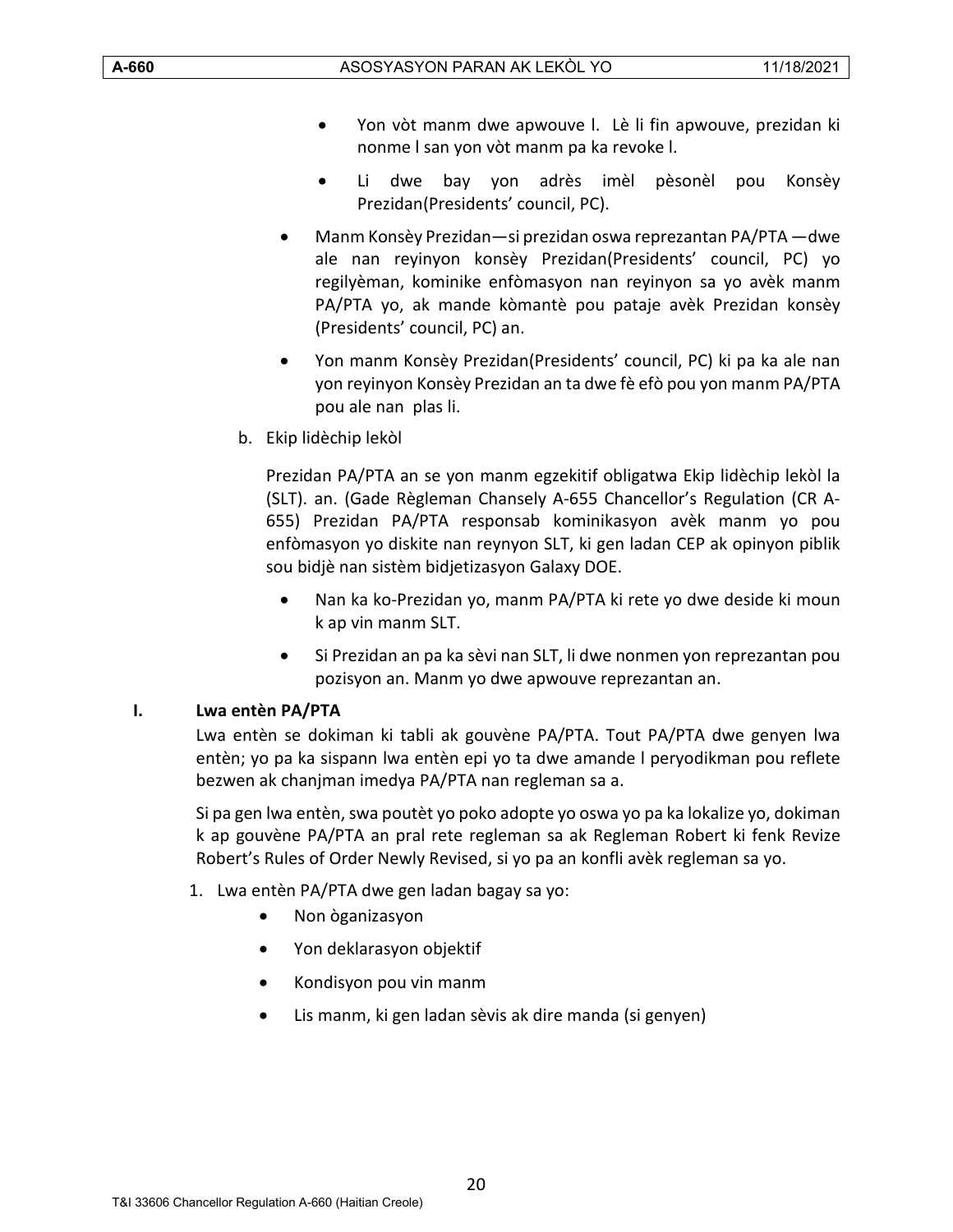- Yon vòt manm dwe apwouve l. Lè li fin apwouve, prezidan ki nonme l san yon vòt manm pa ka revoke l.
- Li dwe bay yon adrès imèl pèsonèl pou Konsèy Prezidan(Presidents' council, PC).
- Manm Konsèy Prezidan—si prezidan oswa reprezantan PA/PTA —dwe ale nan reyinyon konsèy Prezidan(Presidents' council, PC) yo regilyèman, kominike enfòmasyon nan reyinyon sa yo avèk manm PA/PTA yo, ak mande kòmantè pou pataje avèk Prezidan konsèy (Presidents' council, PC) an.
- Yon manm Konsèy Prezidan(Presidents' council, PC) ki pa ka ale nan yon reyinyon Konsèy Prezidan an ta dwe fè efò pou yon manm PA/PTA pou ale nan plas li.
- b. Ekip lidèchip lekòl

Prezidan PA/PTA an se yon manm egzekitif obligatwa Ekip lidèchip lekòl la (SLT). an. (Gade Règleman Chansely A-655 Chancellor's Regulation (CR A-655) Prezidan PA/PTA responsab kominikasyon avèk manm yo pou enfòmasyon yo diskite nan reynyon SLT, ki gen ladan CEP ak opinyon piblik sou bidjè nan sistèm bidjetizasyon Galaxy DOE.

- Nan ka ko-Prezidan yo, manm PA/PTA ki rete yo dwe deside ki moun k ap vin manm SLT.
- Si Prezidan an pa ka sèvi nan SLT, li dwe nonmen yon reprezantan pou pozisyon an. Manm yo dwe apwouve reprezantan an.

#### <span id="page-19-0"></span>**I. Lwa entèn PA/PTA**

Lwa entèn se dokiman ki tabli ak gouvène PA/PTA. Tout PA/PTA dwe genyen lwa entèn; yo pa ka sispann lwa entèn epi yo ta dwe amande l peryodikman pou reflete bezwen ak chanjman imedya PA/PTA nan regleman sa a.

Si pa gen lwa entèn, swa poutèt yo poko adopte yo oswa yo pa ka lokalize yo, dokiman k ap gouvène PA/PTA an pral rete regleman sa ak Regleman Robert ki fenk Revize Robert's Rules of Order Newly Revised, si yo pa an konfli avèk regleman sa yo.

- 1. Lwa entèn PA/PTA dwe gen ladan bagay sa yo:
	- Non òganizasyon
	- Yon deklarasyon objektif
	- Kondisyon pou vin manm
	- Lis manm, ki gen ladan sèvis ak dire manda (si genyen)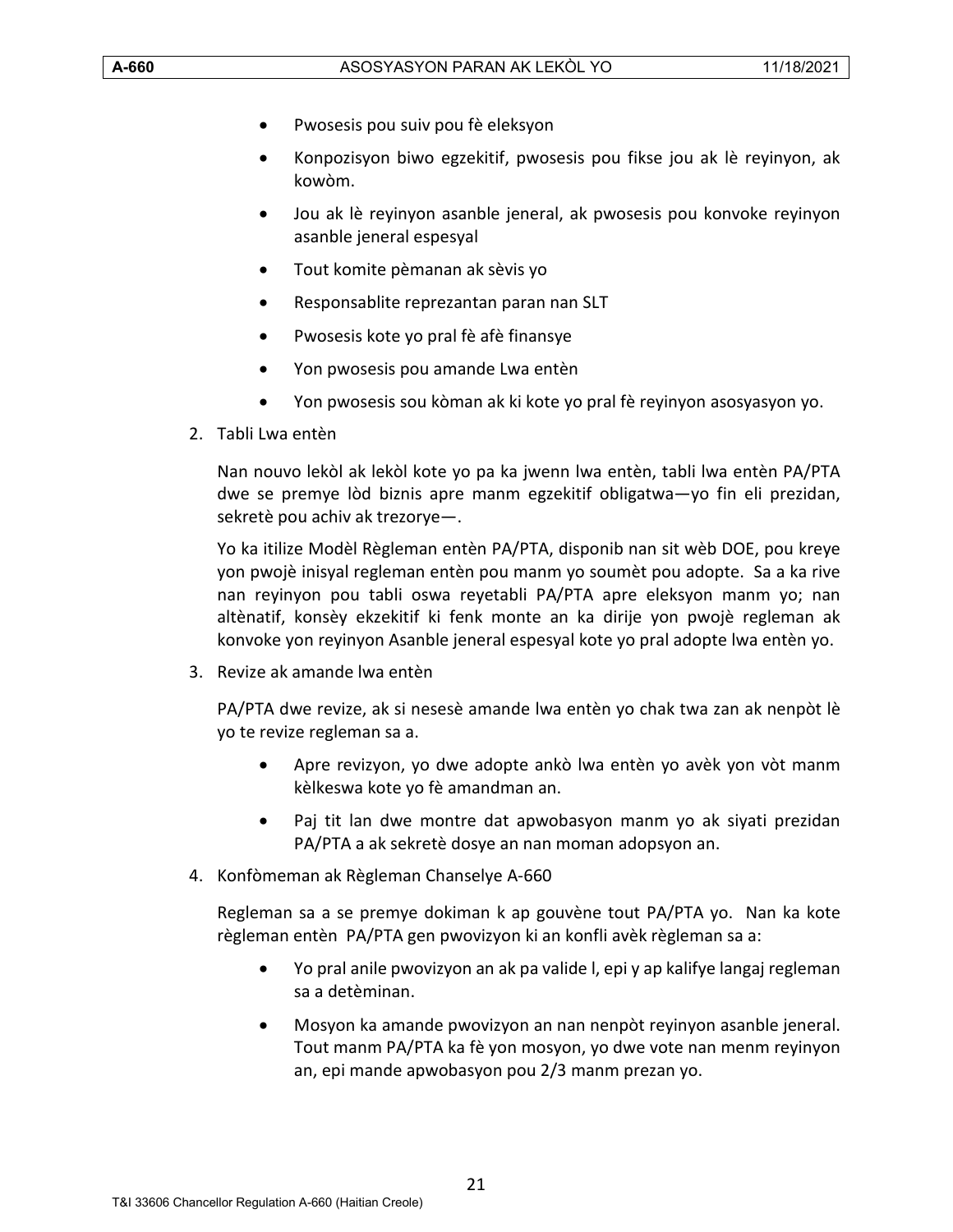- Pwosesis pou suiv pou fè eleksyon
- Konpozisyon biwo egzekitif, pwosesis pou fikse jou ak lè reyinyon, ak kowòm.
- Jou ak lè reyinyon asanble jeneral, ak pwosesis pou konvoke reyinyon asanble jeneral espesyal
- Tout komite pèmanan ak sèvis yo
- Responsablite reprezantan paran nan SLT
- Pwosesis kote yo pral fè afè finansye
- Yon pwosesis pou amande Lwa entèn
- Yon pwosesis sou kòman ak ki kote yo pral fè reyinyon asosyasyon yo.
- 2. Tabli Lwa entèn

Nan nouvo lekòl ak lekòl kote yo pa ka jwenn lwa entèn, tabli lwa entèn PA/PTA dwe se premye lòd biznis apre manm egzekitif obligatwa—yo fin eli prezidan, sekretè pou achiv ak trezorye—.

Yo ka itilize Modèl Règleman entèn PA/PTA, disponib nan sit wèb DOE, pou kreye yon pwojè inisyal regleman entèn pou manm yo soumèt pou adopte. Sa a ka rive nan reyinyon pou tabli oswa reyetabli PA/PTA apre eleksyon manm yo; nan altènatif, konsèy ekzekitif ki fenk monte an ka dirije yon pwojè regleman ak konvoke yon reyinyon Asanble jeneral espesyal kote yo pral adopte lwa entèn yo.

3. Revize ak amande lwa entèn

PA/PTA dwe revize, ak si nesesè amande lwa entèn yo chak twa zan ak nenpòt lè yo te revize regleman sa a.

- Apre revizyon, yo dwe adopte ankò lwa entèn yo avèk yon vòt manm kèlkeswa kote yo fè amandman an.
- Paj tit lan dwe montre dat apwobasyon manm yo ak siyati prezidan PA/PTA a ak sekretè dosye an nan moman adopsyon an.
- 4. Konfòmeman ak Règleman Chanselye A-660

Regleman sa a se premye dokiman k ap gouvène tout PA/PTA yo. Nan ka kote règleman entèn PA/PTA gen pwovizyon ki an konfli avèk règleman sa a:

- Yo pral anile pwovizyon an ak pa valide l, epi y ap kalifye langaj regleman sa a detèminan.
- Mosyon ka amande pwovizyon an nan nenpòt reyinyon asanble jeneral. Tout manm PA/PTA ka fè yon mosyon, yo dwe vote nan menm reyinyon an, epi mande apwobasyon pou 2/3 manm prezan yo.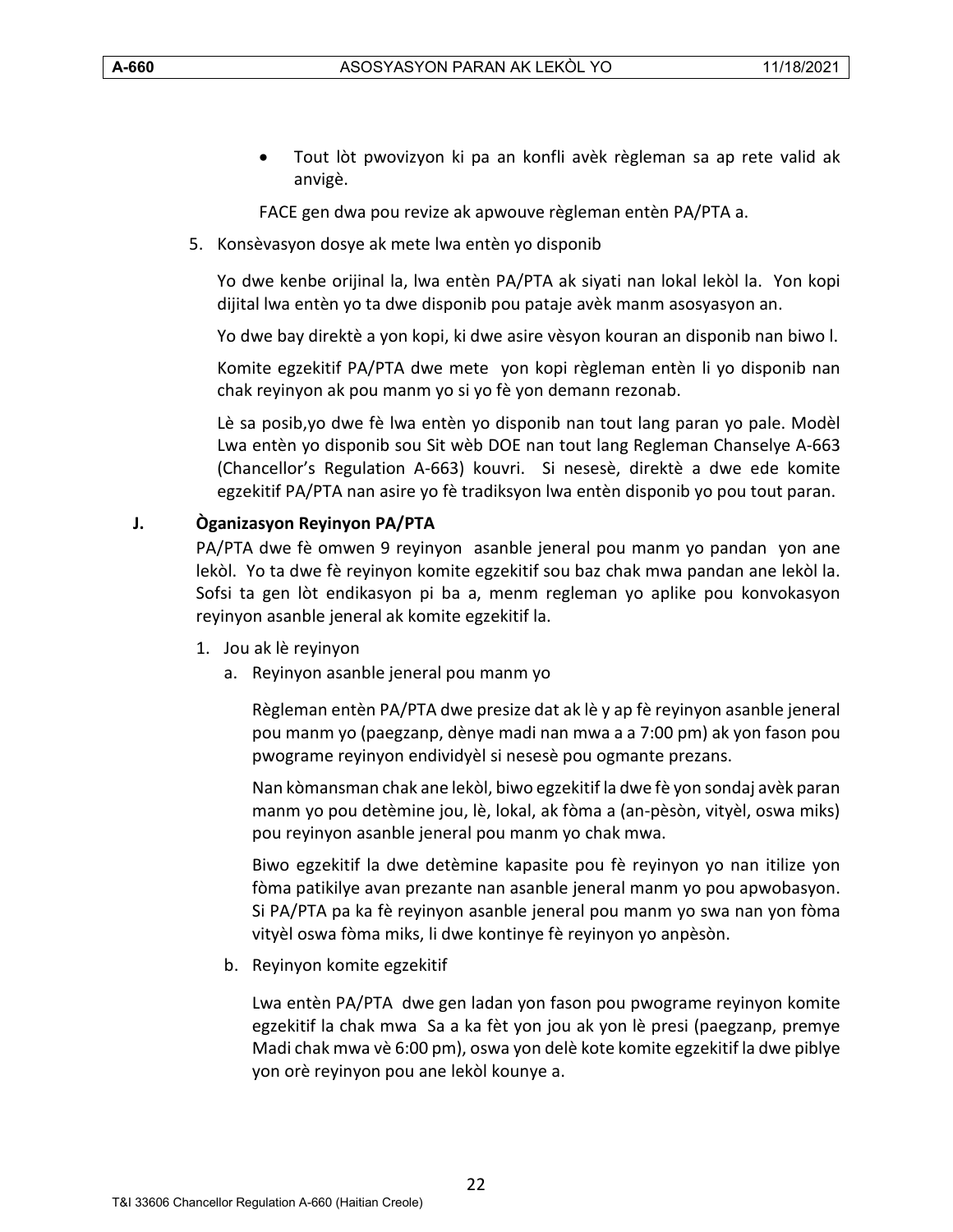• Tout lòt pwovizyon ki pa an konfli avèk règleman sa ap rete valid ak anvigè.

FACE gen dwa pou revize ak apwouve règleman entèn PA/PTA a.

5. Konsèvasyon dosye ak mete lwa entèn yo disponib

Yo dwe kenbe orijinal la, lwa entèn PA/PTA ak siyati nan lokal lekòl la. Yon kopi dijital lwa entèn yo ta dwe disponib pou pataje avèk manm asosyasyon an.

Yo dwe bay direktè a yon kopi, ki dwe asire vèsyon kouran an disponib nan biwo l.

Komite egzekitif PA/PTA dwe mete yon kopi règleman entèn li yo disponib nan chak reyinyon ak pou manm yo si yo fè yon demann rezonab.

Lè sa posib,yo dwe fè lwa entèn yo disponib nan tout lang paran yo pale. Modèl Lwa entèn yo disponib sou Sit wèb DOE nan tout lang Regleman Chanselye A-663 (Chancellor's Regulation A-663) kouvri. Si nesesè, direktè a dwe ede komite egzekitif PA/PTA nan asire yo fè tradiksyon lwa entèn disponib yo pou tout paran.

# <span id="page-21-0"></span>**J. Òganizasyon Reyinyon PA/PTA**

PA/PTA dwe fè omwen 9 reyinyon asanble jeneral pou manm yo pandan yon ane lekòl. Yo ta dwe fè reyinyon komite egzekitif sou baz chak mwa pandan ane lekòl la. Sofsi ta gen lòt endikasyon pi ba a, menm regleman yo aplike pou konvokasyon reyinyon asanble jeneral ak komite egzekitif la.

- 1. Jou ak lè reyinyon
	- a. Reyinyon asanble jeneral pou manm yo

Règleman entèn PA/PTA dwe presize dat ak lè y ap fè reyinyon asanble jeneral pou manm yo (paegzanp, dènye madi nan mwa a a 7:00 pm) ak yon fason pou pwograme reyinyon endividyèl si nesesè pou ogmante prezans.

Nan kòmansman chak ane lekòl, biwo egzekitif la dwe fè yon sondaj avèk paran manm yo pou detèmine jou, lè, lokal, ak fòma a (an-pèsòn, vityèl, oswa miks) pou reyinyon asanble jeneral pou manm yo chak mwa.

Biwo egzekitif la dwe detèmine kapasite pou fè reyinyon yo nan itilize yon fòma patikilye avan prezante nan asanble jeneral manm yo pou apwobasyon. Si PA/PTA pa ka fè reyinyon asanble jeneral pou manm yo swa nan yon fòma vityèl oswa fòma miks, li dwe kontinye fè reyinyon yo anpèsòn.

b. Reyinyon komite egzekitif

Lwa entèn PA/PTA dwe gen ladan yon fason pou pwograme reyinyon komite egzekitif la chak mwa Sa a ka fèt yon jou ak yon lè presi (paegzanp, premye Madi chak mwa vè 6:00 pm), oswa yon delè kote komite egzekitif la dwe piblye yon orè reyinyon pou ane lekòl kounye a.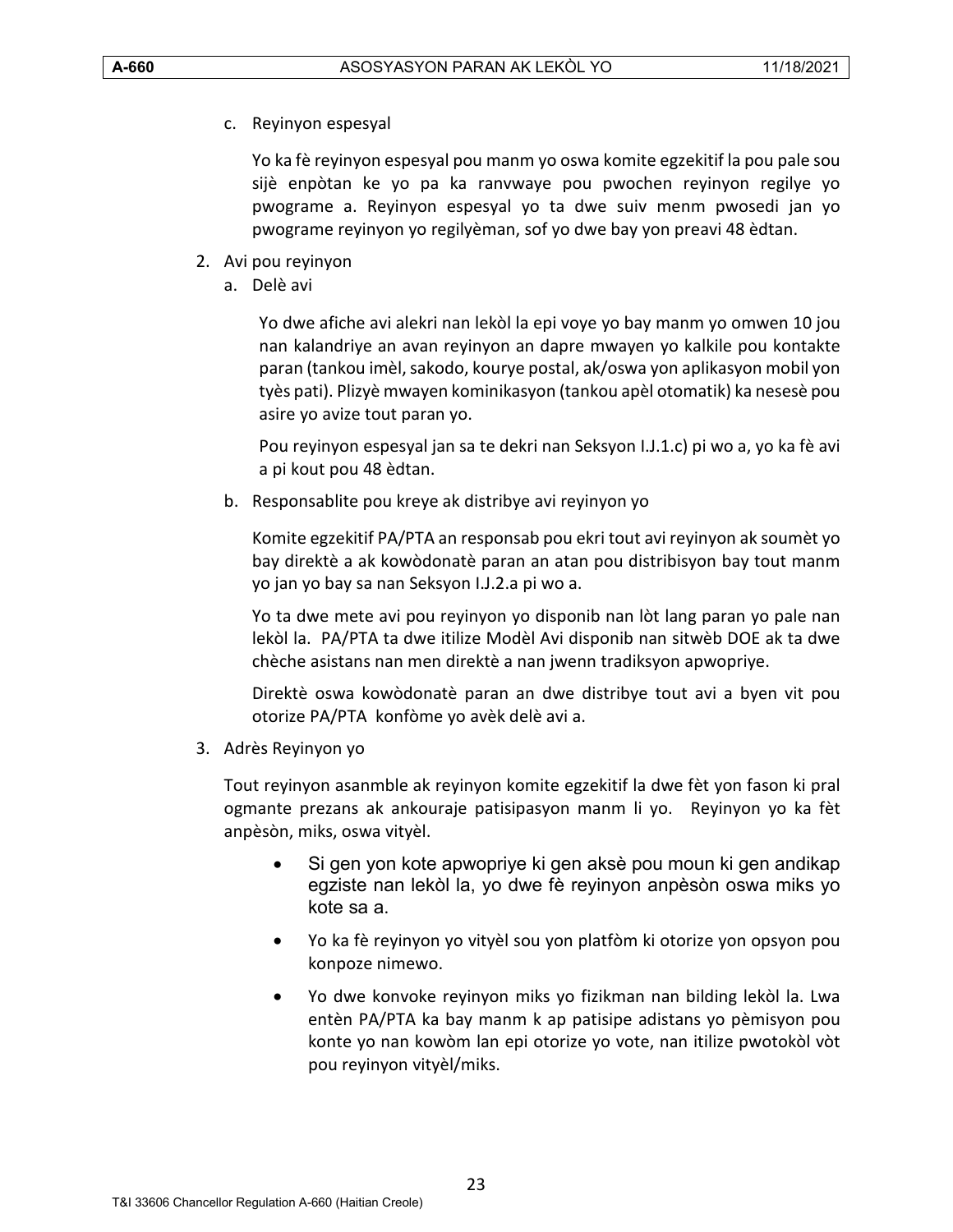c. Reyinyon espesyal

Yo ka fè reyinyon espesyal pou manm yo oswa komite egzekitif la pou pale sou sijè enpòtan ke yo pa ka ranvwaye pou pwochen reyinyon regilye yo pwograme a. Reyinyon espesyal yo ta dwe suiv menm pwosedi jan yo pwograme reyinyon yo regilyèman, sof yo dwe bay yon preavi 48 èdtan.

- 2. Avi pou reyinyon
	- a. Delè avi

Yo dwe afiche avi alekri nan lekòl la epi voye yo bay manm yo omwen 10 jou nan kalandriye an avan reyinyon an dapre mwayen yo kalkile pou kontakte paran (tankou imèl, sakodo, kourye postal, ak/oswa yon aplikasyon mobil yon tyès pati). Plizyè mwayen kominikasyon (tankou apèl otomatik) ka nesesè pou asire yo avize tout paran yo.

Pou reyinyon espesyal jan sa te dekri nan Seksyon I.J.1.c) pi wo a, yo ka fè avi a pi kout pou 48 èdtan.

b. Responsablite pou kreye ak distribye avi reyinyon yo

Komite egzekitif PA/PTA an responsab pou ekri tout avi reyinyon ak soumèt yo bay direktè a ak kowòdonatè paran an atan pou distribisyon bay tout manm yo jan yo bay sa nan Seksyon I.J.2.a pi wo a.

Yo ta dwe mete avi pou reyinyon yo disponib nan lòt lang paran yo pale nan lekòl la. PA/PTA ta dwe itilize Modèl Avi disponib nan sitwèb DOE ak ta dwe chèche asistans nan men direktè a nan jwenn tradiksyon apwopriye.

Direktè oswa kowòdonatè paran an dwe distribye tout avi a byen vit pou otorize PA/PTA konfòme yo avèk delè avi a.

3. Adrès Reyinyon yo

Tout reyinyon asanmble ak reyinyon komite egzekitif la dwe fèt yon fason ki pral ogmante prezans ak ankouraje patisipasyon manm li yo. Reyinyon yo ka fèt anpèsòn, miks, oswa vityèl.

- Si gen yon kote apwopriye ki gen aksè pou moun ki gen andikap egziste nan lekòl la, yo dwe fè reyinyon anpèsòn oswa miks yo kote sa a.
- Yo ka fè reyinyon yo vityèl sou yon platfòm ki otorize yon opsyon pou konpoze nimewo.
- Yo dwe konvoke reyinyon miks yo fizikman nan bilding lekòl la. Lwa entèn PA/PTA ka bay manm k ap patisipe adistans yo pèmisyon pou konte yo nan kowòm lan epi otorize yo vote, nan itilize pwotokòl vòt pou reyinyon vityèl/miks.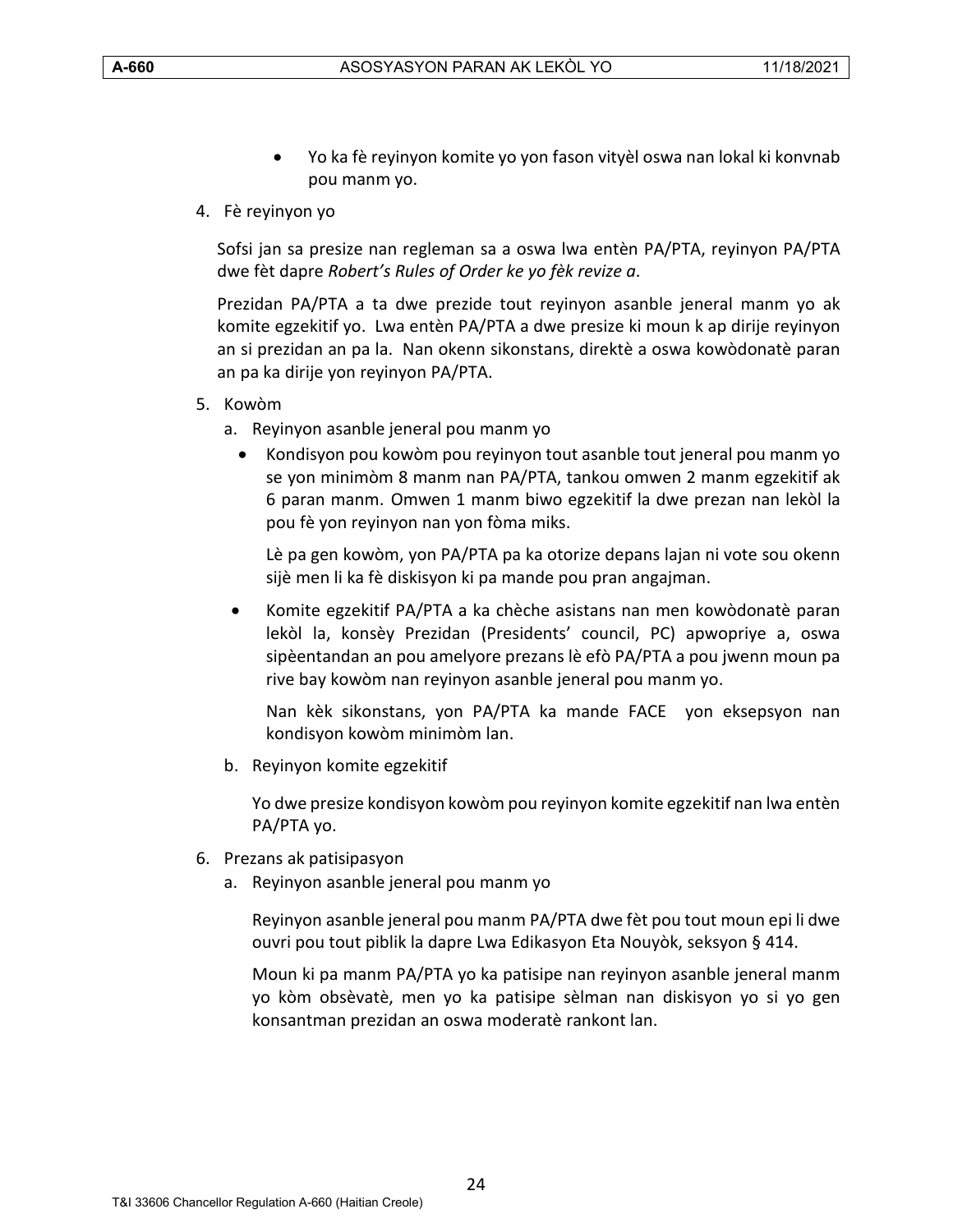- Yo ka fè reyinyon komite yo yon fason vityèl oswa nan lokal ki konvnab pou manm yo.
- 4. Fè reyinyon yo

Sofsi jan sa presize nan regleman sa a oswa lwa entèn PA/PTA, reyinyon PA/PTA dwe fèt dapre *Robert's Rules of Order ke yo fèk revize a*.

Prezidan PA/PTA a ta dwe prezide tout reyinyon asanble jeneral manm yo ak komite egzekitif yo. Lwa entèn PA/PTA a dwe presize ki moun k ap dirije reyinyon an si prezidan an pa la. Nan okenn sikonstans, direktè a oswa kowòdonatè paran an pa ka dirije yon reyinyon PA/PTA.

- 5. Kowòm
	- a. Reyinyon asanble jeneral pou manm yo
		- Kondisyon pou kowòm pou reyinyon tout asanble tout jeneral pou manm yo se yon minimòm 8 manm nan PA/PTA, tankou omwen 2 manm egzekitif ak 6 paran manm. Omwen 1 manm biwo egzekitif la dwe prezan nan lekòl la pou fè yon reyinyon nan yon fòma miks.

Lè pa gen kowòm, yon PA/PTA pa ka otorize depans lajan ni vote sou okenn sijè men li ka fè diskisyon ki pa mande pou pran angajman.

• Komite egzekitif PA/PTA a ka chèche asistans nan men kowòdonatè paran lekòl la, konsèy Prezidan (Presidents' council, PC) apwopriye a, oswa sipèentandan an pou amelyore prezans lè efò PA/PTA a pou jwenn moun pa rive bay kowòm nan reyinyon asanble jeneral pou manm yo.

Nan kèk sikonstans, yon PA/PTA ka mande FACE yon eksepsyon nan kondisyon kowòm minimòm lan.

b. Reyinyon komite egzekitif

Yo dwe presize kondisyon kowòm pou reyinyon komite egzekitif nan lwa entèn PA/PTA yo.

- 6. Prezans ak patisipasyon
	- a. Reyinyon asanble jeneral pou manm yo

Reyinyon asanble jeneral pou manm PA/PTA dwe fèt pou tout moun epi li dwe ouvri pou tout piblik la dapre Lwa Edikasyon Eta Nouyòk, seksyon § 414.

Moun ki pa manm PA/PTA yo ka patisipe nan reyinyon asanble jeneral manm yo kòm obsèvatè, men yo ka patisipe sèlman nan diskisyon yo si yo gen konsantman prezidan an oswa moderatè rankont lan.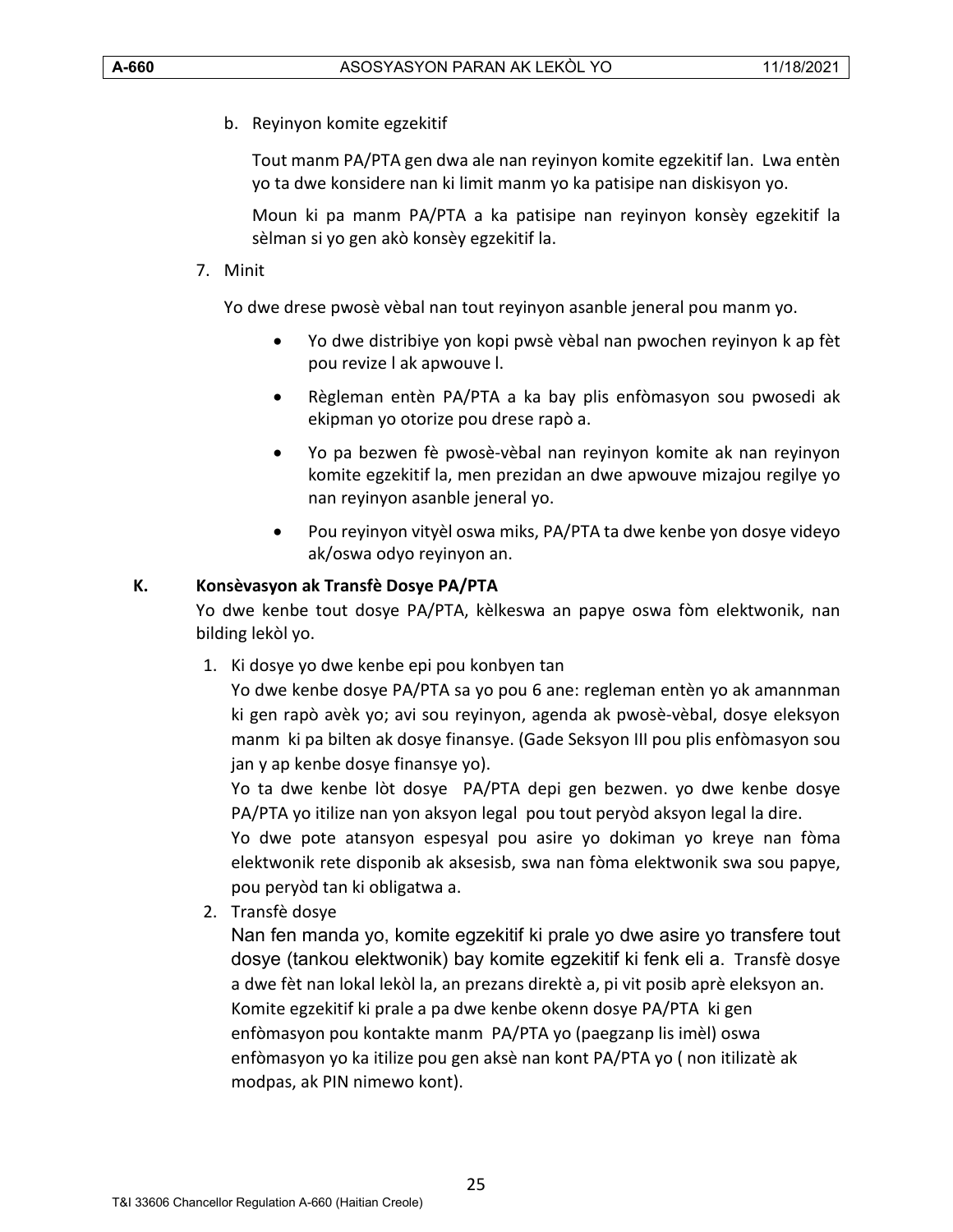b. Reyinyon komite egzekitif

Tout manm PA/PTA gen dwa ale nan reyinyon komite egzekitif lan. Lwa entèn yo ta dwe konsidere nan ki limit manm yo ka patisipe nan diskisyon yo.

Moun ki pa manm PA/PTA a ka patisipe nan reyinyon konsèy egzekitif la sèlman si yo gen akò konsèy egzekitif la.

# 7. Minit

Yo dwe drese pwosè vèbal nan tout reyinyon asanble jeneral pou manm yo.

- Yo dwe distribiye yon kopi pwsè vèbal nan pwochen reyinyon k ap fèt pou revize l ak apwouve l.
- Règleman entèn PA/PTA a ka bay plis enfòmasyon sou pwosedi ak ekipman yo otorize pou drese rapò a.
- Yo pa bezwen fè pwosè-vèbal nan reyinyon komite ak nan reyinyon komite egzekitif la, men prezidan an dwe apwouve mizajou regilye yo nan reyinyon asanble jeneral yo.
- Pou reyinyon vityèl oswa miks, PA/PTA ta dwe kenbe yon dosye videyo ak/oswa odyo reyinyon an.

# <span id="page-24-0"></span>**K. Konsèvasyon ak Transfè Dosye PA/PTA**

Yo dwe kenbe tout dosye PA/PTA, kèlkeswa an papye oswa fòm elektwonik, nan bilding lekòl yo.

1. Ki dosye yo dwe kenbe epi pou konbyen tan

Yo dwe kenbe dosye PA/PTA sa yo pou 6 ane: regleman entèn yo ak amannman ki gen rapò avèk yo; avi sou reyinyon, agenda ak pwosè-vèbal, dosye eleksyon manm ki pa bilten ak dosye finansye. (Gade Seksyon III pou plis enfòmasyon sou jan y ap kenbe dosye finansye yo).

Yo ta dwe kenbe lòt dosye PA/PTA depi gen bezwen. yo dwe kenbe dosye PA/PTA yo itilize nan yon aksyon legal pou tout peryòd aksyon legal la dire.

Yo dwe pote atansyon espesyal pou asire yo dokiman yo kreye nan fòma elektwonik rete disponib ak aksesisb, swa nan fòma elektwonik swa sou papye, pou peryòd tan ki obligatwa a.

2. Transfè dosye

Nan fen manda yo, komite egzekitif ki prale yo dwe asire yo transfere tout dosye (tankou elektwonik) bay komite egzekitif ki fenk eli a. Transfè dosye a dwe fèt nan lokal lekòl la, an prezans direktè a, pi vit posib aprè eleksyon an. Komite egzekitif ki prale a pa dwe kenbe okenn dosye PA/PTA ki gen enfòmasyon pou kontakte manm PA/PTA yo (paegzanp lis imèl) oswa enfòmasyon yo ka itilize pou gen aksè nan kont PA/PTA yo ( non itilizatè ak modpas, ak PIN nimewo kont).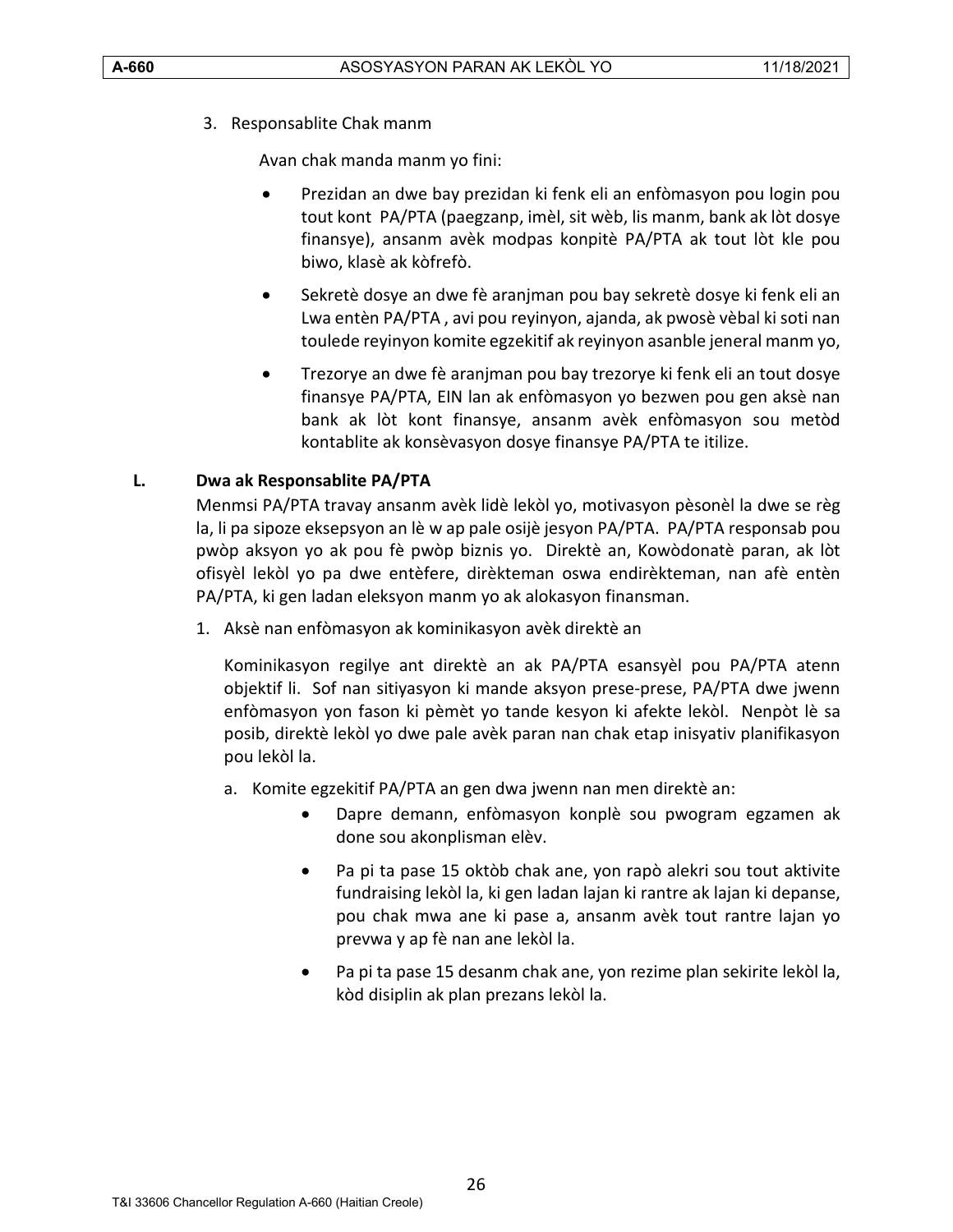3. Responsablite Chak manm

Avan chak manda manm yo fini:

- Prezidan an dwe bay prezidan ki fenk eli an enfòmasyon pou login pou tout kont PA/PTA (paegzanp, imèl, sit wèb, lis manm, bank ak lòt dosye finansye), ansanm avèk modpas konpitè PA/PTA ak tout lòt kle pou biwo, klasè ak kòfrefò.
- Sekretè dosye an dwe fè aranjman pou bay sekretè dosye ki fenk eli an Lwa entèn PA/PTA , avi pou reyinyon, ajanda, ak pwosè vèbal ki soti nan toulede reyinyon komite egzekitif ak reyinyon asanble jeneral manm yo,
- Trezorye an dwe fè aranjman pou bay trezorye ki fenk eli an tout dosye finansye PA/PTA, EIN lan ak enfòmasyon yo bezwen pou gen aksè nan bank ak lòt kont finansye, ansanm avèk enfòmasyon sou metòd kontablite ak konsèvasyon dosye finansye PA/PTA te itilize.

#### <span id="page-25-0"></span>**L. Dwa ak Responsablite PA/PTA**

Menmsi PA/PTA travay ansanm avèk lidè lekòl yo, motivasyon pèsonèl la dwe se règ la, li pa sipoze eksepsyon an lè w ap pale osijè jesyon PA/PTA. PA/PTA responsab pou pwòp aksyon yo ak pou fè pwòp biznis yo. Direktè an, Kowòdonatè paran, ak lòt ofisyèl lekòl yo pa dwe entèfere, dirèkteman oswa endirèkteman, nan afè entèn PA/PTA, ki gen ladan eleksyon manm yo ak alokasyon finansman.

1. Aksè nan enfòmasyon ak kominikasyon avèk direktè an

Kominikasyon regilye ant direktè an ak PA/PTA esansyèl pou PA/PTA atenn objektif li. Sof nan sitiyasyon ki mande aksyon prese-prese, PA/PTA dwe jwenn enfòmasyon yon fason ki pèmèt yo tande kesyon ki afekte lekòl. Nenpòt lè sa posib, direktè lekòl yo dwe pale avèk paran nan chak etap inisyativ planifikasyon pou lekòl la.

- a. Komite egzekitif PA/PTA an gen dwa jwenn nan men direktè an:
	- Dapre demann, enfòmasyon konplè sou pwogram egzamen ak done sou akonplisman elèv.
	- Pa pi ta pase 15 oktòb chak ane, yon rapò alekri sou tout aktivite fundraising lekòl la, ki gen ladan lajan ki rantre ak lajan ki depanse, pou chak mwa ane ki pase a, ansanm avèk tout rantre lajan yo prevwa y ap fè nan ane lekòl la.
	- Pa pi ta pase 15 desanm chak ane, yon rezime plan sekirite lekòl la, kòd disiplin ak plan prezans lekòl la.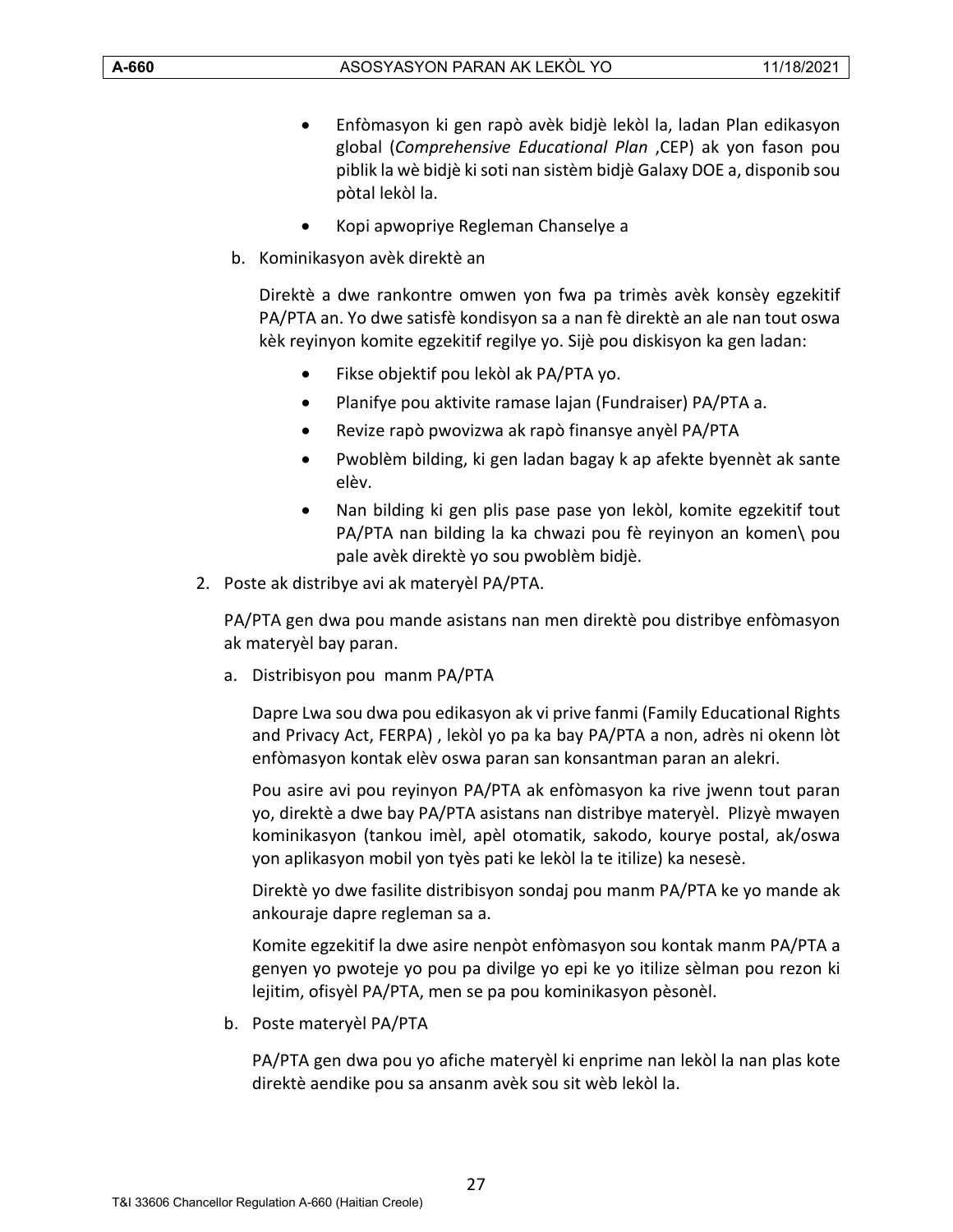- Enfòmasyon ki gen rapò avèk bidjè lekòl la, ladan Plan edikasyon global (*Comprehensive Educational Plan* ,CEP) ak yon fason pou piblik la wè bidjè ki soti nan sistèm bidjè Galaxy DOE a, disponib sou pòtal lekòl la.
- Kopi apwopriye Regleman Chanselye a
- b. Kominikasyon avèk direktè an

Direktè a dwe rankontre omwen yon fwa pa trimès avèk konsèy egzekitif PA/PTA an. Yo dwe satisfè kondisyon sa a nan fè direktè an ale nan tout oswa kèk reyinyon komite egzekitif regilye yo. Sijè pou diskisyon ka gen ladan:

- Fikse objektif pou lekòl ak PA/PTA yo.
- Planifye pou aktivite ramase lajan (Fundraiser) PA/PTA a.
- Revize rapò pwovizwa ak rapò finansye anyèl PA/PTA
- Pwoblèm bilding, ki gen ladan bagay k ap afekte byennèt ak sante elèv.
- Nan bilding ki gen plis pase pase yon lekòl, komite egzekitif tout PA/PTA nan bilding la ka chwazi pou fè reyinyon an komen\ pou pale avèk direktè yo sou pwoblèm bidjè.
- 2. Poste ak distribye avi ak materyèl PA/PTA.

PA/PTA gen dwa pou mande asistans nan men direktè pou distribye enfòmasyon ak materyèl bay paran.

a. Distribisyon pou manm PA/PTA

Dapre Lwa sou dwa pou edikasyon ak vi prive fanmi (Family Educational Rights and Privacy Act, FERPA) , lekòl yo pa ka bay PA/PTA a non, adrès ni okenn lòt enfòmasyon kontak elèv oswa paran san konsantman paran an alekri.

Pou asire avi pou reyinyon PA/PTA ak enfòmasyon ka rive jwenn tout paran yo, direktè a dwe bay PA/PTA asistans nan distribye materyèl. Plizyè mwayen kominikasyon (tankou imèl, apèl otomatik, sakodo, kourye postal, ak/oswa yon aplikasyon mobil yon tyès pati ke lekòl la te itilize) ka nesesè.

Direktè yo dwe fasilite distribisyon sondaj pou manm PA/PTA ke yo mande ak ankouraje dapre regleman sa a.

Komite egzekitif la dwe asire nenpòt enfòmasyon sou kontak manm PA/PTA a genyen yo pwoteje yo pou pa divilge yo epi ke yo itilize sèlman pou rezon ki lejitim, ofisyèl PA/PTA, men se pa pou kominikasyon pèsonèl.

b. Poste materyèl PA/PTA

PA/PTA gen dwa pou yo afiche materyèl ki enprime nan lekòl la nan plas kote direktè aendike pou sa ansanm avèk sou sit wèb lekòl la.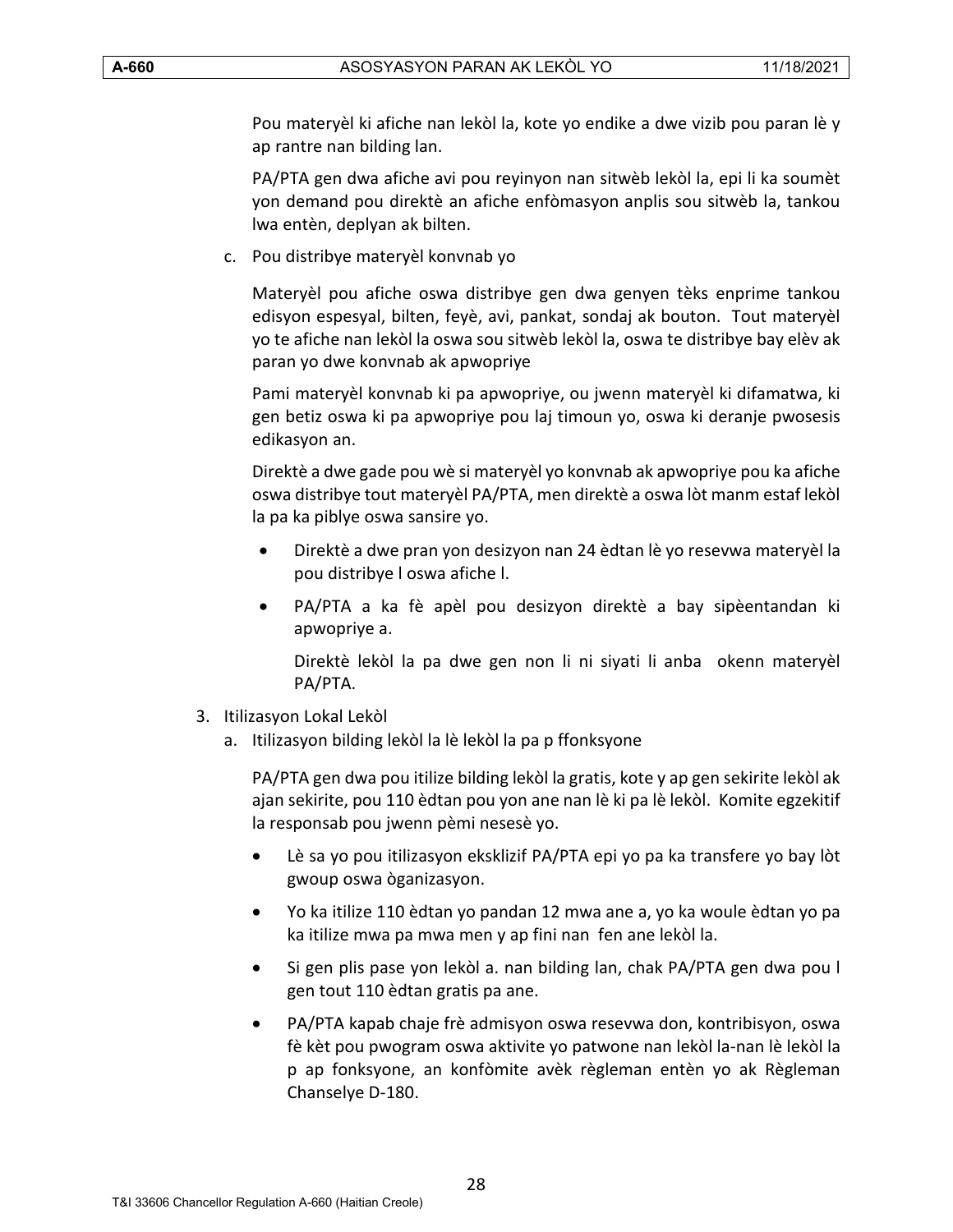Pou materyèl ki afiche nan lekòl la, kote yo endike a dwe vizib pou paran lè y ap rantre nan bilding lan.

PA/PTA gen dwa afiche avi pou reyinyon nan sitwèb lekòl la, epi li ka soumèt yon demand pou direktè an afiche enfòmasyon anplis sou sitwèb la, tankou lwa entèn, deplyan ak bilten.

c. Pou distribye materyèl konvnab yo

Materyèl pou afiche oswa distribye gen dwa genyen tèks enprime tankou edisyon espesyal, bilten, feyè, avi, pankat, sondaj ak bouton. Tout materyèl yo te afiche nan lekòl la oswa sou sitwèb lekòl la, oswa te distribye bay elèv ak paran yo dwe konvnab ak apwopriye

Pami materyèl konvnab ki pa apwopriye, ou jwenn materyèl ki difamatwa, ki gen betiz oswa ki pa apwopriye pou laj timoun yo, oswa ki deranje pwosesis edikasyon an.

Direktè a dwe gade pou wè si materyèl yo konvnab ak apwopriye pou ka afiche oswa distribye tout materyèl PA/PTA, men direktè a oswa lòt manm estaf lekòl la pa ka piblye oswa sansire yo.

- Direktè a dwe pran yon desizyon nan 24 èdtan lè yo resevwa materyèl la pou distribye l oswa afiche l.
- PA/PTA a ka fè apèl pou desizyon direktè a bay sipèentandan ki apwopriye a.

Direktè lekòl la pa dwe gen non li ni siyati li anba okenn materyèl PA/PTA.

- 3. Itilizasyon Lokal Lekòl
	- a. Itilizasyon bilding lekòl la lè lekòl la pa p ffonksyone

PA/PTA gen dwa pou itilize bilding lekòl la gratis, kote y ap gen sekirite lekòl ak ajan sekirite, pou 110 èdtan pou yon ane nan lè ki pa lè lekòl. Komite egzekitif la responsab pou jwenn pèmi nesesè yo.

- Lè sa yo pou itilizasyon eksklizif PA/PTA epi yo pa ka transfere yo bay lòt gwoup oswa òganizasyon.
- Yo ka itilize 110 èdtan yo pandan 12 mwa ane a, yo ka woule èdtan yo pa ka itilize mwa pa mwa men y ap fini nan fen ane lekòl la.
- Si gen plis pase yon lekòl a. nan bilding lan, chak PA/PTA gen dwa pou l gen tout 110 èdtan gratis pa ane.
- PA/PTA kapab chaje frè admisyon oswa resevwa don, kontribisyon, oswa fè kèt pou pwogram oswa aktivite yo patwone nan lekòl la-nan lè lekòl la p ap fonksyone, an konfòmite avèk règleman entèn yo ak Règleman Chanselye D-180.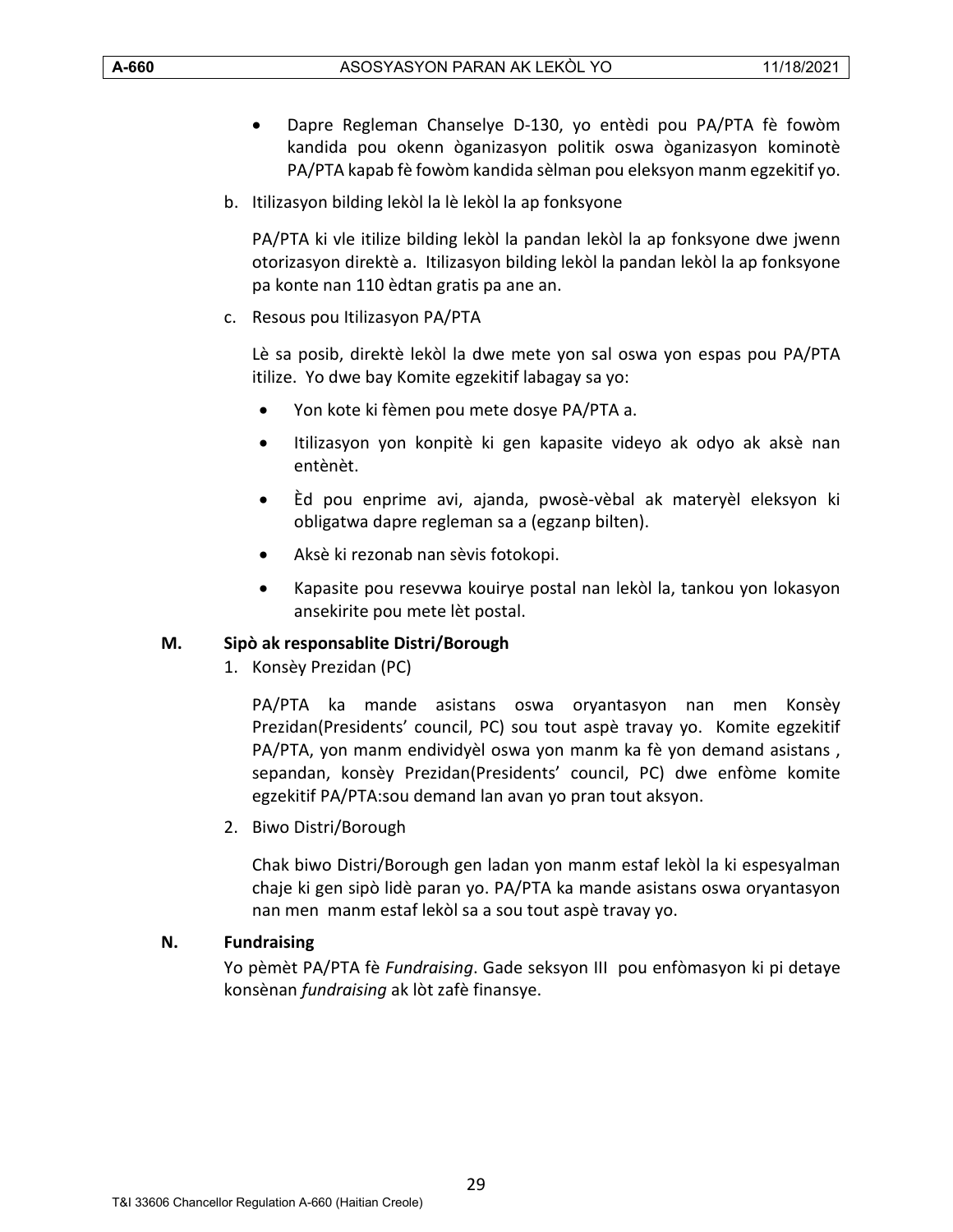- Dapre Regleman Chanselye D-130, yo entèdi pou PA/PTA fè fowòm kandida pou okenn òganizasyon politik oswa òganizasyon kominotè PA/PTA kapab fè fowòm kandida sèlman pou eleksyon manm egzekitif yo.
- b. Itilizasyon bilding lekòl la lè lekòl la ap fonksyone

PA/PTA ki vle itilize bilding lekòl la pandan lekòl la ap fonksyone dwe jwenn otorizasyon direktè a. Itilizasyon bilding lekòl la pandan lekòl la ap fonksyone pa konte nan 110 èdtan gratis pa ane an.

c. Resous pou Itilizasyon PA/PTA

Lè sa posib, direktè lekòl la dwe mete yon sal oswa yon espas pou PA/PTA itilize. Yo dwe bay Komite egzekitif labagay sa yo:

- Yon kote ki fèmen pou mete dosye PA/PTA a.
- Itilizasyon yon konpitè ki gen kapasite videyo ak odyo ak aksè nan entènèt.
- Èd pou enprime avi, ajanda, pwosè-vèbal ak materyèl eleksyon ki obligatwa dapre regleman sa a (egzanp bilten).
- Aksè ki rezonab nan sèvis fotokopi.
- Kapasite pou resevwa kouirye postal nan lekòl la, tankou yon lokasyon ansekirite pou mete lèt postal.

#### <span id="page-28-0"></span>**M. Sipò ak responsablite Distri/Borough**

1. Konsèy Prezidan (PC)

PA/PTA ka mande asistans oswa oryantasyon nan men Konsèy Prezidan(Presidents' council, PC) sou tout aspè travay yo. Komite egzekitif PA/PTA, yon manm endividyèl oswa yon manm ka fè yon demand asistans , sepandan, konsèy Prezidan(Presidents' council, PC) dwe enfòme komite egzekitif PA/PTA:sou demand lan avan yo pran tout aksyon.

2. Biwo Distri/Borough

Chak biwo Distri/Borough gen ladan yon manm estaf lekòl la ki espesyalman chaje ki gen sipò lidè paran yo. PA/PTA ka mande asistans oswa oryantasyon nan men manm estaf lekòl sa a sou tout aspè travay yo.

#### <span id="page-28-1"></span>**N. Fundraising**

Yo pèmèt PA/PTA fè *Fundraising*. Gade seksyon III pou enfòmasyon ki pi detaye konsènan *fundraising* ak lòt zafè finansye.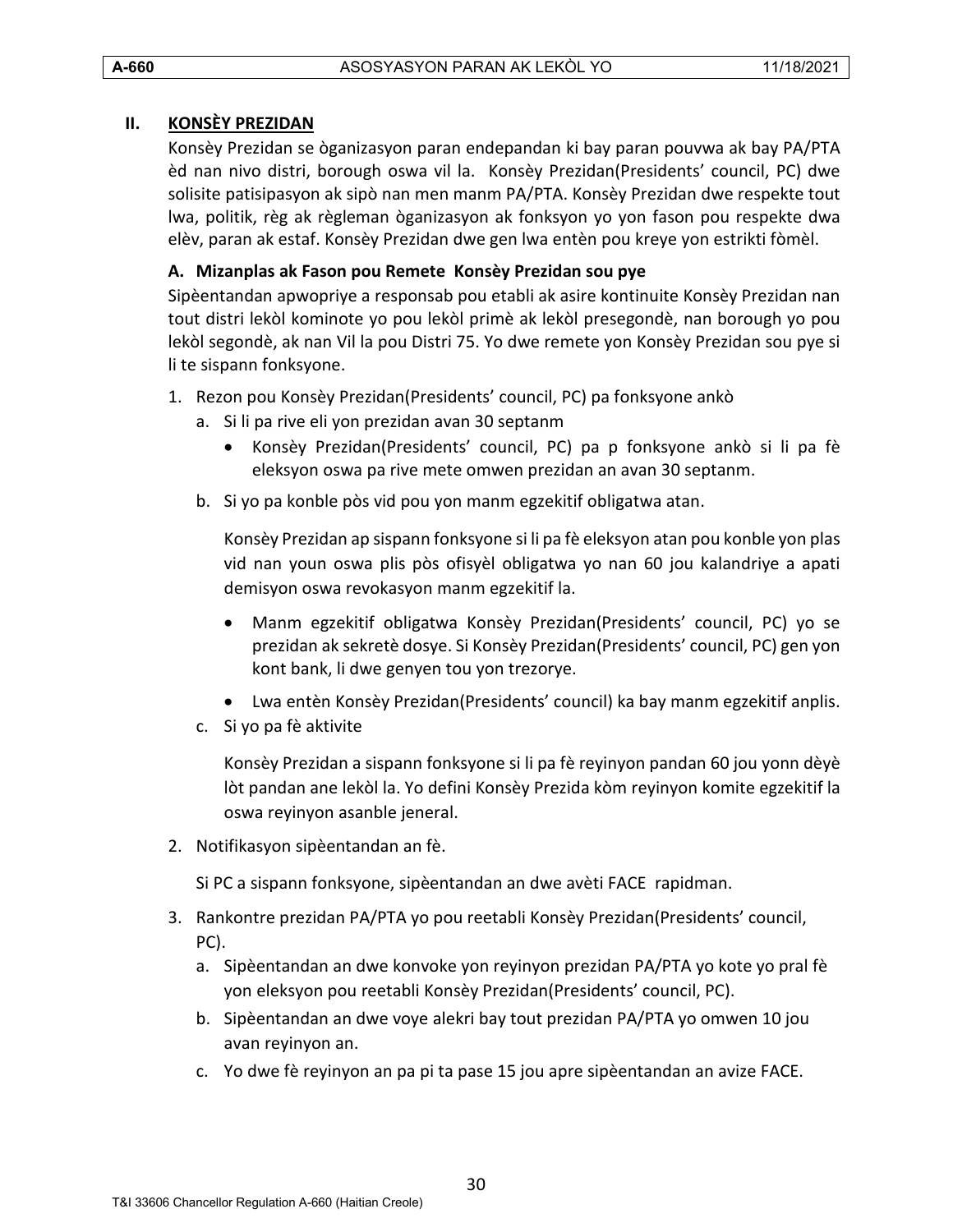#### <span id="page-29-0"></span>**II. KONSÈY PREZIDAN**

Konsèy Prezidan se òganizasyon paran endepandan ki bay paran pouvwa ak bay PA/PTA èd nan nivo distri, borough oswa vil la. Konsèy Prezidan(Presidents' council, PC) dwe solisite patisipasyon ak sipò nan men manm PA/PTA. Konsèy Prezidan dwe respekte tout lwa, politik, règ ak règleman òganizasyon ak fonksyon yo yon fason pou respekte dwa elèv, paran ak estaf. Konsèy Prezidan dwe gen lwa entèn pou kreye yon estrikti fòmèl.

#### <span id="page-29-1"></span>**A. Mizanplas ak Fason pou Remete Konsèy Prezidan sou pye**

Sipèentandan apwopriye a responsab pou etabli ak asire kontinuite Konsèy Prezidan nan tout distri lekòl kominote yo pou lekòl primè ak lekòl presegondè, nan borough yo pou lekòl segondè, ak nan Vil la pou Distri 75. Yo dwe remete yon Konsèy Prezidan sou pye si li te sispann fonksyone.

- 1. Rezon pou Konsèy Prezidan(Presidents' council, PC) pa fonksyone ankò
	- a. Si li pa rive eli yon prezidan avan 30 septanm
		- Konsèy Prezidan(Presidents' council, PC) pa p fonksyone ankò si li pa fè eleksyon oswa pa rive mete omwen prezidan an avan 30 septanm.
	- b. Si yo pa konble pòs vid pou yon manm egzekitif obligatwa atan.

Konsèy Prezidan ap sispann fonksyone si li pa fè eleksyon atan pou konble yon plas vid nan youn oswa plis pòs ofisyèl obligatwa yo nan 60 jou kalandriye a apati demisyon oswa revokasyon manm egzekitif la.

- Manm egzekitif obligatwa Konsèy Prezidan(Presidents' council, PC) yo se prezidan ak sekretè dosye. Si Konsèy Prezidan(Presidents' council, PC) gen yon kont bank, li dwe genyen tou yon trezorye.
- Lwa entèn Konsèy Prezidan(Presidents' council) ka bay manm egzekitif anplis.
- c. Si yo pa fè aktivite

Konsèy Prezidan a sispann fonksyone si li pa fè reyinyon pandan 60 jou yonn dèyè lòt pandan ane lekòl la. Yo defini Konsèy Prezida kòm reyinyon komite egzekitif la oswa reyinyon asanble jeneral.

2. Notifikasyon sipèentandan an fè.

Si PC a sispann fonksyone, sipèentandan an dwe avèti FACE rapidman.

- 3. Rankontre prezidan PA/PTA yo pou reetabli Konsèy Prezidan(Presidents' council, PC).
	- a. Sipèentandan an dwe konvoke yon reyinyon prezidan PA/PTA yo kote yo pral fè yon eleksyon pou reetabli Konsèy Prezidan(Presidents' council, PC).
	- b. Sipèentandan an dwe voye alekri bay tout prezidan PA/PTA yo omwen 10 jou avan reyinyon an.
	- c. Yo dwe fè reyinyon an pa pi ta pase 15 jou apre sipèentandan an avize FACE.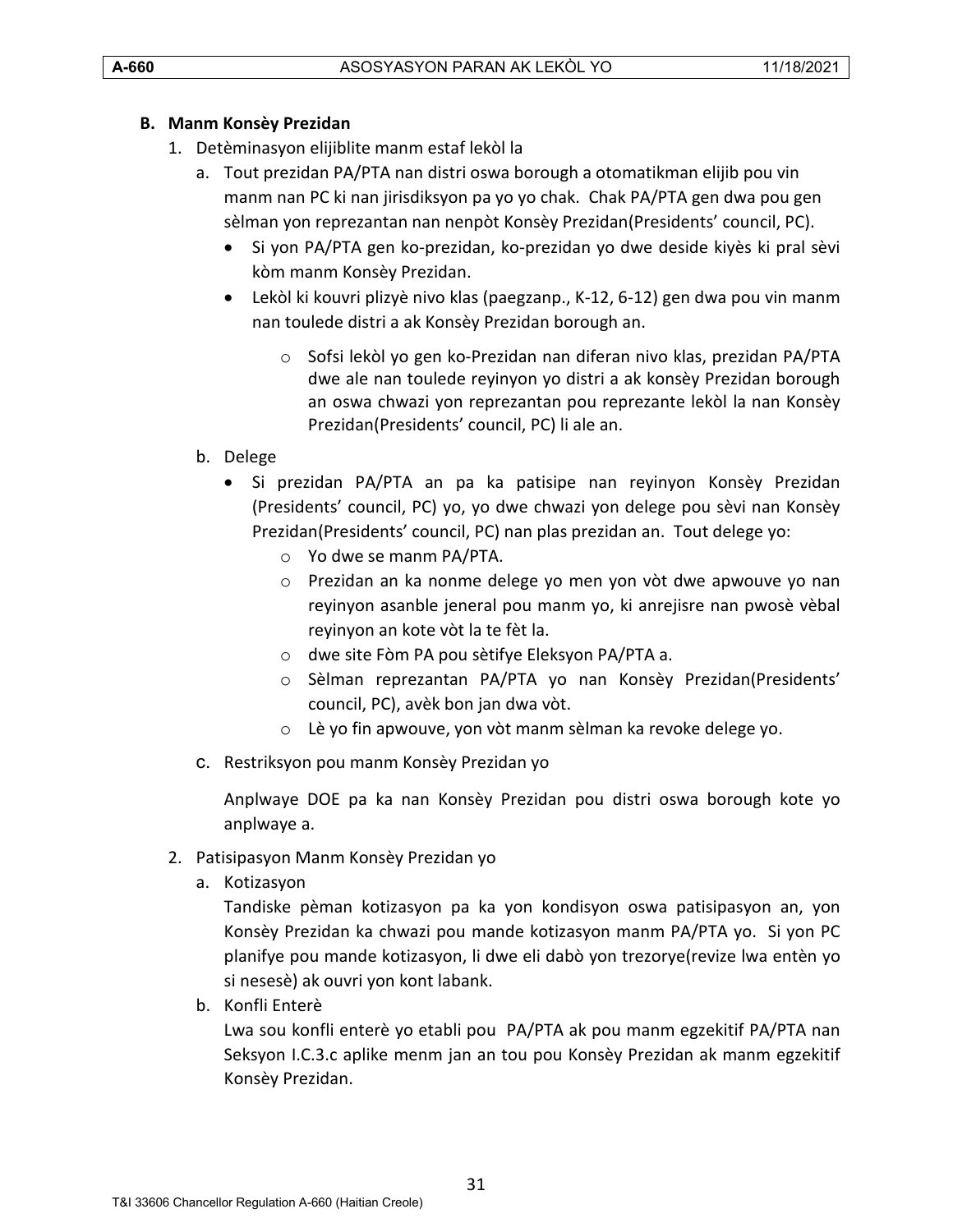# <span id="page-30-0"></span>**B. Manm Konsèy Prezidan**

- 1. Detèminasyon elijiblite manm estaf lekòl la
	- a. Tout prezidan PA/PTA nan distri oswa borough a otomatikman elijib pou vin manm nan PC ki nan jirisdiksyon pa yo yo chak. Chak PA/PTA gen dwa pou gen sèlman yon reprezantan nan nenpòt Konsèy Prezidan(Presidents' council, PC).
		- Si yon PA/PTA gen ko-prezidan, ko-prezidan yo dwe deside kiyès ki pral sèvi kòm manm Konsèy Prezidan.
		- Lekòl ki kouvri plizyè nivo klas (paegzanp., K-12, 6-12) gen dwa pou vin manm nan toulede distri a ak Konsèy Prezidan borough an.
			- o Sofsi lekòl yo gen ko-Prezidan nan diferan nivo klas, prezidan PA/PTA dwe ale nan toulede reyinyon yo distri a ak konsèy Prezidan borough an oswa chwazi yon reprezantan pou reprezante lekòl la nan Konsèy Prezidan(Presidents' council, PC) li ale an.
	- b. Delege
		- Si prezidan PA/PTA an pa ka patisipe nan reyinyon Konsèy Prezidan (Presidents' council, PC) yo, yo dwe chwazi yon delege pou sèvi nan Konsèy Prezidan(Presidents' council, PC) nan plas prezidan an. Tout delege yo:
			- o Yo dwe se manm PA/PTA.
			- o Prezidan an ka nonme delege yo men yon vòt dwe apwouve yo nan reyinyon asanble jeneral pou manm yo, ki anrejisre nan pwosè vèbal reyinyon an kote vòt la te fèt la.
			- o dwe site Fòm PA pou sètifye Eleksyon PA/PTA a.
			- o Sèlman reprezantan PA/PTA yo nan Konsèy Prezidan(Presidents' council, PC), avèk bon jan dwa vòt.
			- o Lè yo fin apwouve, yon vòt manm sèlman ka revoke delege yo.
	- c. Restriksyon pou manm Konsèy Prezidan yo

Anplwaye DOE pa ka nan Konsèy Prezidan pou distri oswa borough kote yo anplwaye a.

- 2. Patisipasyon Manm Konsèy Prezidan yo
	- a. Kotizasyon

Tandiske pèman kotizasyon pa ka yon kondisyon oswa patisipasyon an, yon Konsèy Prezidan ka chwazi pou mande kotizasyon manm PA/PTA yo. Si yon PC planifye pou mande kotizasyon, li dwe eli dabò yon trezorye(revize lwa entèn yo si nesesè) ak ouvri yon kont labank.

b. Konfli Enterè

Lwa sou konfli enterè yo etabli pou PA/PTA ak pou manm egzekitif PA/PTA nan Seksyon I.C.3.c aplike menm jan an tou pou Konsèy Prezidan ak manm egzekitif Konsèy Prezidan.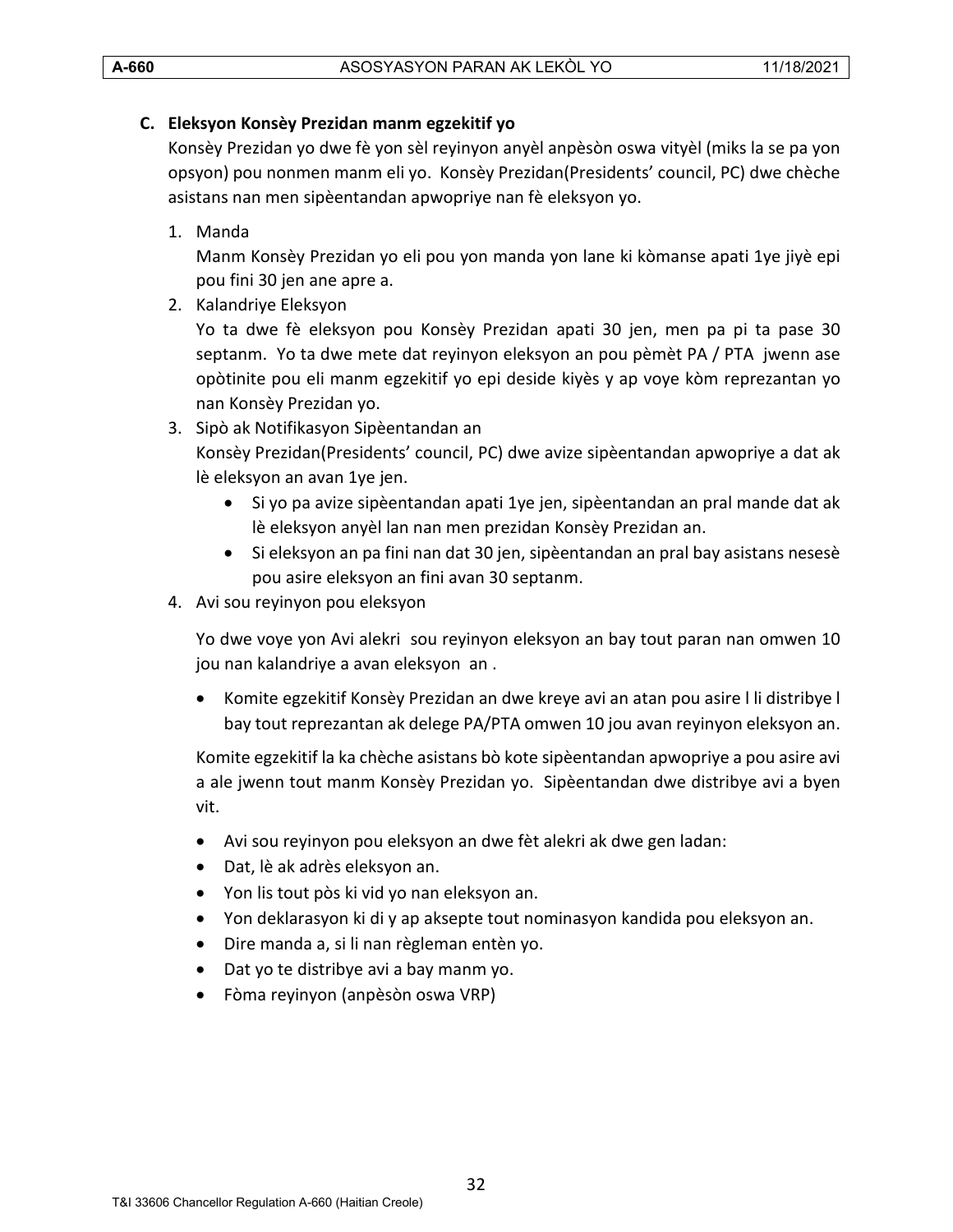# <span id="page-31-0"></span>**C. Eleksyon Konsèy Prezidan manm egzekitif yo**

Konsèy Prezidan yo dwe fè yon sèl reyinyon anyèl anpèsòn oswa vityèl (miks la se pa yon opsyon) pou nonmen manm eli yo. Konsèy Prezidan(Presidents' council, PC) dwe chèche asistans nan men sipèentandan apwopriye nan fè eleksyon yo.

1. Manda

Manm Konsèy Prezidan yo eli pou yon manda yon lane ki kòmanse apati 1ye jiyè epi pou fini 30 jen ane apre a.

2. Kalandriye Eleksyon

Yo ta dwe fè eleksyon pou Konsèy Prezidan apati 30 jen, men pa pi ta pase 30 septanm. Yo ta dwe mete dat reyinyon eleksyon an pou pèmèt PA / PTA jwenn ase opòtinite pou eli manm egzekitif yo epi deside kiyès y ap voye kòm reprezantan yo nan Konsèy Prezidan yo.

3. Sipò ak Notifikasyon Sipèentandan an

Konsèy Prezidan(Presidents' council, PC) dwe avize sipèentandan apwopriye a dat ak lè eleksyon an avan 1ye jen.

- Si yo pa avize sipèentandan apati 1ye jen, sipèentandan an pral mande dat ak lè eleksyon anyèl lan nan men prezidan Konsèy Prezidan an.
- Si eleksyon an pa fini nan dat 30 jen, sipèentandan an pral bay asistans nesesè pou asire eleksyon an fini avan 30 septanm.
- 4. Avi sou reyinyon pou eleksyon

Yo dwe voye yon Avi alekri sou reyinyon eleksyon an bay tout paran nan omwen 10 jou nan kalandriye a avan eleksyon an .

• Komite egzekitif Konsèy Prezidan an dwe kreye avi an atan pou asire l li distribye l bay tout reprezantan ak delege PA/PTA omwen 10 jou avan reyinyon eleksyon an.

Komite egzekitif la ka chèche asistans bò kote sipèentandan apwopriye a pou asire avi a ale jwenn tout manm Konsèy Prezidan yo. Sipèentandan dwe distribye avi a byen vit.

- Avi sou reyinyon pou eleksyon an dwe fèt alekri ak dwe gen ladan:
- Dat, lè ak adrès eleksyon an.
- Yon lis tout pòs ki vid yo nan eleksyon an.
- Yon deklarasyon ki di y ap aksepte tout nominasyon kandida pou eleksyon an.
- Dire manda a, si li nan règleman entèn yo.
- Dat yo te distribye avi a bay manm yo.
- Fòma reyinyon (anpèsòn oswa VRP)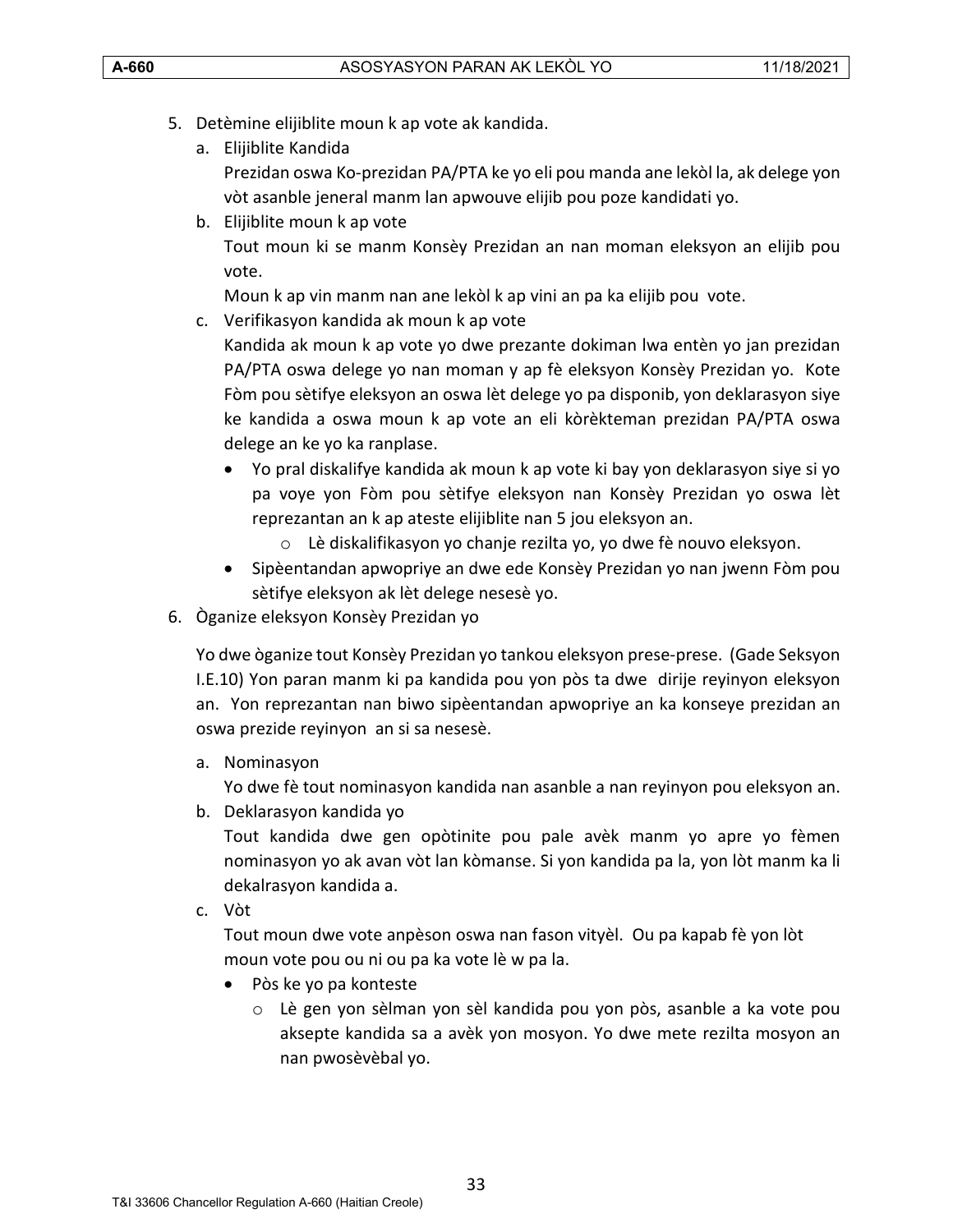- 5. Detèmine elijiblite moun k ap vote ak kandida.
	- a. Elijiblite Kandida Prezidan oswa Ko-prezidan PA/PTA ke yo eli pou manda ane lekòl la, ak delege yon vòt asanble jeneral manm lan apwouve elijib pou poze kandidati yo.
	- b. Elijiblite moun k ap vote Tout moun ki se manm Konsèy Prezidan an nan moman eleksyon an elijib pou vote.

Moun k ap vin manm nan ane lekòl k ap vini an pa ka elijib pou vote.

c. Verifikasyon kandida ak moun k ap vote

Kandida ak moun k ap vote yo dwe prezante dokiman lwa entèn yo jan prezidan PA/PTA oswa delege yo nan moman y ap fè eleksyon Konsèy Prezidan yo. Kote Fòm pou sètifye eleksyon an oswa lèt delege yo pa disponib, yon deklarasyon siye ke kandida a oswa moun k ap vote an eli kòrèkteman prezidan PA/PTA oswa delege an ke yo ka ranplase.

- Yo pral diskalifye kandida ak moun k ap vote ki bay yon deklarasyon siye si yo pa voye yon Fòm pou sètifye eleksyon nan Konsèy Prezidan yo oswa lèt reprezantan an k ap ateste elijiblite nan 5 jou eleksyon an.
	- o Lè diskalifikasyon yo chanje rezilta yo, yo dwe fè nouvo eleksyon.
- Sipèentandan apwopriye an dwe ede Konsèy Prezidan yo nan jwenn Fòm pou sètifye eleksyon ak lèt delege nesesè yo.
- 6. Òganize eleksyon Konsèy Prezidan yo

Yo dwe òganize tout Konsèy Prezidan yo tankou eleksyon prese-prese. (Gade Seksyon I.E.10) Yon paran manm ki pa kandida pou yon pòs ta dwe dirije reyinyon eleksyon an. Yon reprezantan nan biwo sipèentandan apwopriye an ka konseye prezidan an oswa prezide reyinyon an si sa nesesè.

a. Nominasyon

Yo dwe fè tout nominasyon kandida nan asanble a nan reyinyon pou eleksyon an.

b. Deklarasyon kandida yo

Tout kandida dwe gen opòtinite pou pale avèk manm yo apre yo fèmen nominasyon yo ak avan vòt lan kòmanse. Si yon kandida pa la, yon lòt manm ka li dekalrasyon kandida a.

c. Vòt

Tout moun dwe vote anpèson oswa nan fason vityèl. Ou pa kapab fè yon lòt moun vote pou ou ni ou pa ka vote lè w pa la.

- Pòs ke yo pa konteste
	- o Lè gen yon sèlman yon sèl kandida pou yon pòs, asanble a ka vote pou aksepte kandida sa a avèk yon mosyon. Yo dwe mete rezilta mosyon an nan pwosèvèbal yo.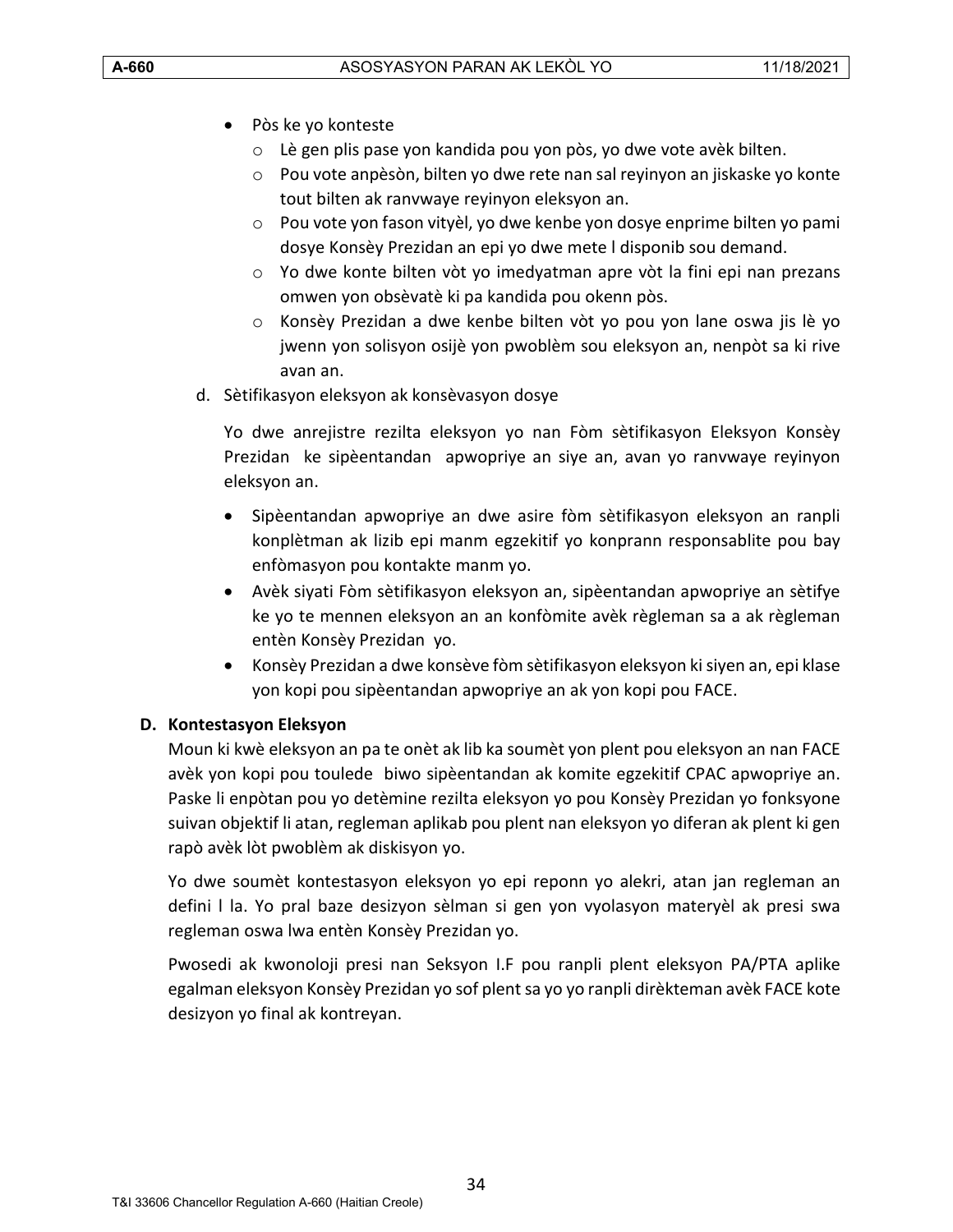- Pòs ke yo konteste
	- o Lè gen plis pase yon kandida pou yon pòs, yo dwe vote avèk bilten.
	- o Pou vote anpèsòn, bilten yo dwe rete nan sal reyinyon an jiskaske yo konte tout bilten ak ranvwaye reyinyon eleksyon an.
	- o Pou vote yon fason vityèl, yo dwe kenbe yon dosye enprime bilten yo pami dosye Konsèy Prezidan an epi yo dwe mete l disponib sou demand.
	- o Yo dwe konte bilten vòt yo imedyatman apre vòt la fini epi nan prezans omwen yon obsèvatè ki pa kandida pou okenn pòs.
	- o Konsèy Prezidan a dwe kenbe bilten vòt yo pou yon lane oswa jis lè yo jwenn yon solisyon osijè yon pwoblèm sou eleksyon an, nenpòt sa ki rive avan an.
- d. Sètifikasyon eleksyon ak konsèvasyon dosye

Yo dwe anrejistre rezilta eleksyon yo nan Fòm sètifikasyon Eleksyon Konsèy Prezidan ke sipèentandan apwopriye an siye an, avan yo ranvwaye reyinyon eleksyon an.

- Sipèentandan apwopriye an dwe asire fòm sètifikasyon eleksyon an ranpli konplètman ak lizib epi manm egzekitif yo konprann responsablite pou bay enfòmasyon pou kontakte manm yo.
- Avèk siyati Fòm sètifikasyon eleksyon an, sipèentandan apwopriye an sètifye ke yo te mennen eleksyon an an konfòmite avèk règleman sa a ak règleman entèn Konsèy Prezidan yo.
- Konsèy Prezidan a dwe konsève fòm sètifikasyon eleksyon ki siyen an, epi klase yon kopi pou sipèentandan apwopriye an ak yon kopi pou FACE.

# <span id="page-33-0"></span>**D. Kontestasyon Eleksyon**

Moun ki kwè eleksyon an pa te onèt ak lib ka soumèt yon plent pou eleksyon an nan FACE avèk yon kopi pou toulede biwo sipèentandan ak komite egzekitif CPAC apwopriye an. Paske li enpòtan pou yo detèmine rezilta eleksyon yo pou Konsèy Prezidan yo fonksyone suivan objektif li atan, regleman aplikab pou plent nan eleksyon yo diferan ak plent ki gen rapò avèk lòt pwoblèm ak diskisyon yo.

Yo dwe soumèt kontestasyon eleksyon yo epi reponn yo alekri, atan jan regleman an defini l la. Yo pral baze desizyon sèlman si gen yon vyolasyon materyèl ak presi swa regleman oswa lwa entèn Konsèy Prezidan yo.

Pwosedi ak kwonoloji presi nan Seksyon I.F pou ranpli plent eleksyon PA/PTA aplike egalman eleksyon Konsèy Prezidan yo sof plent sa yo yo ranpli dirèkteman avèk FACE kote desizyon yo final ak kontreyan.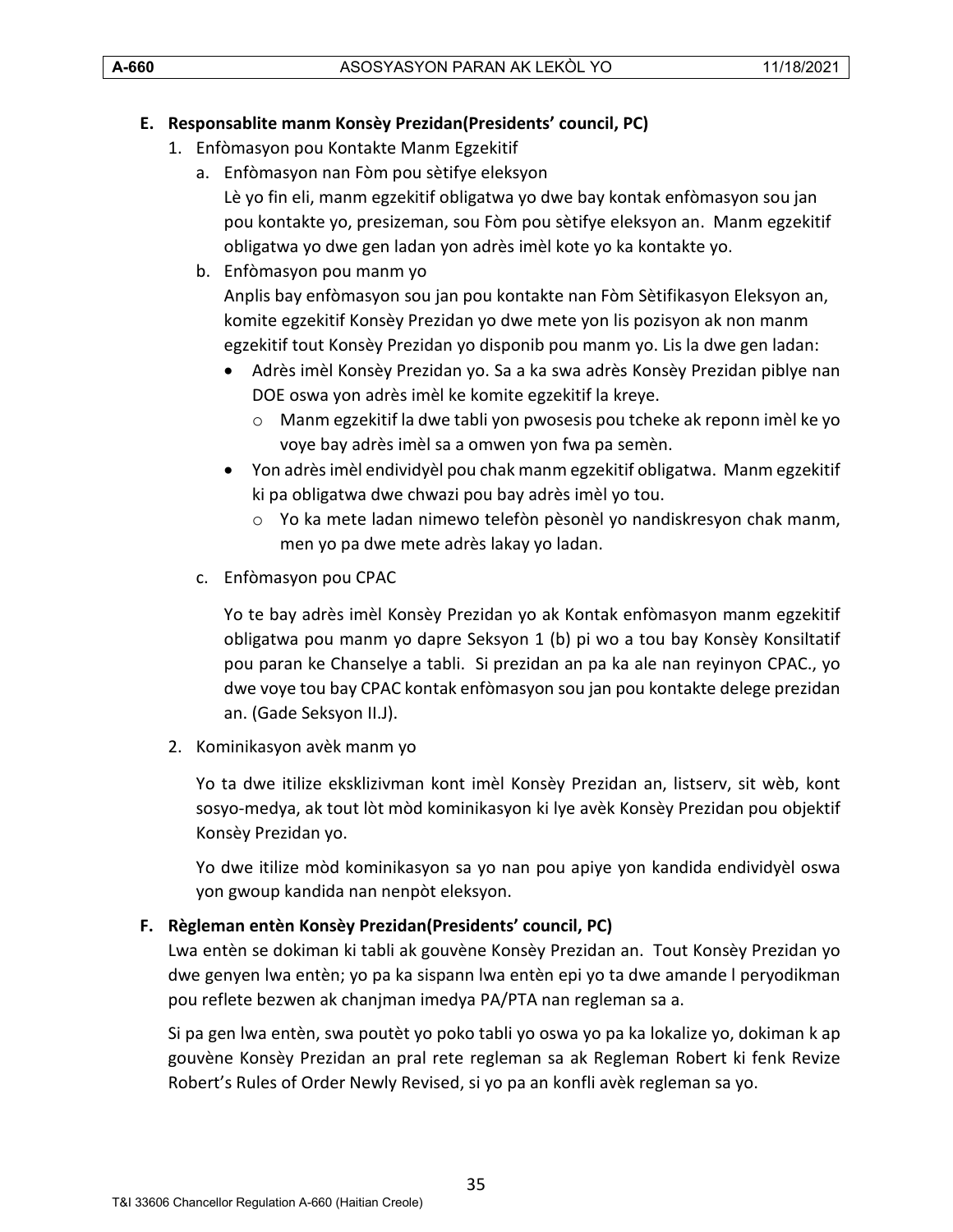# <span id="page-34-0"></span>**E. Responsablite manm Konsèy Prezidan(Presidents' council, PC)**

- 1. Enfòmasyon pou Kontakte Manm Egzekitif
	- a. Enfòmasyon nan Fòm pou sètifye eleksyon Lè yo fin eli, manm egzekitif obligatwa yo dwe bay kontak enfòmasyon sou jan pou kontakte yo, presizeman, sou Fòm pou sètifye eleksyon an. Manm egzekitif obligatwa yo dwe gen ladan yon adrès imèl kote yo ka kontakte yo.
	- b. Enfòmasyon pou manm yo Anplis bay enfòmasyon sou jan pou kontakte nan Fòm Sètifikasyon Eleksyon an, komite egzekitif Konsèy Prezidan yo dwe mete yon lis pozisyon ak non manm egzekitif tout Konsèy Prezidan yo disponib pou manm yo. Lis la dwe gen ladan:
		- Adrès imèl Konsèy Prezidan yo. Sa a ka swa adrès Konsèy Prezidan piblye nan DOE oswa yon adrès imèl ke komite egzekitif la kreye.
			- o Manm egzekitif la dwe tabli yon pwosesis pou tcheke ak reponn imèl ke yo voye bay adrès imèl sa a omwen yon fwa pa semèn.
		- Yon adrès imèl endividyèl pou chak manm egzekitif obligatwa. Manm egzekitif ki pa obligatwa dwe chwazi pou bay adrès imèl yo tou.
			- o Yo ka mete ladan nimewo telefòn pèsonèl yo nandiskresyon chak manm, men yo pa dwe mete adrès lakay yo ladan.
	- c. Enfòmasyon pou CPAC

Yo te bay adrès imèl Konsèy Prezidan yo ak Kontak enfòmasyon manm egzekitif obligatwa pou manm yo dapre Seksyon 1 (b) pi wo a tou bay Konsèy Konsiltatif pou paran ke Chanselye a tabli. Si prezidan an pa ka ale nan reyinyon CPAC., yo dwe voye tou bay CPAC kontak enfòmasyon sou jan pou kontakte delege prezidan an. (Gade Seksyon II.J).

2. Kominikasyon avèk manm yo

Yo ta dwe itilize eksklizivman kont imèl Konsèy Prezidan an, listserv, sit wèb, kont sosyo-medya, ak tout lòt mòd kominikasyon ki lye avèk Konsèy Prezidan pou objektif Konsèy Prezidan yo.

Yo dwe itilize mòd kominikasyon sa yo nan pou apiye yon kandida endividyèl oswa yon gwoup kandida nan nenpòt eleksyon.

#### <span id="page-34-1"></span>**F. Règleman entèn Konsèy Prezidan(Presidents' council, PC)**

Lwa entèn se dokiman ki tabli ak gouvène Konsèy Prezidan an. Tout Konsèy Prezidan yo dwe genyen lwa entèn; yo pa ka sispann lwa entèn epi yo ta dwe amande l peryodikman pou reflete bezwen ak chanjman imedya PA/PTA nan regleman sa a.

Si pa gen lwa entèn, swa poutèt yo poko tabli yo oswa yo pa ka lokalize yo, dokiman k ap gouvène Konsèy Prezidan an pral rete regleman sa ak Regleman Robert ki fenk Revize Robert's Rules of Order Newly Revised, si yo pa an konfli avèk regleman sa yo.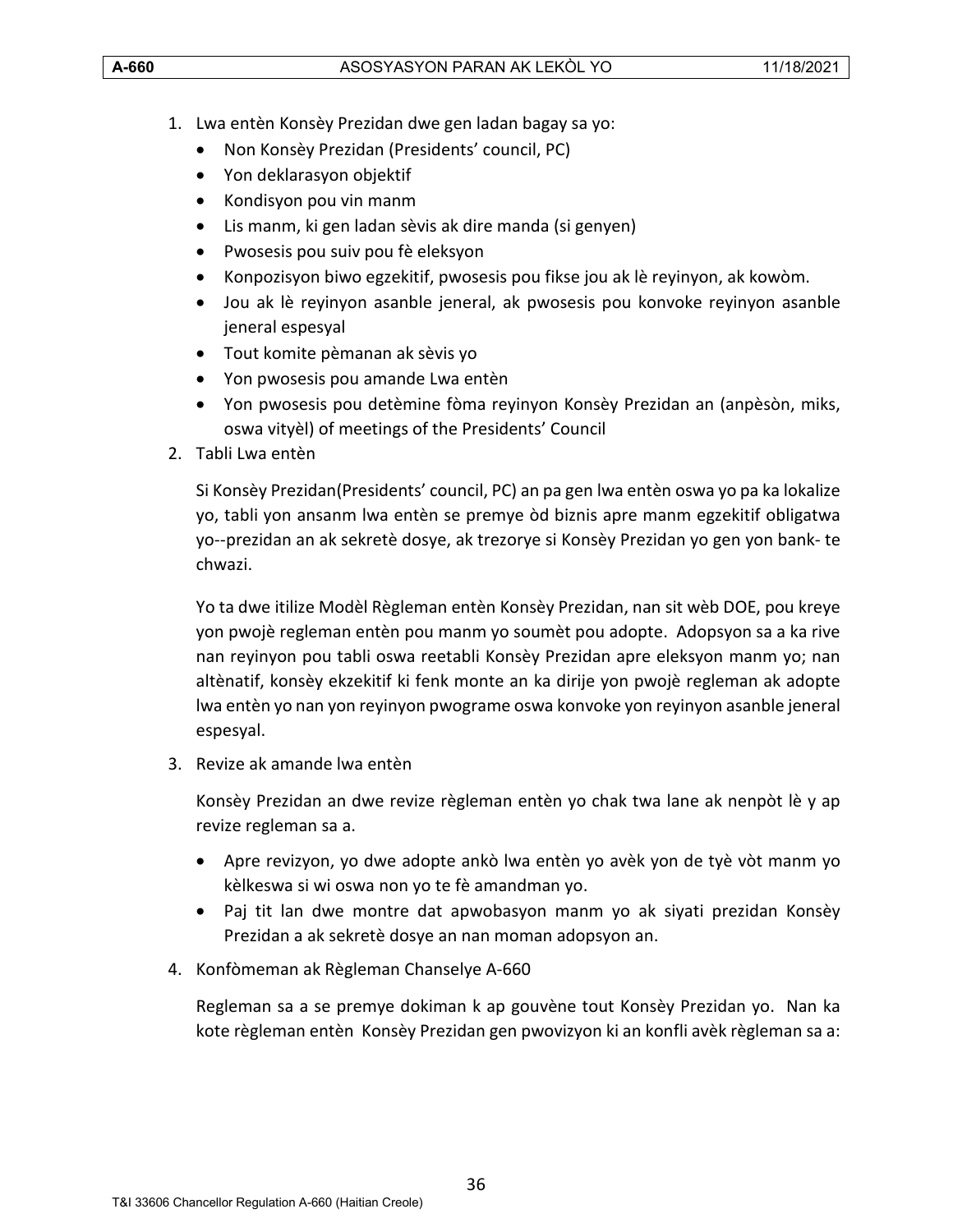- 1. Lwa entèn Konsèy Prezidan dwe gen ladan bagay sa yo:
	- Non Konsèy Prezidan (Presidents' council, PC)
	- Yon deklarasyon objektif
	- Kondisyon pou vin manm
	- Lis manm, ki gen ladan sèvis ak dire manda (si genyen)
	- Pwosesis pou suiv pou fè eleksyon
	- Konpozisyon biwo egzekitif, pwosesis pou fikse jou ak lè reyinyon, ak kowòm.
	- Jou ak lè reyinyon asanble jeneral, ak pwosesis pou konvoke reyinyon asanble jeneral espesyal
	- Tout komite pèmanan ak sèvis yo
	- Yon pwosesis pou amande Lwa entèn
	- Yon pwosesis pou detèmine fòma reyinyon Konsèy Prezidan an (anpèsòn, miks, oswa vityèl) of meetings of the Presidents' Council
- 2. Tabli Lwa entèn

Si Konsèy Prezidan(Presidents' council, PC) an pa gen lwa entèn oswa yo pa ka lokalize yo, tabli yon ansanm lwa entèn se premye òd biznis apre manm egzekitif obligatwa yo--prezidan an ak sekretè dosye, ak trezorye si Konsèy Prezidan yo gen yon bank- te chwazi.

Yo ta dwe itilize Modèl Règleman entèn Konsèy Prezidan, nan sit wèb DOE, pou kreye yon pwojè regleman entèn pou manm yo soumèt pou adopte. Adopsyon sa a ka rive nan reyinyon pou tabli oswa reetabli Konsèy Prezidan apre eleksyon manm yo; nan altènatif, konsèy ekzekitif ki fenk monte an ka dirije yon pwojè regleman ak adopte lwa entèn yo nan yon reyinyon pwograme oswa konvoke yon reyinyon asanble jeneral espesyal.

3. Revize ak amande lwa entèn

Konsèy Prezidan an dwe revize règleman entèn yo chak twa lane ak nenpòt lè y ap revize regleman sa a.

- Apre revizyon, yo dwe adopte ankò lwa entèn yo avèk yon de tyè vòt manm yo kèlkeswa si wi oswa non yo te fè amandman yo.
- Paj tit lan dwe montre dat apwobasyon manm yo ak siyati prezidan Konsèy Prezidan a ak sekretè dosye an nan moman adopsyon an.
- 4. Konfòmeman ak Règleman Chanselye A-660

Regleman sa a se premye dokiman k ap gouvène tout Konsèy Prezidan yo. Nan ka kote règleman entèn Konsèy Prezidan gen pwovizyon ki an konfli avèk règleman sa a: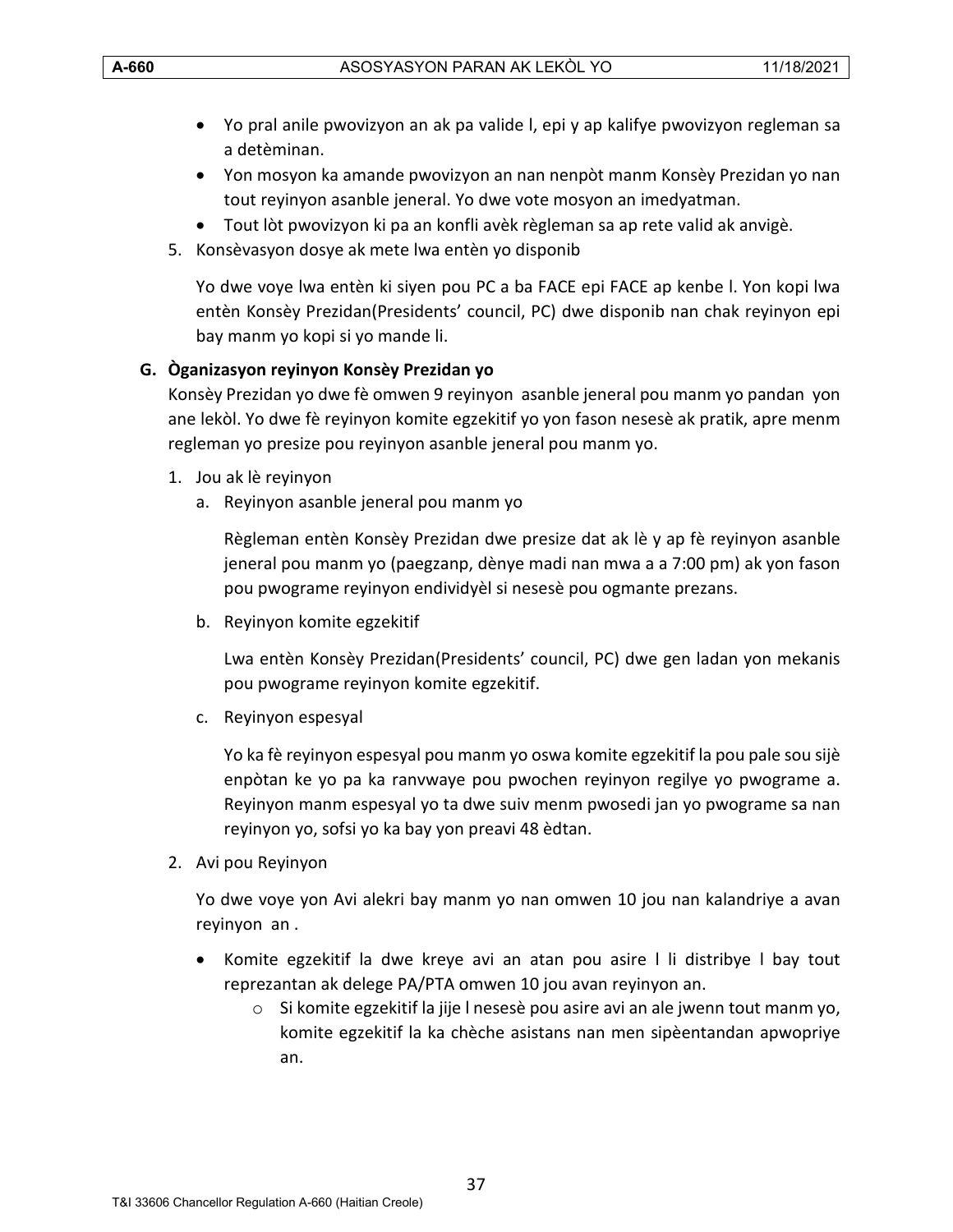- Yo pral anile pwovizyon an ak pa valide l, epi y ap kalifye pwovizyon regleman sa a detèminan.
- Yon mosyon ka amande pwovizyon an nan nenpòt manm Konsèy Prezidan yo nan tout reyinyon asanble jeneral. Yo dwe vote mosyon an imedyatman.
- Tout lòt pwovizyon ki pa an konfli avèk règleman sa ap rete valid ak anvigè.
- 5. Konsèvasyon dosye ak mete lwa entèn yo disponib

Yo dwe voye lwa entèn ki siyen pou PC a ba FACE epi FACE ap kenbe l. Yon kopi lwa entèn Konsèy Prezidan(Presidents' council, PC) dwe disponib nan chak reyinyon epi bay manm yo kopi si yo mande li.

#### <span id="page-36-0"></span>**G. Òganizasyon reyinyon Konsèy Prezidan yo**

Konsèy Prezidan yo dwe fè omwen 9 reyinyon asanble jeneral pou manm yo pandan yon ane lekòl. Yo dwe fè reyinyon komite egzekitif yo yon fason nesesè ak pratik, apre menm regleman yo presize pou reyinyon asanble jeneral pou manm yo.

- 1. Jou ak lè reyinyon
	- a. Reyinyon asanble jeneral pou manm yo

Règleman entèn Konsèy Prezidan dwe presize dat ak lè y ap fè reyinyon asanble jeneral pou manm yo (paegzanp, dènye madi nan mwa a a 7:00 pm) ak yon fason pou pwograme reyinyon endividyèl si nesesè pou ogmante prezans.

b. Reyinyon komite egzekitif

Lwa entèn Konsèy Prezidan(Presidents' council, PC) dwe gen ladan yon mekanis pou pwograme reyinyon komite egzekitif.

c. Reyinyon espesyal

Yo ka fè reyinyon espesyal pou manm yo oswa komite egzekitif la pou pale sou sijè enpòtan ke yo pa ka ranvwaye pou pwochen reyinyon regilye yo pwograme a. Reyinyon manm espesyal yo ta dwe suiv menm pwosedi jan yo pwograme sa nan reyinyon yo, sofsi yo ka bay yon preavi 48 èdtan.

2. Avi pou Reyinyon

Yo dwe voye yon Avi alekri bay manm yo nan omwen 10 jou nan kalandriye a avan reyinyon an .

- Komite egzekitif la dwe kreye avi an atan pou asire l li distribye l bay tout reprezantan ak delege PA/PTA omwen 10 jou avan reyinyon an.
	- $\circ$  Si komite egzekitif la jije l nesesè pou asire avi an ale jwenn tout manm yo, komite egzekitif la ka chèche asistans nan men sipèentandan apwopriye an.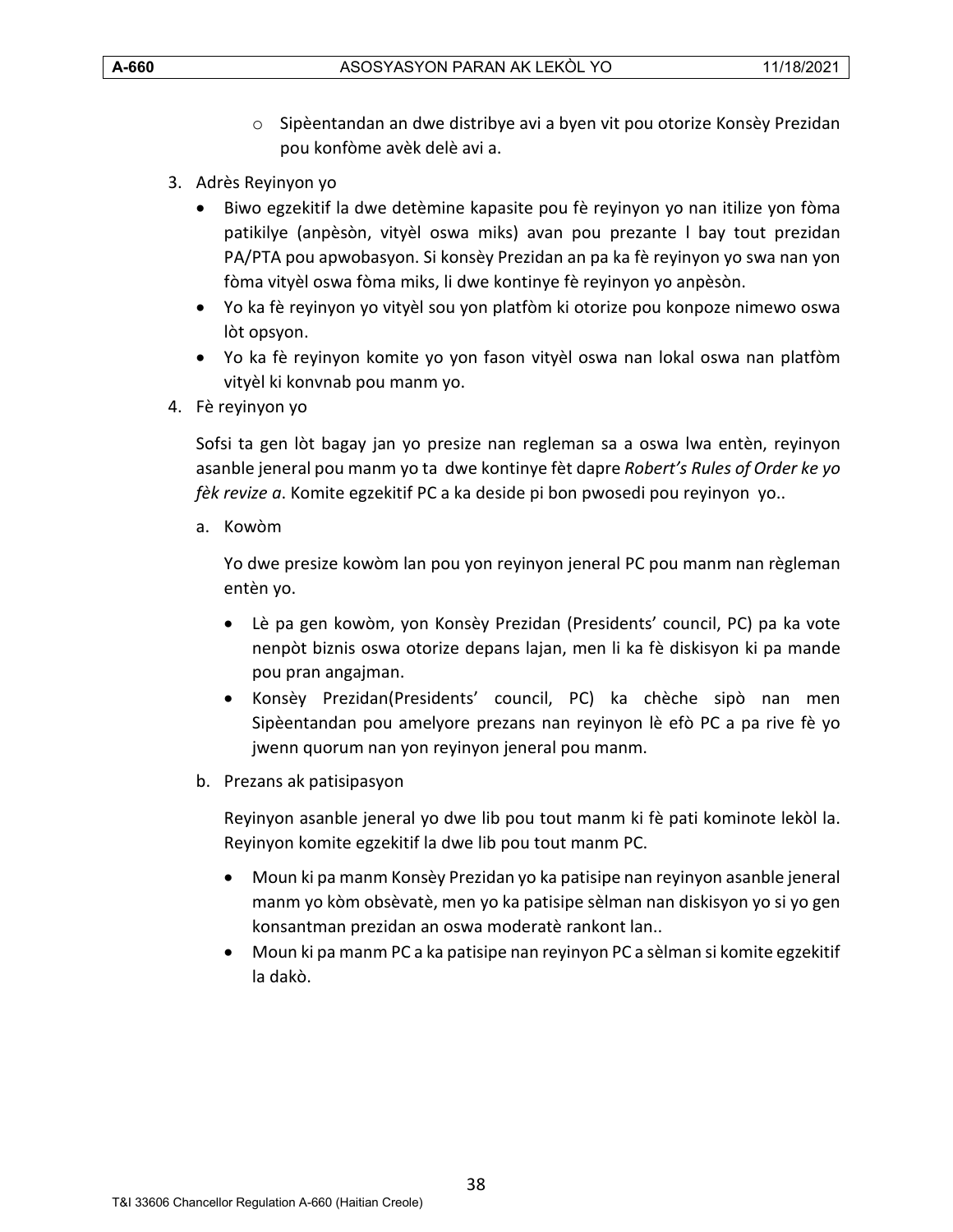- o Sipèentandan an dwe distribye avi a byen vit pou otorize Konsèy Prezidan pou konfòme avèk delè avi a.
- 3. Adrès Reyinyon yo
	- Biwo egzekitif la dwe detèmine kapasite pou fè reyinyon yo nan itilize yon fòma patikilye (anpèsòn, vityèl oswa miks) avan pou prezante l bay tout prezidan PA/PTA pou apwobasyon. Si konsèy Prezidan an pa ka fè reyinyon yo swa nan yon fòma vityèl oswa fòma miks, li dwe kontinye fè reyinyon yo anpèsòn.
	- Yo ka fè reyinyon yo vityèl sou yon platfòm ki otorize pou konpoze nimewo oswa lòt opsyon.
	- Yo ka fè reyinyon komite yo yon fason vityèl oswa nan lokal oswa nan platfòm vityèl ki konvnab pou manm yo.
- 4. Fè reyinyon yo

Sofsi ta gen lòt bagay jan yo presize nan regleman sa a oswa lwa entèn, reyinyon asanble jeneral pou manm yo ta dwe kontinye fèt dapre *Robert's Rules of Order ke yo fèk revize a*. Komite egzekitif PC a ka deside pi bon pwosedi pou reyinyon yo..

a. Kowòm

Yo dwe presize kowòm lan pou yon reyinyon jeneral PC pou manm nan règleman entèn yo.

- Lè pa gen kowòm, yon Konsèy Prezidan (Presidents' council, PC) pa ka vote nenpòt biznis oswa otorize depans lajan, men li ka fè diskisyon ki pa mande pou pran angajman.
- Konsèy Prezidan(Presidents' council, PC) ka chèche sipò nan men Sipèentandan pou amelyore prezans nan reyinyon lè efò PC a pa rive fè yo jwenn quorum nan yon reyinyon jeneral pou manm.
- b. Prezans ak patisipasyon

Reyinyon asanble jeneral yo dwe lib pou tout manm ki fè pati kominote lekòl la. Reyinyon komite egzekitif la dwe lib pou tout manm PC.

- Moun ki pa manm Konsèy Prezidan yo ka patisipe nan reyinyon asanble jeneral manm yo kòm obsèvatè, men yo ka patisipe sèlman nan diskisyon yo si yo gen konsantman prezidan an oswa moderatè rankont lan..
- Moun ki pa manm PC a ka patisipe nan reyinyon PC a sèlman si komite egzekitif la dakò.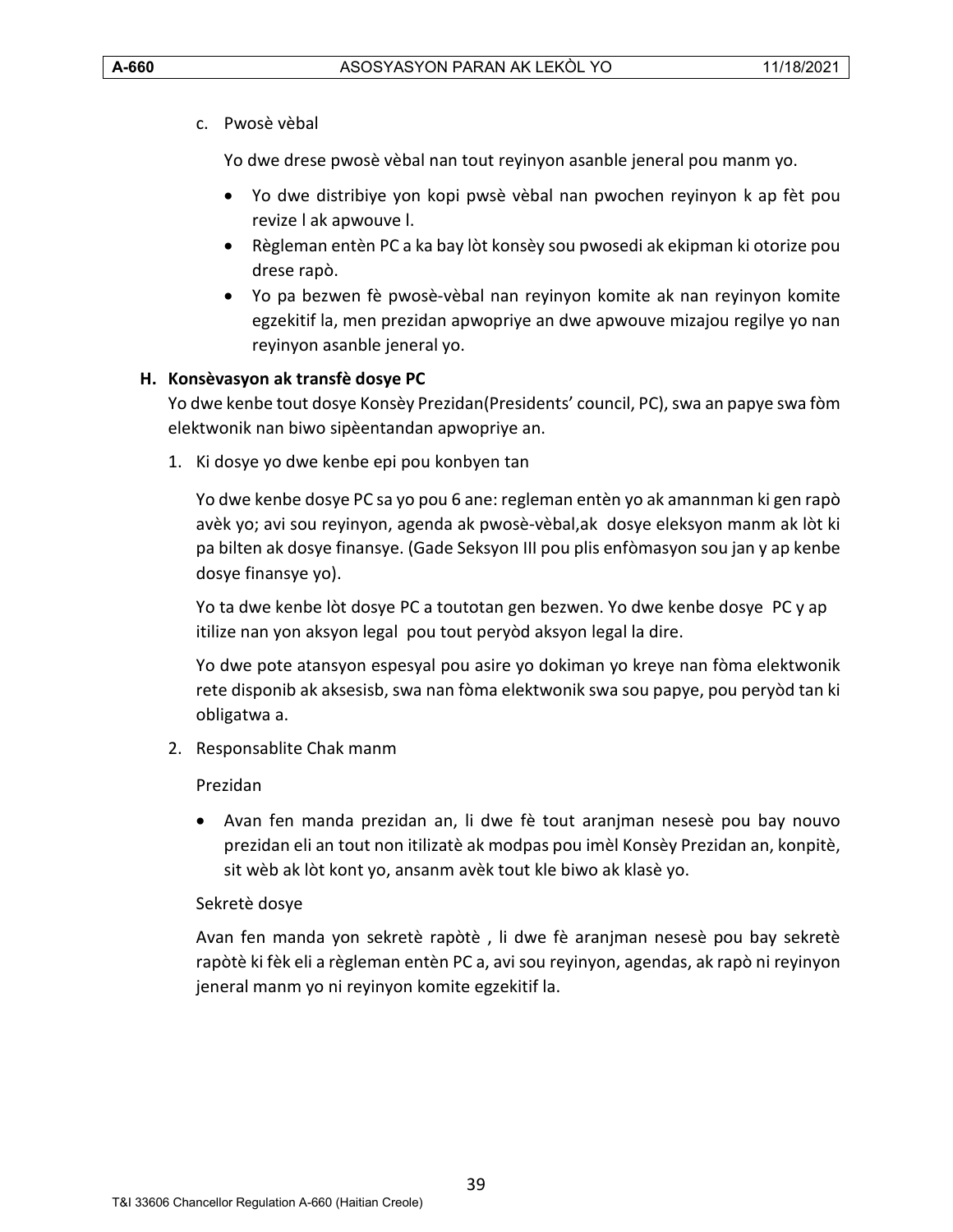c. Pwosè vèbal

Yo dwe drese pwosè vèbal nan tout reyinyon asanble jeneral pou manm yo.

- Yo dwe distribiye yon kopi pwsè vèbal nan pwochen reyinyon k ap fèt pou revize l ak apwouve l.
- Règleman entèn PC a ka bay lòt konsèy sou pwosedi ak ekipman ki otorize pou drese rapò.
- Yo pa bezwen fè pwosè-vèbal nan reyinyon komite ak nan reyinyon komite egzekitif la, men prezidan apwopriye an dwe apwouve mizajou regilye yo nan reyinyon asanble jeneral yo.

# <span id="page-38-0"></span>**H. Konsèvasyon ak transfè dosye PC**

Yo dwe kenbe tout dosye Konsèy Prezidan(Presidents' council, PC), swa an papye swa fòm elektwonik nan biwo sipèentandan apwopriye an.

1. Ki dosye yo dwe kenbe epi pou konbyen tan

Yo dwe kenbe dosye PC sa yo pou 6 ane: regleman entèn yo ak amannman ki gen rapò avèk yo; avi sou reyinyon, agenda ak pwosè-vèbal,ak dosye eleksyon manm ak lòt ki pa bilten ak dosye finansye. (Gade Seksyon III pou plis enfòmasyon sou jan y ap kenbe dosye finansye yo).

Yo ta dwe kenbe lòt dosye PC a toutotan gen bezwen. Yo dwe kenbe dosye PC y ap itilize nan yon aksyon legal pou tout peryòd aksyon legal la dire.

Yo dwe pote atansyon espesyal pou asire yo dokiman yo kreye nan fòma elektwonik rete disponib ak aksesisb, swa nan fòma elektwonik swa sou papye, pou peryòd tan ki obligatwa a.

2. Responsablite Chak manm

#### Prezidan

• Avan fen manda prezidan an, li dwe fè tout aranjman nesesè pou bay nouvo prezidan eli an tout non itilizatè ak modpas pou imèl Konsèy Prezidan an, konpitè, sit wèb ak lòt kont yo, ansanm avèk tout kle biwo ak klasè yo.

# Sekretè dosye

Avan fen manda yon sekretè rapòtè , li dwe fè aranjman nesesè pou bay sekretè rapòtè ki fèk eli a règleman entèn PC a, avi sou reyinyon, agendas, ak rapò ni reyinyon jeneral manm yo ni reyinyon komite egzekitif la.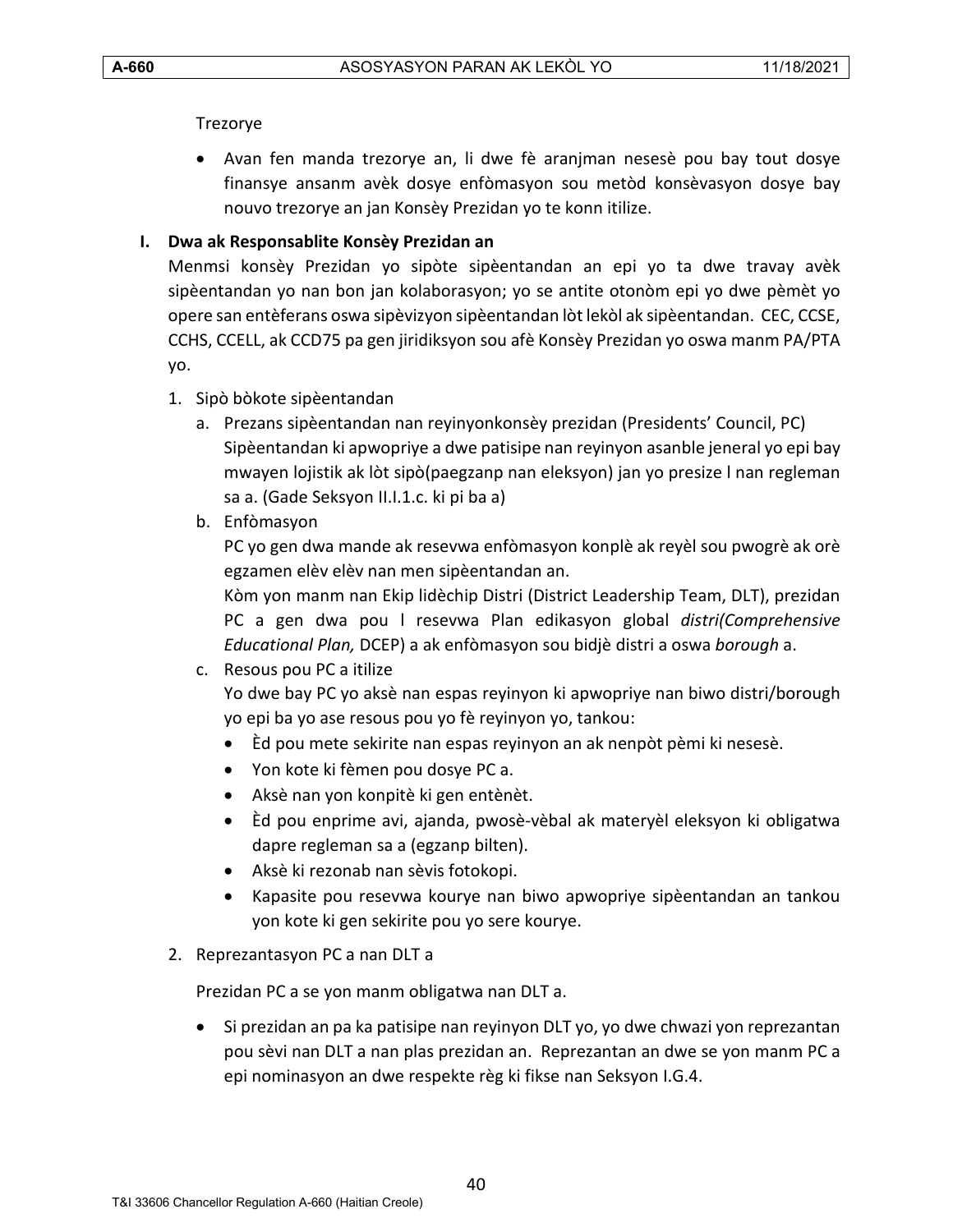# Trezorye

• Avan fen manda trezorye an, li dwe fè aranjman nesesè pou bay tout dosye finansye ansanm avèk dosye enfòmasyon sou metòd konsèvasyon dosye bay nouvo trezorye an jan Konsèy Prezidan yo te konn itilize.

# <span id="page-39-0"></span>**I. Dwa ak Responsablite Konsèy Prezidan an**

Menmsi konsèy Prezidan yo sipòte sipèentandan an epi yo ta dwe travay avèk sipèentandan yo nan bon jan kolaborasyon; yo se antite otonòm epi yo dwe pèmèt yo opere san entèferans oswa sipèvizyon sipèentandan lòt lekòl ak sipèentandan. CEC, CCSE, CCHS, CCELL, ak CCD75 pa gen jiridiksyon sou afè Konsèy Prezidan yo oswa manm PA/PTA yo.

- 1. Sipò bòkote sipèentandan
	- a. Prezans sipèentandan nan reyinyonkonsèy prezidan (Presidents' Council, PC) Sipèentandan ki apwopriye a dwe patisipe nan reyinyon asanble jeneral yo epi bay mwayen lojistik ak lòt sipò(paegzanp nan eleksyon) jan yo presize l nan regleman sa a. (Gade Seksyon II.I.1.c. ki pi ba a)
	- b. Enfòmasyon

PC yo gen dwa mande ak resevwa enfòmasyon konplè ak reyèl sou pwogrè ak orè egzamen elèv elèv nan men sipèentandan an.

Kòm yon manm nan Ekip lidèchip Distri (District Leadership Team, DLT), prezidan PC a gen dwa pou l resevwa Plan edikasyon global *distri(Comprehensive Educational Plan,* DCEP) a ak enfòmasyon sou bidjè distri a oswa *borough* a.

# c. Resous pou PC a itilize

Yo dwe bay PC yo aksè nan espas reyinyon ki apwopriye nan biwo distri/borough yo epi ba yo ase resous pou yo fè reyinyon yo, tankou:

- Èd pou mete sekirite nan espas reyinyon an ak nenpòt pèmi ki nesesè.
- Yon kote ki fèmen pou dosye PC a.
- Aksè nan yon konpitè ki gen entènèt.
- Èd pou enprime avi, ajanda, pwosè-vèbal ak materyèl eleksyon ki obligatwa dapre regleman sa a (egzanp bilten).
- Aksè ki rezonab nan sèvis fotokopi.
- Kapasite pou resevwa kourye nan biwo apwopriye sipèentandan an tankou yon kote ki gen sekirite pou yo sere kourye.
- 2. Reprezantasyon PC a nan DLT a

Prezidan PC a se yon manm obligatwa nan DLT a.

• Si prezidan an pa ka patisipe nan reyinyon DLT yo, yo dwe chwazi yon reprezantan pou sèvi nan DLT a nan plas prezidan an. Reprezantan an dwe se yon manm PC a epi nominasyon an dwe respekte règ ki fikse nan Seksyon I.G.4.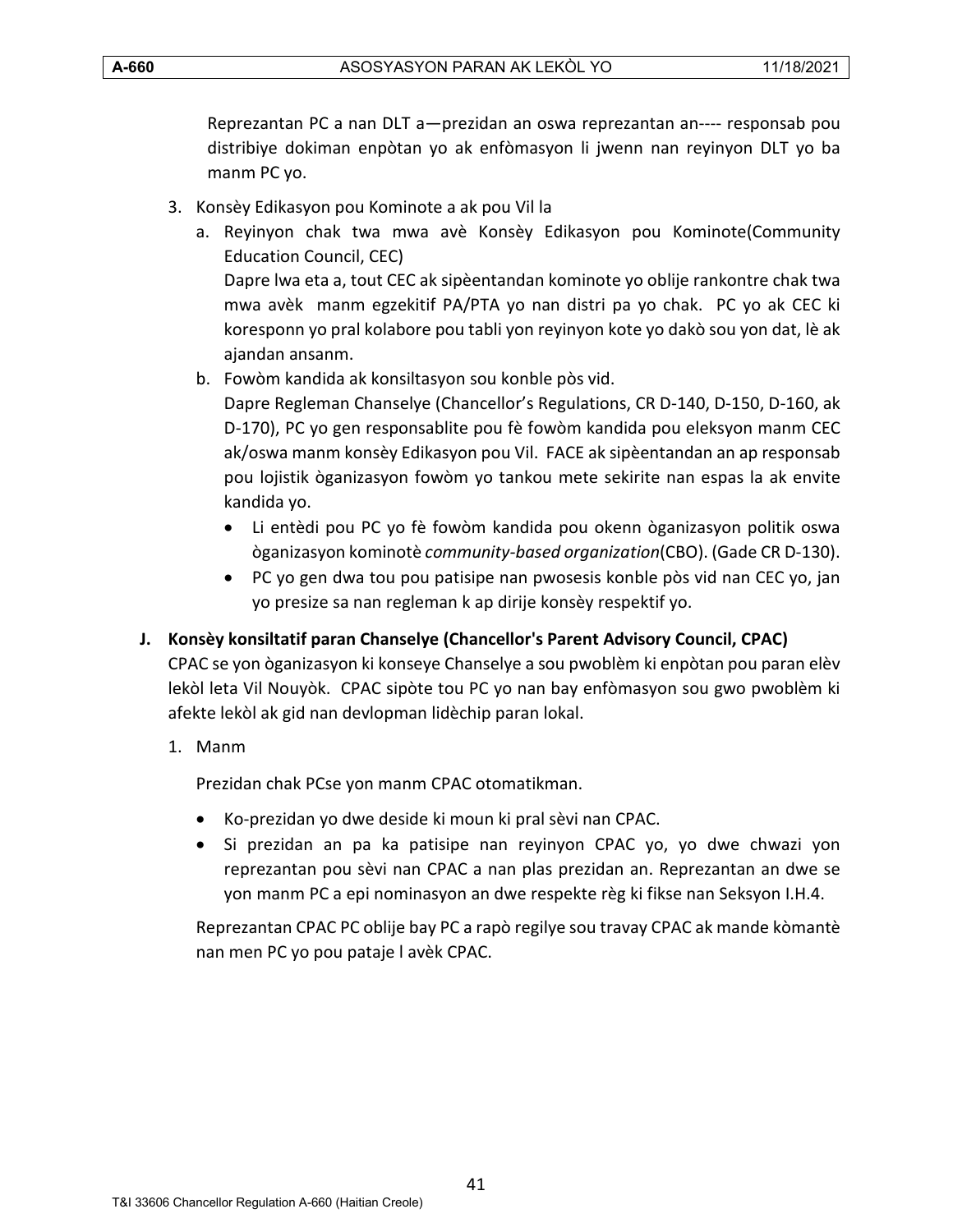Reprezantan PC a nan DLT a—prezidan an oswa reprezantan an---- responsab pou distribiye dokiman enpòtan yo ak enfòmasyon li jwenn nan reyinyon DLT yo ba manm PC yo.

- 3. Konsèy Edikasyon pou Kominote a ak pou Vil la
	- a. Reyinyon chak twa mwa avè Konsèy Edikasyon pou Kominote(Community Education Council, CEC) Dapre lwa eta a, tout CEC ak sipèentandan kominote yo oblije rankontre chak twa mwa avèk manm egzekitif PA/PTA yo nan distri pa yo chak. PC yo ak CEC ki

koresponn yo pral kolabore pou tabli yon reyinyon kote yo dakò sou yon dat, lè ak ajandan ansanm. b. Fowòm kandida ak konsiltasyon sou konble pòs vid.

Dapre Regleman Chanselye (Chancellor's Regulations, CR D-140, D-150, D-160, ak D-170), PC yo gen responsablite pou fè fowòm kandida pou eleksyon manm CEC ak/oswa manm konsèy Edikasyon pou Vil. FACE ak sipèentandan an ap responsab pou lojistik òganizasyon fowòm yo tankou mete sekirite nan espas la ak envite kandida yo.

- Li entèdi pou PC yo fè fowòm kandida pou okenn òganizasyon politik oswa òganizasyon kominotè *community-based organization*(CBO). (Gade CR D-130).
- PC yo gen dwa tou pou patisipe nan pwosesis konble pòs vid nan CEC yo, jan yo presize sa nan regleman k ap dirije konsèy respektif yo.
- <span id="page-40-0"></span>**J. Konsèy konsiltatif paran Chanselye (Chancellor's Parent Advisory Council, CPAC)**

CPAC se yon òganizasyon ki konseye Chanselye a sou pwoblèm ki enpòtan pou paran elèv lekòl leta Vil Nouyòk. CPAC sipòte tou PC yo nan bay enfòmasyon sou gwo pwoblèm ki afekte lekòl ak gid nan devlopman lidèchip paran lokal.

1. Manm

Prezidan chak PCse yon manm CPAC otomatikman.

- Ko-prezidan yo dwe deside ki moun ki pral sèvi nan CPAC.
- Si prezidan an pa ka patisipe nan reyinyon CPAC yo, yo dwe chwazi yon reprezantan pou sèvi nan CPAC a nan plas prezidan an. Reprezantan an dwe se yon manm PC a epi nominasyon an dwe respekte règ ki fikse nan Seksyon I.H.4.

Reprezantan CPAC PC oblije bay PC a rapò regilye sou travay CPAC ak mande kòmantè nan men PC yo pou pataje l avèk CPAC.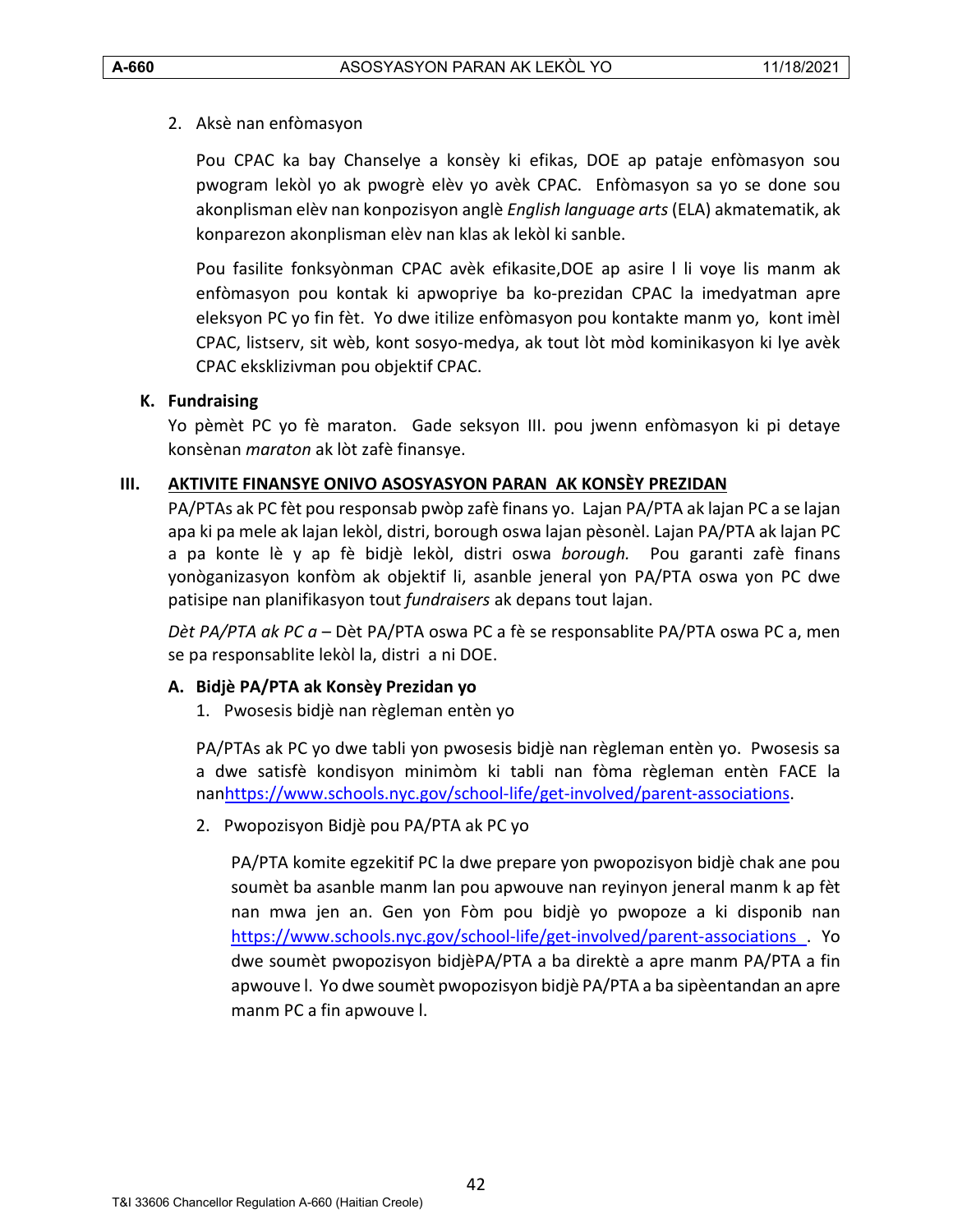#### 2. Aksè nan enfòmasyon

Pou CPAC ka bay Chanselye a konsèy ki efikas, DOE ap pataje enfòmasyon sou pwogram lekòl yo ak pwogrè elèv yo avèk CPAC. Enfòmasyon sa yo se done sou akonplisman elèv nan konpozisyon anglè *English language arts* (ELA) akmatematik, ak konparezon akonplisman elèv nan klas ak lekòl ki sanble.

Pou fasilite fonksyònman CPAC avèk efikasite,DOE ap asire l li voye lis manm ak enfòmasyon pou kontak ki apwopriye ba ko-prezidan CPAC la imedyatman apre eleksyon PC yo fin fèt. Yo dwe itilize enfòmasyon pou kontakte manm yo, kont imèl CPAC, listserv, sit wèb, kont sosyo-medya, ak tout lòt mòd kominikasyon ki lye avèk CPAC eksklizivman pou objektif CPAC.

#### <span id="page-41-0"></span>**K. Fundraising**

Yo pèmèt PC yo fè maraton. Gade seksyon III. pou jwenn enfòmasyon ki pi detaye konsènan *maraton* ak lòt zafè finansye.

#### <span id="page-41-1"></span>**III. AKTIVITE FINANSYE ONIVO ASOSYASYON PARAN AK KONSÈY PREZIDAN**

PA/PTAs ak PC fèt pou responsab pwòp zafè finans yo. Lajan PA/PTA ak lajan PC a se lajan apa ki pa mele ak lajan lekòl, distri, borough oswa lajan pèsonèl. Lajan PA/PTA ak lajan PC a pa konte lè y ap fè bidjè lekòl, distri oswa *borough.* Pou garanti zafè finans yonòganizasyon konfòm ak objektif li, asanble jeneral yon PA/PTA oswa yon PC dwe patisipe nan planifikasyon tout *fundraisers* ak depans tout lajan.

*Dèt PA/PTA ak PC a* – Dèt PA/PTA oswa PC a fè se responsablite PA/PTA oswa PC a, men se pa responsablite lekòl la, distri a ni DOE.

#### <span id="page-41-2"></span>**A. Bidjè PA/PTA ak Konsèy Prezidan yo**

1. Pwosesis bidjè nan règleman entèn yo

PA/PTAs ak PC yo dwe tabli yon pwosesis bidjè nan règleman entèn yo. Pwosesis sa a dwe satisfè kondisyon minimòm ki tabli nan fòma règleman entèn FACE la na[nhttps://www.schools.nyc.gov/school-life/get-involved/parent-associations.](https://www.schools.nyc.gov/school-life/get-involved/parent-associations)

2. Pwopozisyon Bidjè pou PA/PTA ak PC yo

PA/PTA komite egzekitif PC la dwe prepare yon pwopozisyon bidjè chak ane pou soumèt ba asanble manm lan pou apwouve nan reyinyon jeneral manm k ap fèt nan mwa jen an. Gen yon Fòm pou bidjè yo pwopoze a ki disponib na[n](https://www.schools.nyc.gov/school-life/get-involved/parent-associations)  [https://www.schools.nyc.gov/school-life/get-involved/parent-associations .](https://www.schools.nyc.gov/school-life/get-involved/parent-associations) Yo dwe soumèt pwopozisyon bidjèPA/PTA a ba direktè a apre manm PA/PTA a fin apwouve l. Yo dwe soumèt pwopozisyon bidjè PA/PTA a ba sipèentandan an apre manm PC a fin apwouve l.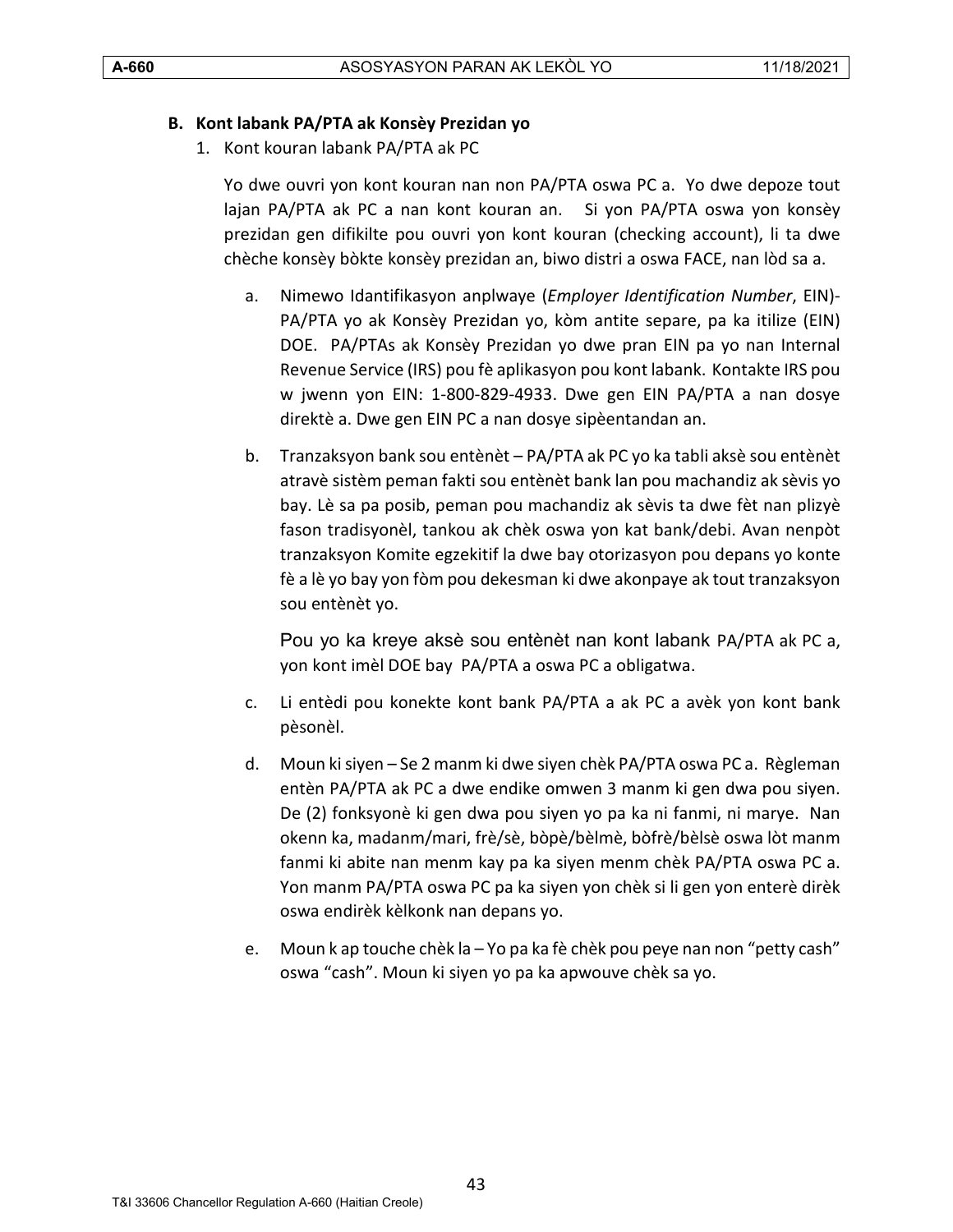#### <span id="page-42-0"></span>**B. Kont labank PA/PTA ak Konsèy Prezidan yo**

1. Kont kouran labank PA/PTA ak PC

Yo dwe ouvri yon kont kouran nan non PA/PTA oswa PC a. Yo dwe depoze tout lajan PA/PTA ak PC a nan kont kouran an. Si yon PA/PTA oswa yon konsèy prezidan gen difikilte pou ouvri yon kont kouran (checking account), li ta dwe chèche konsèy bòkte konsèy prezidan an, biwo distri a oswa FACE, nan lòd sa a.

- a. Nimewo Idantifikasyon anplwaye (*Employer Identification Number*, EIN)- PA/PTA yo ak Konsèy Prezidan yo, kòm antite separe, pa ka itilize (EIN) DOE. PA/PTAs ak Konsèy Prezidan yo dwe pran EIN pa yo nan Internal Revenue Service (IRS) pou fè aplikasyon pou kont labank. Kontakte IRS pou w jwenn yon EIN: 1-800-829-4933. Dwe gen EIN PA/PTA a nan dosye direktè a. Dwe gen EIN PC a nan dosye sipèentandan an.
- b. Tranzaksyon bank sou entènèt PA/PTA ak PC yo ka tabli aksè sou entènèt atravè sistèm peman fakti sou entènèt bank lan pou machandiz ak sèvis yo bay. Lè sa pa posib, peman pou machandiz ak sèvis ta dwe fèt nan plizyè fason tradisyonèl, tankou ak chèk oswa yon kat bank/debi. Avan nenpòt tranzaksyon Komite egzekitif la dwe bay otorizasyon pou depans yo konte fè a lè yo bay yon fòm pou dekesman ki dwe akonpaye ak tout tranzaksyon sou entènèt yo.

Pou yo ka kreye aksè sou entènèt nan kont labank PA/PTA ak PC a, yon kont imèl DOE bay PA/PTA a oswa PC a obligatwa.

- c. Li entèdi pou konekte kont bank PA/PTA a ak PC a avèk yon kont bank pèsonèl.
- d. Moun ki siyen Se 2 manm ki dwe siyen chèk PA/PTA oswa PC a. Règleman entèn PA/PTA ak PC a dwe endike omwen 3 manm ki gen dwa pou siyen. De (2) fonksyonè ki gen dwa pou siyen yo pa ka ni fanmi, ni marye. Nan okenn ka, madanm/mari, frè/sè, bòpè/bèlmè, bòfrè/bèlsè oswa lòt manm fanmi ki abite nan menm kay pa ka siyen menm chèk PA/PTA oswa PC a. Yon manm PA/PTA oswa PC pa ka siyen yon chèk si li gen yon enterè dirèk oswa endirèk kèlkonk nan depans yo.
- e. Moun k ap touche chèk la Yo pa ka fè chèk pou peye nan non "petty cash" oswa "cash". Moun ki siyen yo pa ka apwouve chèk sa yo.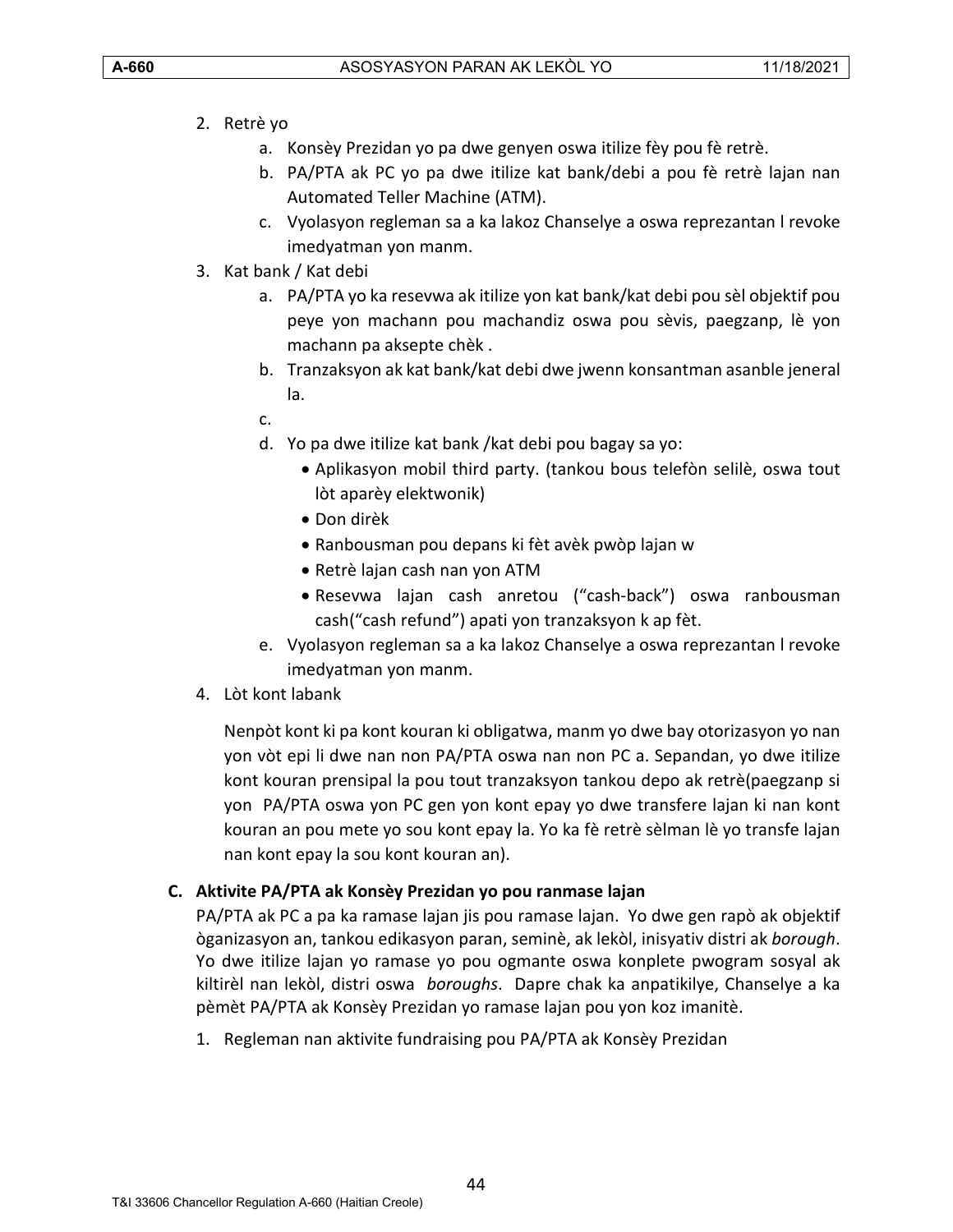- 2. Retrè yo
	- a. Konsèy Prezidan yo pa dwe genyen oswa itilize fèy pou fè retrè.
	- b. PA/PTA ak PC yo pa dwe itilize kat bank/debi a pou fè retrè lajan nan Automated Teller Machine (ATM).
	- c. Vyolasyon regleman sa a ka lakoz Chanselye a oswa reprezantan l revoke imedyatman yon manm.
- 3. Kat bank / Kat debi
	- a. PA/PTA yo ka resevwa ak itilize yon kat bank/kat debi pou sèl objektif pou peye yon machann pou machandiz oswa pou sèvis, paegzanp, lè yon machann pa aksepte chèk .
	- b. Tranzaksyon ak kat bank/kat debi dwe jwenn konsantman asanble jeneral la.
	- c.
	- d. Yo pa dwe itilize kat bank /kat debi pou bagay sa yo:
		- Aplikasyon mobil third party. (tankou bous telefòn selilè, oswa tout lòt aparèy elektwonik)
		- Don dirèk
		- Ranbousman pou depans ki fèt avèk pwòp lajan w
		- Retrè lajan cash nan yon ATM
		- Resevwa lajan cash anretou ("cash-back") oswa ranbousman cash("cash refund") apati yon tranzaksyon k ap fèt.
	- e. Vyolasyon regleman sa a ka lakoz Chanselye a oswa reprezantan l revoke imedyatman yon manm.
- 4. Lòt kont labank

Nenpòt kont ki pa kont kouran ki obligatwa, manm yo dwe bay otorizasyon yo nan yon vòt epi li dwe nan non PA/PTA oswa nan non PC a. Sepandan, yo dwe itilize kont kouran prensipal la pou tout tranzaksyon tankou depo ak retrè(paegzanp si yon PA/PTA oswa yon PC gen yon kont epay yo dwe transfere lajan ki nan kont kouran an pou mete yo sou kont epay la. Yo ka fè retrè sèlman lè yo transfe lajan nan kont epay la sou kont kouran an).

# <span id="page-43-0"></span>**C. Aktivite PA/PTA ak Konsèy Prezidan yo pou ranmase lajan**

PA/PTA ak PC a pa ka ramase lajan jis pou ramase lajan. Yo dwe gen rapò ak objektif òganizasyon an, tankou edikasyon paran, seminè, ak lekòl, inisyativ distri ak *borough*. Yo dwe itilize lajan yo ramase yo pou ogmante oswa konplete pwogram sosyal ak kiltirèl nan lekòl, distri oswa *boroughs*. Dapre chak ka anpatikilye, Chanselye a ka pèmèt PA/PTA ak Konsèy Prezidan yo ramase lajan pou yon koz imanitè.

1. Regleman nan aktivite fundraising pou PA/PTA ak Konsèy Prezidan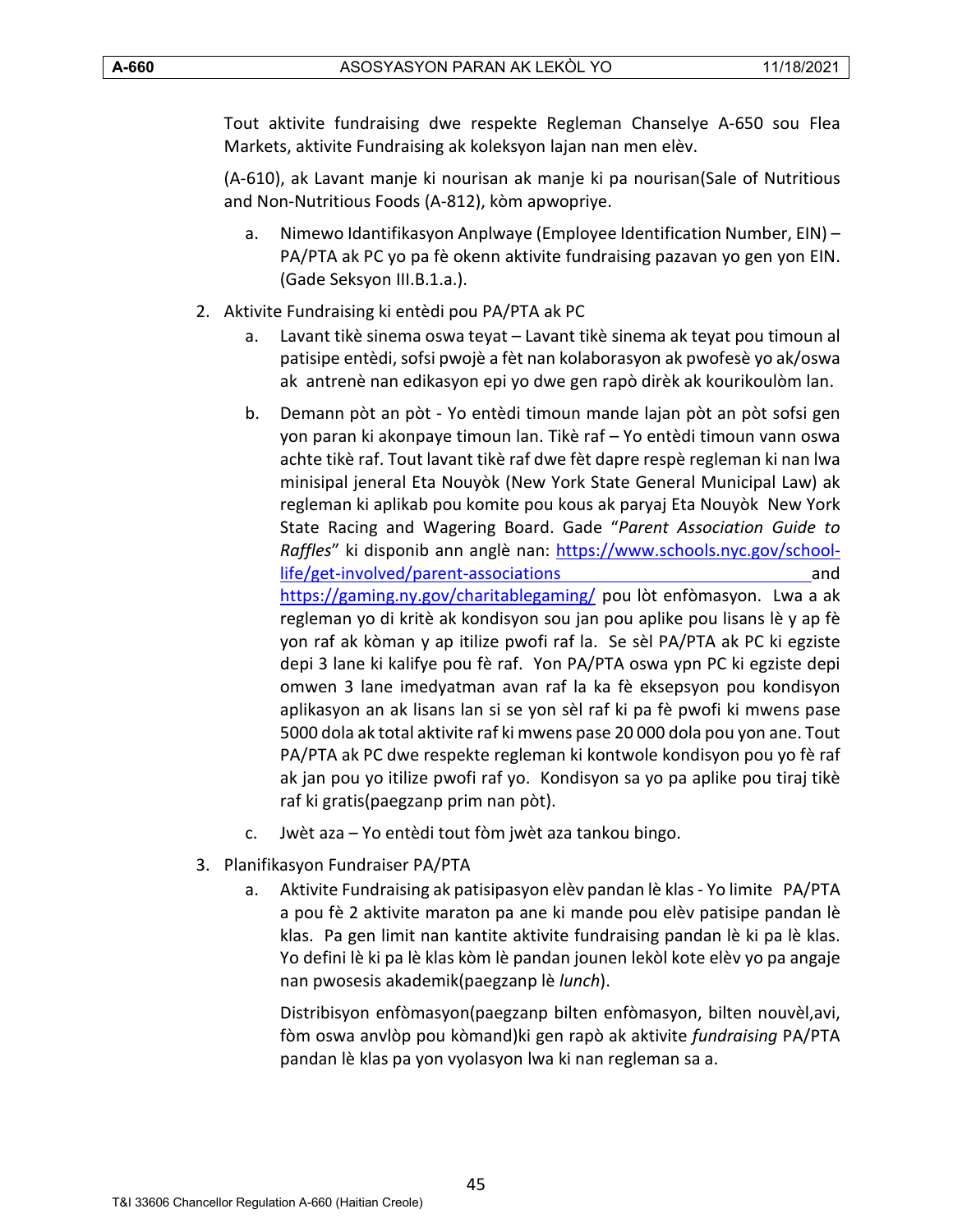Tout aktivite fundraising dwe respekte Regleman Chanselye A-650 sou Flea Markets, aktivite Fundraising ak koleksyon lajan nan men elèv.

(A-610), ak Lavant manje ki nourisan ak manje ki pa nourisan(Sale of Nutritious and Non-Nutritious Foods (A-812), kòm apwopriye.

- a. Nimewo Idantifikasyon Anplwaye (Employee Identification Number, EIN) PA/PTA ak PC yo pa fè okenn aktivite fundraising pazavan yo gen yon EIN. (Gade Seksyon III.B.1.a.).
- 2. Aktivite Fundraising ki entèdi pou PA/PTA ak PC
	- a. Lavant tikè sinema oswa teyat Lavant tikè sinema ak teyat pou timoun al patisipe entèdi, sofsi pwojè a fèt nan kolaborasyon ak pwofesè yo ak/oswa ak antrenè nan edikasyon epi yo dwe gen rapò dirèk ak kourikoulòm lan.
	- b. Demann pòt an pòt Yo entèdi timoun mande lajan pòt an pòt sofsi gen yon paran ki akonpaye timoun lan. Tikè raf – Yo entèdi timoun vann oswa achte tikè raf. Tout lavant tikè raf dwe fèt dapre respè regleman ki nan lwa minisipal jeneral Eta Nouyòk (New York State General Municipal Law) ak regleman ki aplikab pou komite pou kous ak paryaj Eta Nouyòk New York State Racing and Wagering Board. Gade "*Parent Association Guide to Raffles*" ki disponib ann anglè nan: [https://www.schools.nyc.gov/school](https://www.schools.nyc.gov/school-life/get-involved/parent-associations)[life/get-involved/parent-associations](https://www.schools.nyc.gov/school-life/get-involved/parent-associations) and <https://gaming.ny.gov/charitablegaming/> pou lòt enfòmasyon. Lwa a ak regleman yo di kritè ak kondisyon sou jan pou aplike pou lisans lè y ap fè yon raf ak kòman y ap itilize pwofi raf la. Se sèl PA/PTA ak PC ki egziste depi 3 lane ki kalifye pou fè raf. Yon PA/PTA oswa ypn PC ki egziste depi omwen 3 lane imedyatman avan raf la ka fè eksepsyon pou kondisyon aplikasyon an ak lisans lan si se yon sèl raf ki pa fè pwofi ki mwens pase 5000 dola ak total aktivite raf ki mwens pase 20 000 dola pou yon ane. Tout PA/PTA ak PC dwe respekte regleman ki kontwole kondisyon pou yo fè raf ak jan pou yo itilize pwofi raf yo. Kondisyon sa yo pa aplike pou tiraj tikè raf ki gratis(paegzanp prim nan pòt).
	- c. Jwèt aza Yo entèdi tout fòm jwèt aza tankou bingo.
- 3. Planifikasyon Fundraiser PA/PTA
	- a. Aktivite Fundraising ak patisipasyon elèv pandan lè klas Yo limite PA/PTA a pou fè 2 aktivite maraton pa ane ki mande pou elèv patisipe pandan lè klas. Pa gen limit nan kantite aktivite fundraising pandan lè ki pa lè klas. Yo defini lè ki pa lè klas kòm lè pandan jounen lekòl kote elèv yo pa angaje nan pwosesis akademik(paegzanp lè *lunch*).

Distribisyon enfòmasyon(paegzanp bilten enfòmasyon, bilten nouvèl,avi, fòm oswa anvlòp pou kòmand)ki gen rapò ak aktivite *fundraising* PA/PTA pandan lè klas pa yon vyolasyon lwa ki nan regleman sa a.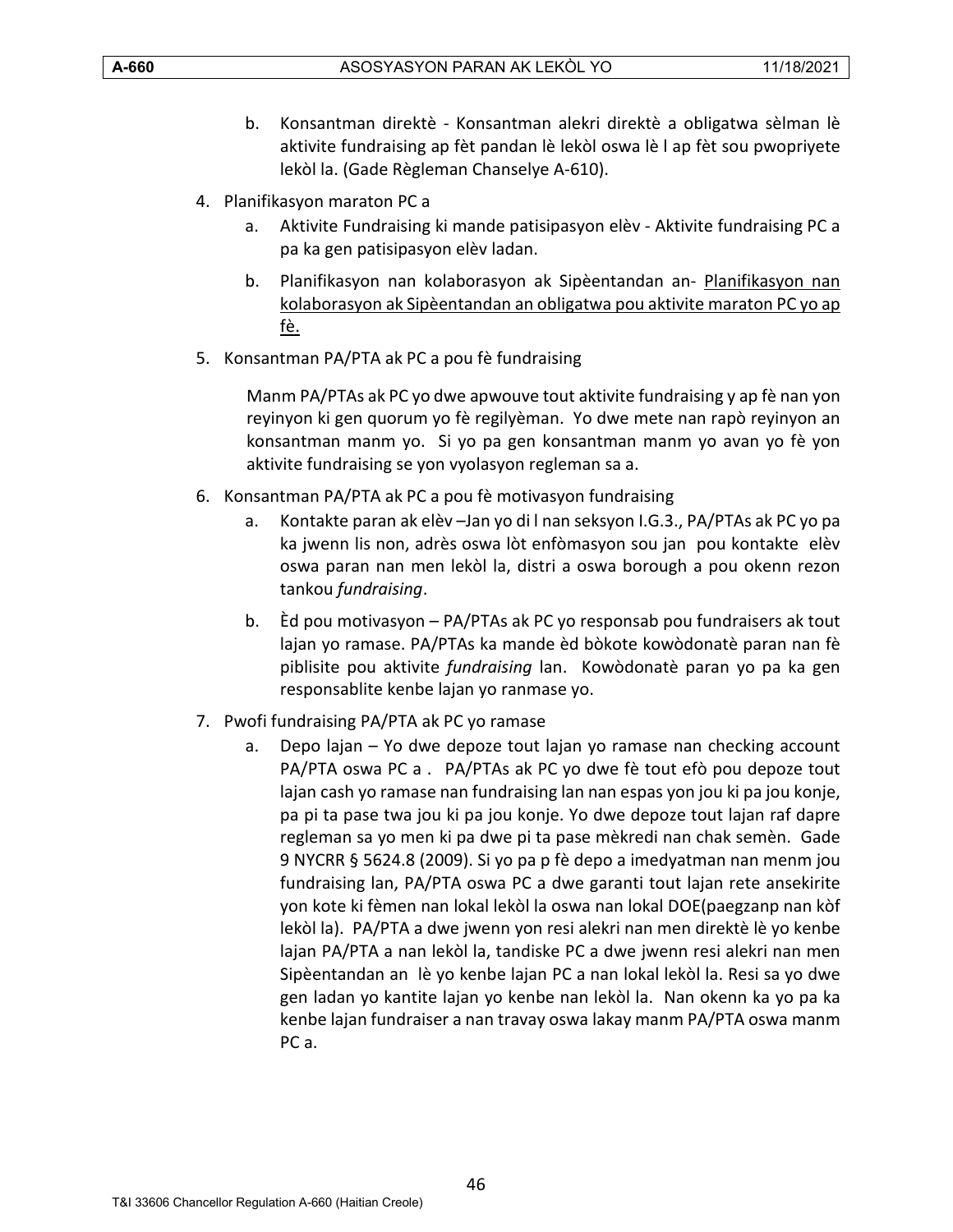- b. Konsantman direktè Konsantman alekri direktè a obligatwa sèlman lè aktivite fundraising ap fèt pandan lè lekòl oswa lè l ap fèt sou pwopriyete lekòl la. (Gade Règleman Chanselye A-610).
- 4. Planifikasyon maraton PC a
	- a. Aktivite Fundraising ki mande patisipasyon elèv Aktivite fundraising PC a pa ka gen patisipasyon elèv ladan.
	- b. Planifikasyon nan kolaborasyon ak Sipèentandan an- Planifikasyon nan kolaborasyon ak Sipèentandan an obligatwa pou aktivite maraton PC yo ap fè.
- 5. Konsantman PA/PTA ak PC a pou fè fundraising

Manm PA/PTAs ak PC yo dwe apwouve tout aktivite fundraising y ap fè nan yon reyinyon ki gen quorum yo fè regilyèman. Yo dwe mete nan rapò reyinyon an konsantman manm yo. Si yo pa gen konsantman manm yo avan yo fè yon aktivite fundraising se yon vyolasyon regleman sa a.

- 6. Konsantman PA/PTA ak PC a pou fè motivasyon fundraising
	- a. Kontakte paran ak elèv –Jan yo di l nan seksyon I.G.3., PA/PTAs ak PC yo pa ka jwenn lis non, adrès oswa lòt enfòmasyon sou jan pou kontakte elèv oswa paran nan men lekòl la, distri a oswa borough a pou okenn rezon tankou *fundraising*.
	- b. Èd pou motivasyon PA/PTAs ak PC yo responsab pou fundraisers ak tout lajan yo ramase. PA/PTAs ka mande èd bòkote kowòdonatè paran nan fè piblisite pou aktivite *fundraising* lan. Kowòdonatè paran yo pa ka gen responsablite kenbe lajan yo ranmase yo.
- 7. Pwofi fundraising PA/PTA ak PC yo ramase
	- a. Depo lajan Yo dwe depoze tout lajan yo ramase nan checking account PA/PTA oswa PC a . PA/PTAs ak PC yo dwe fè tout efò pou depoze tout lajan cash yo ramase nan fundraising lan nan espas yon jou ki pa jou konje, pa pi ta pase twa jou ki pa jou konje. Yo dwe depoze tout lajan raf dapre regleman sa yo men ki pa dwe pi ta pase mèkredi nan chak semèn. Gade 9 NYCRR § 5624.8 (2009). Si yo pa p fè depo a imedyatman nan menm jou fundraising lan, PA/PTA oswa PC a dwe garanti tout lajan rete ansekirite yon kote ki fèmen nan lokal lekòl la oswa nan lokal DOE(paegzanp nan kòf lekòl la). PA/PTA a dwe jwenn yon resi alekri nan men direktè lè yo kenbe lajan PA/PTA a nan lekòl la, tandiske PC a dwe jwenn resi alekri nan men Sipèentandan an lè yo kenbe lajan PC a nan lokal lekòl la. Resi sa yo dwe gen ladan yo kantite lajan yo kenbe nan lekòl la. Nan okenn ka yo pa ka kenbe lajan fundraiser a nan travay oswa lakay manm PA/PTA oswa manm PC a.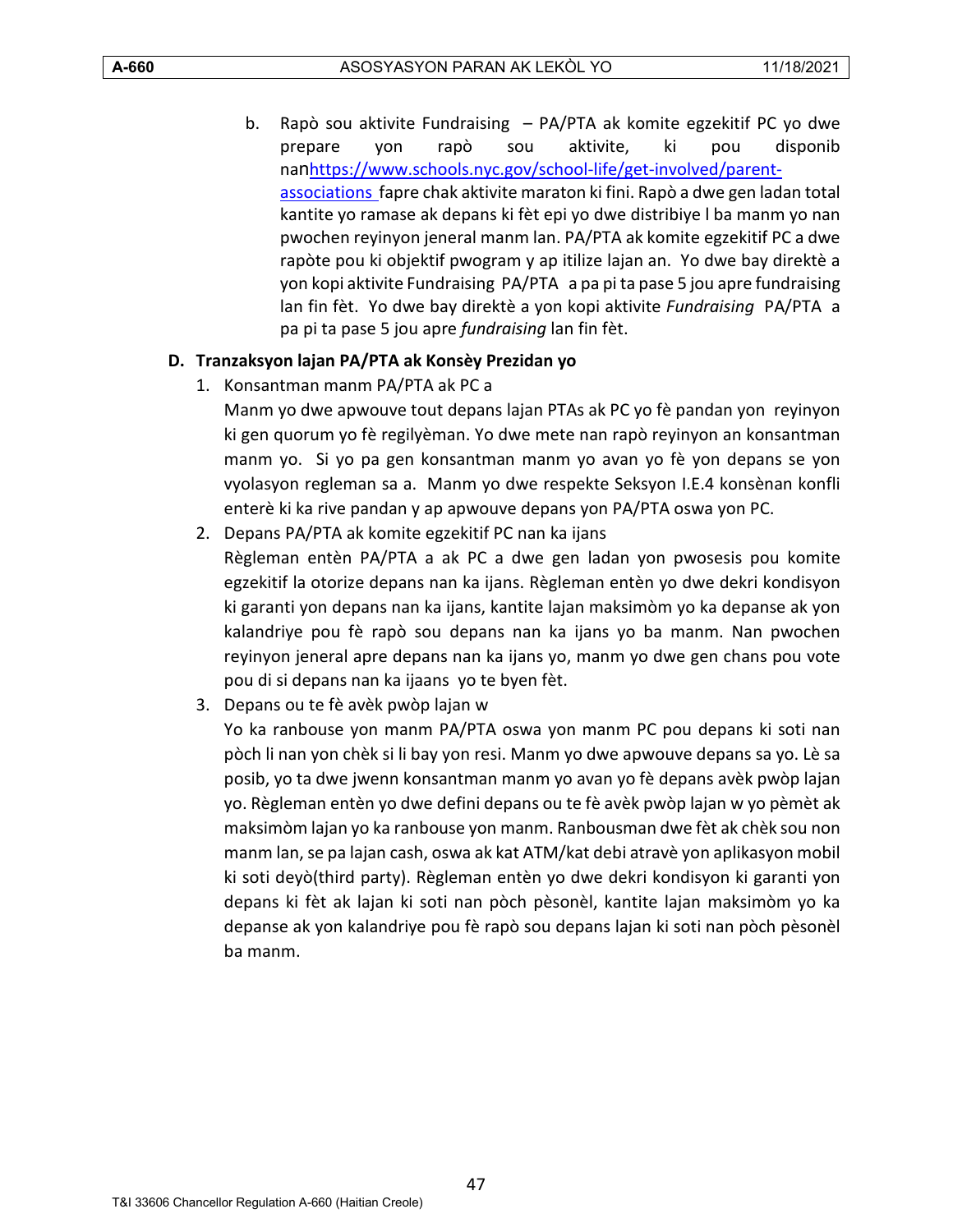b. Rapò sou aktivite Fundraising – PA/PTA ak komite egzekitif PC yo dwe prepare yon rapò sou aktivite, ki pou disponib nan[https://www.schools.nyc.gov/school-life/get-involved/parent](https://www.schools.nyc.gov/school-life/get-involved/parent-associations)[associations f](https://www.schools.nyc.gov/school-life/get-involved/parent-associations)apre chak aktivite maraton ki fini. Rapò a dwe gen ladan total kantite yo ramase ak depans ki fèt epi yo dwe distribiye l ba manm yo nan pwochen reyinyon jeneral manm lan. PA/PTA ak komite egzekitif PC a dwe rapòte pou ki objektif pwogram y ap itilize lajan an. Yo dwe bay direktè a yon kopi aktivite Fundraising PA/PTA a pa pi ta pase 5 jou apre fundraising lan fin fèt. Yo dwe bay direktè a yon kopi aktivite *Fundraising* PA/PTA a pa pi ta pase 5 jou apre *fundraising* lan fin fèt.

# <span id="page-46-0"></span>**D. Tranzaksyon lajan PA/PTA ak Konsèy Prezidan yo**

1. Konsantman manm PA/PTA ak PC a

Manm yo dwe apwouve tout depans lajan PTAs ak PC yo fè pandan yon reyinyon ki gen quorum yo fè regilyèman. Yo dwe mete nan rapò reyinyon an konsantman manm yo. Si yo pa gen konsantman manm yo avan yo fè yon depans se yon vyolasyon regleman sa a. Manm yo dwe respekte Seksyon I.E.4 konsènan konfli enterè ki ka rive pandan y ap apwouve depans yon PA/PTA oswa yon PC.

- 2. Depans PA/PTA ak komite egzekitif PC nan ka ijans Règleman entèn PA/PTA a ak PC a dwe gen ladan yon pwosesis pou komite egzekitif la otorize depans nan ka ijans. Règleman entèn yo dwe dekri kondisyon ki garanti yon depans nan ka ijans, kantite lajan maksimòm yo ka depanse ak yon kalandriye pou fè rapò sou depans nan ka ijans yo ba manm. Nan pwochen reyinyon jeneral apre depans nan ka ijans yo, manm yo dwe gen chans pou vote pou di si depans nan ka ijaans yo te byen fèt.
- 3. Depans ou te fè avèk pwòp lajan w

Yo ka ranbouse yon manm PA/PTA oswa yon manm PC pou depans ki soti nan pòch li nan yon chèk si li bay yon resi. Manm yo dwe apwouve depans sa yo. Lè sa posib, yo ta dwe jwenn konsantman manm yo avan yo fè depans avèk pwòp lajan yo. Règleman entèn yo dwe defini depans ou te fè avèk pwòp lajan w yo pèmèt ak maksimòm lajan yo ka ranbouse yon manm. Ranbousman dwe fèt ak chèk sou non manm lan, se pa lajan cash, oswa ak kat ATM/kat debi atravè yon aplikasyon mobil ki soti deyò(third party). Règleman entèn yo dwe dekri kondisyon ki garanti yon depans ki fèt ak lajan ki soti nan pòch pèsonèl, kantite lajan maksimòm yo ka depanse ak yon kalandriye pou fè rapò sou depans lajan ki soti nan pòch pèsonèl ba manm.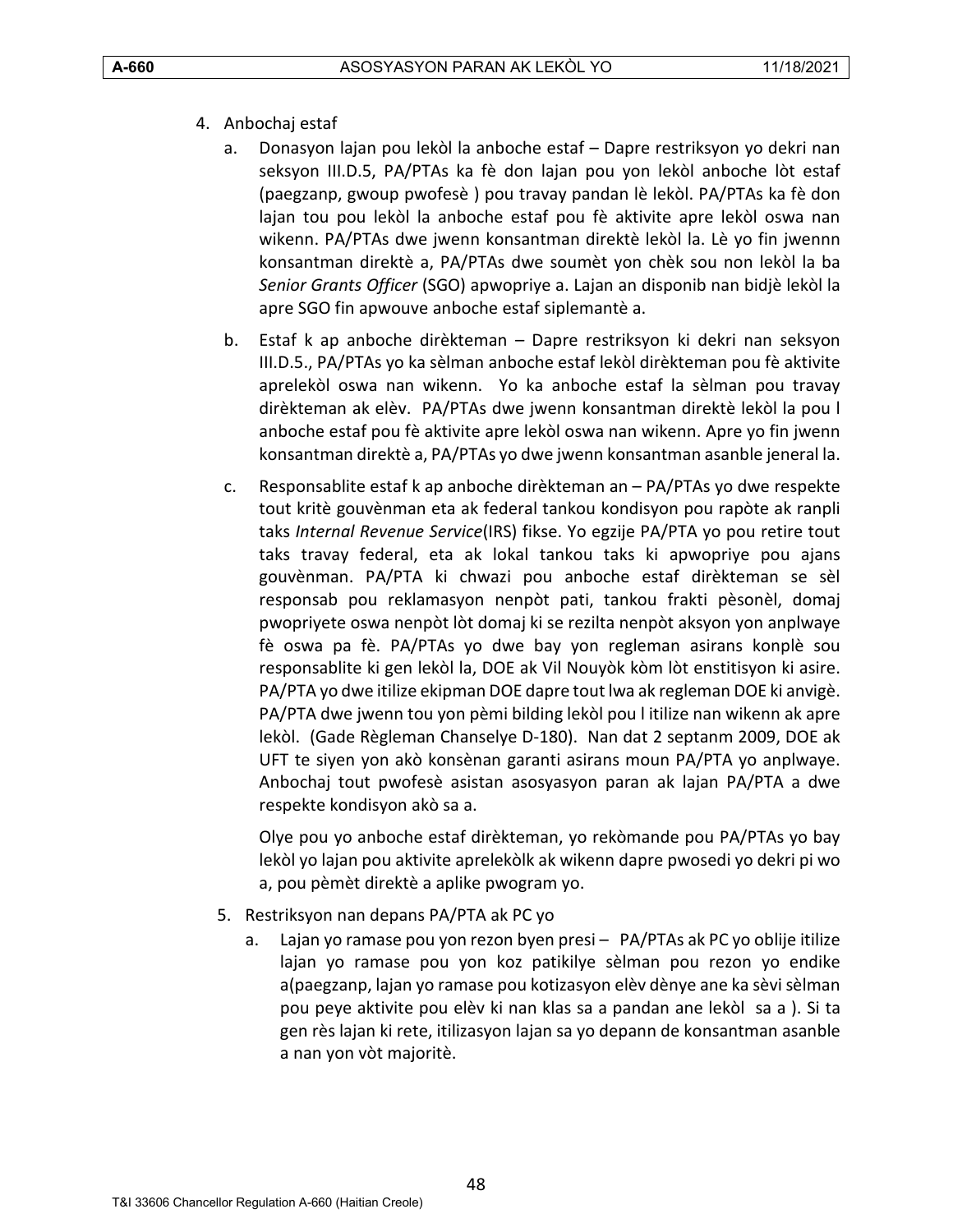- 4. Anbochaj estaf
	- a. Donasyon lajan pou lekòl la anboche estaf Dapre restriksyon yo dekri nan seksyon III.D.5, PA/PTAs ka fè don lajan pou yon lekòl anboche lòt estaf (paegzanp, gwoup pwofesè ) pou travay pandan lè lekòl. PA/PTAs ka fè don lajan tou pou lekòl la anboche estaf pou fè aktivite apre lekòl oswa nan wikenn. PA/PTAs dwe jwenn konsantman direktè lekòl la. Lè yo fin jwennn konsantman direktè a, PA/PTAs dwe soumèt yon chèk sou non lekòl la ba *Senior Grants Officer* (SGO) apwopriye a. Lajan an disponib nan bidjè lekòl la apre SGO fin apwouve anboche estaf siplemantè a.
	- b. Estaf k ap anboche dirèkteman Dapre restriksyon ki dekri nan seksyon III.D.5., PA/PTAs yo ka sèlman anboche estaf lekòl dirèkteman pou fè aktivite aprelekòl oswa nan wikenn. Yo ka anboche estaf la sèlman pou travay dirèkteman ak elèv. PA/PTAs dwe jwenn konsantman direktè lekòl la pou l anboche estaf pou fè aktivite apre lekòl oswa nan wikenn. Apre yo fin jwenn konsantman direktè a, PA/PTAs yo dwe jwenn konsantman asanble jeneral la.
	- c. Responsablite estaf k ap anboche dirèkteman an PA/PTAs yo dwe respekte tout kritè gouvènman eta ak federal tankou kondisyon pou rapòte ak ranpli taks *Internal Revenue Service*(IRS) fikse. Yo egzije PA/PTA yo pou retire tout taks travay federal, eta ak lokal tankou taks ki apwopriye pou ajans gouvènman. PA/PTA ki chwazi pou anboche estaf dirèkteman se sèl responsab pou reklamasyon nenpòt pati, tankou frakti pèsonèl, domaj pwopriyete oswa nenpòt lòt domaj ki se rezilta nenpòt aksyon yon anplwaye fè oswa pa fè. PA/PTAs yo dwe bay yon regleman asirans konplè sou responsablite ki gen lekòl la, DOE ak Vil Nouyòk kòm lòt enstitisyon ki asire. PA/PTA yo dwe itilize ekipman DOE dapre tout lwa ak regleman DOE ki anvigè. PA/PTA dwe jwenn tou yon pèmi bilding lekòl pou l itilize nan wikenn ak apre lekòl. (Gade Règleman Chanselye D-180). Nan dat 2 septanm 2009, DOE ak UFT te siyen yon akò konsènan garanti asirans moun PA/PTA yo anplwaye. Anbochaj tout pwofesè asistan asosyasyon paran ak lajan PA/PTA a dwe respekte kondisyon akò sa a.

Olye pou yo anboche estaf dirèkteman, yo rekòmande pou PA/PTAs yo bay lekòl yo lajan pou aktivite aprelekòlk ak wikenn dapre pwosedi yo dekri pi wo a, pou pèmèt direktè a aplike pwogram yo.

- 5. Restriksyon nan depans PA/PTA ak PC yo
	- a. Lajan yo ramase pou yon rezon byen presi PA/PTAs ak PC yo oblije itilize lajan yo ramase pou yon koz patikilye sèlman pou rezon yo endike a(paegzanp, lajan yo ramase pou kotizasyon elèv dènye ane ka sèvi sèlman pou peye aktivite pou elèv ki nan klas sa a pandan ane lekòl sa a ). Si ta gen rès lajan ki rete, itilizasyon lajan sa yo depann de konsantman asanble a nan yon vòt majoritè.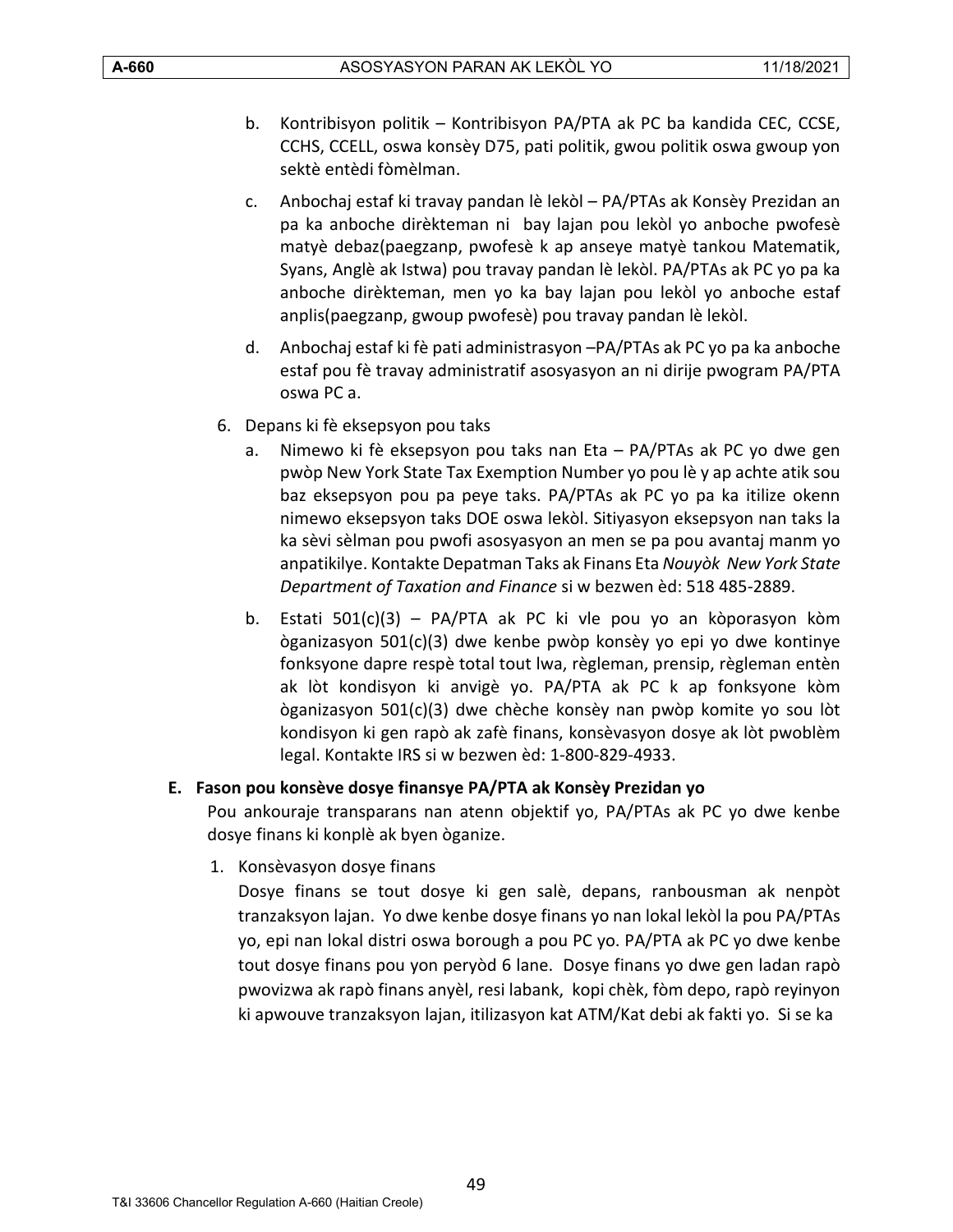- b. Kontribisyon politik Kontribisyon PA/PTA ak PC ba kandida CEC, CCSE, CCHS, CCELL, oswa konsèy D75, pati politik, gwou politik oswa gwoup yon sektè entèdi fòmèlman.
- c. Anbochaj estaf ki travay pandan lè lekòl PA/PTAs ak Konsèy Prezidan an pa ka anboche dirèkteman ni bay lajan pou lekòl yo anboche pwofesè matyè debaz(paegzanp, pwofesè k ap anseye matyè tankou Matematik, Syans, Anglè ak Istwa) pou travay pandan lè lekòl. PA/PTAs ak PC yo pa ka anboche dirèkteman, men yo ka bay lajan pou lekòl yo anboche estaf anplis(paegzanp, gwoup pwofesè) pou travay pandan lè lekòl.
- d. Anbochaj estaf ki fè pati administrasyon –PA/PTAs ak PC yo pa ka anboche estaf pou fè travay administratif asosyasyon an ni dirije pwogram PA/PTA oswa PC a.
- 6. Depans ki fè eksepsyon pou taks
	- a. Nimewo ki fè eksepsyon pou taks nan Eta PA/PTAs ak PC yo dwe gen pwòp New York State Tax Exemption Number yo pou lè y ap achte atik sou baz eksepsyon pou pa peye taks. PA/PTAs ak PC yo pa ka itilize okenn nimewo eksepsyon taks DOE oswa lekòl. Sitiyasyon eksepsyon nan taks la ka sèvi sèlman pou pwofi asosyasyon an men se pa pou avantaj manm yo anpatikilye. Kontakte Depatman Taks ak Finans Eta *Nouyòk New York State Department of Taxation and Finance* si w bezwen èd: 518 485-2889.
	- b. Estati 501(c)(3) PA/PTA ak PC ki vle pou yo an kòporasyon kòm òganizasyon 501(c)(3) dwe kenbe pwòp konsèy yo epi yo dwe kontinye fonksyone dapre respè total tout lwa, règleman, prensip, règleman entèn ak lòt kondisyon ki anvigè yo. PA/PTA ak PC k ap fonksyone kòm òganizasyon 501(c)(3) dwe chèche konsèy nan pwòp komite yo sou lòt kondisyon ki gen rapò ak zafè finans, konsèvasyon dosye ak lòt pwoblèm legal. Kontakte IRS si w bezwen èd: 1-800-829-4933.

# <span id="page-48-0"></span>**E. Fason pou konsève dosye finansye PA/PTA ak Konsèy Prezidan yo**

Pou ankouraje transparans nan atenn objektif yo, PA/PTAs ak PC yo dwe kenbe dosye finans ki konplè ak byen òganize.

1. Konsèvasyon dosye finans

Dosye finans se tout dosye ki gen salè, depans, ranbousman ak nenpòt tranzaksyon lajan. Yo dwe kenbe dosye finans yo nan lokal lekòl la pou PA/PTAs yo, epi nan lokal distri oswa borough a pou PC yo. PA/PTA ak PC yo dwe kenbe tout dosye finans pou yon peryòd 6 lane. Dosye finans yo dwe gen ladan rapò pwovizwa ak rapò finans anyèl, resi labank, kopi chèk, fòm depo, rapò reyinyon ki apwouve tranzaksyon lajan, itilizasyon kat ATM/Kat debi ak fakti yo. Si se ka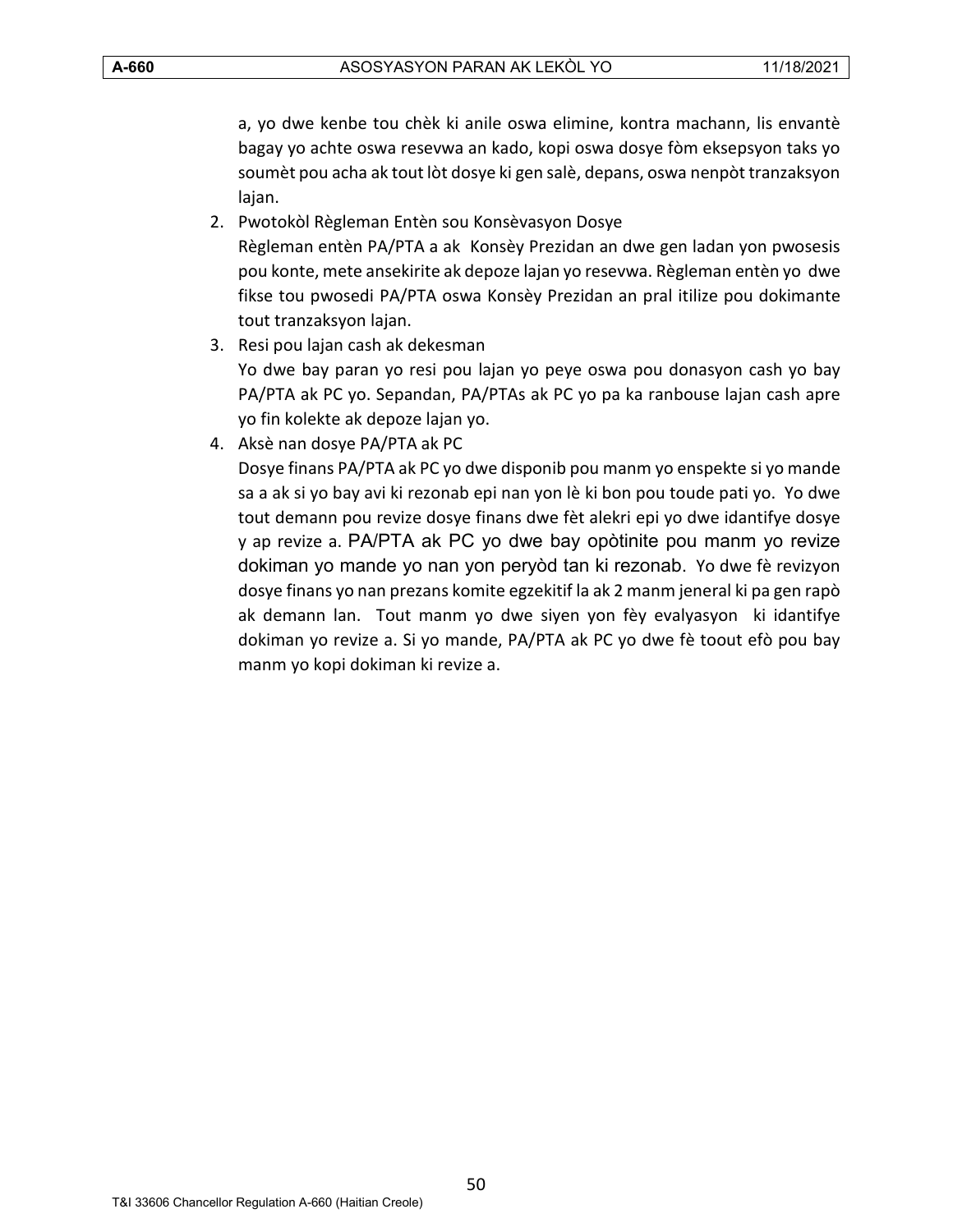a, yo dwe kenbe tou chèk ki anile oswa elimine, kontra machann, lis envantè bagay yo achte oswa resevwa an kado, kopi oswa dosye fòm eksepsyon taks yo soumèt pou acha ak tout lòt dosye ki gen salè, depans, oswa nenpòt tranzaksyon lajan.

- 2. Pwotokòl Règleman Entèn sou Konsèvasyon Dosye Règleman entèn PA/PTA a ak Konsèy Prezidan an dwe gen ladan yon pwosesis pou konte, mete ansekirite ak depoze lajan yo resevwa. Règleman entèn yo dwe fikse tou pwosedi PA/PTA oswa Konsèy Prezidan an pral itilize pou dokimante tout tranzaksyon lajan.
- 3. Resi pou lajan cash ak dekesman Yo dwe bay paran yo resi pou lajan yo peye oswa pou donasyon cash yo bay PA/PTA ak PC yo. Sepandan, PA/PTAs ak PC yo pa ka ranbouse lajan cash apre yo fin kolekte ak depoze lajan yo.
- 4. Aksè nan dosye PA/PTA ak PC

Dosye finans PA/PTA ak PC yo dwe disponib pou manm yo enspekte si yo mande sa a ak si yo bay avi ki rezonab epi nan yon lè ki bon pou toude pati yo. Yo dwe tout demann pou revize dosye finans dwe fèt alekri epi yo dwe idantifye dosye y ap revize a. PA/PTA ak PC yo dwe bay opòtinite pou manm yo revize dokiman yo mande yo nan yon peryòd tan ki rezonab. Yo dwe fè revizyon dosye finans yo nan prezans komite egzekitif la ak 2 manm jeneral ki pa gen rapò ak demann lan. Tout manm yo dwe siyen yon fèy evalyasyon ki idantifye dokiman yo revize a. Si yo mande, PA/PTA ak PC yo dwe fè toout efò pou bay manm yo kopi dokiman ki revize a.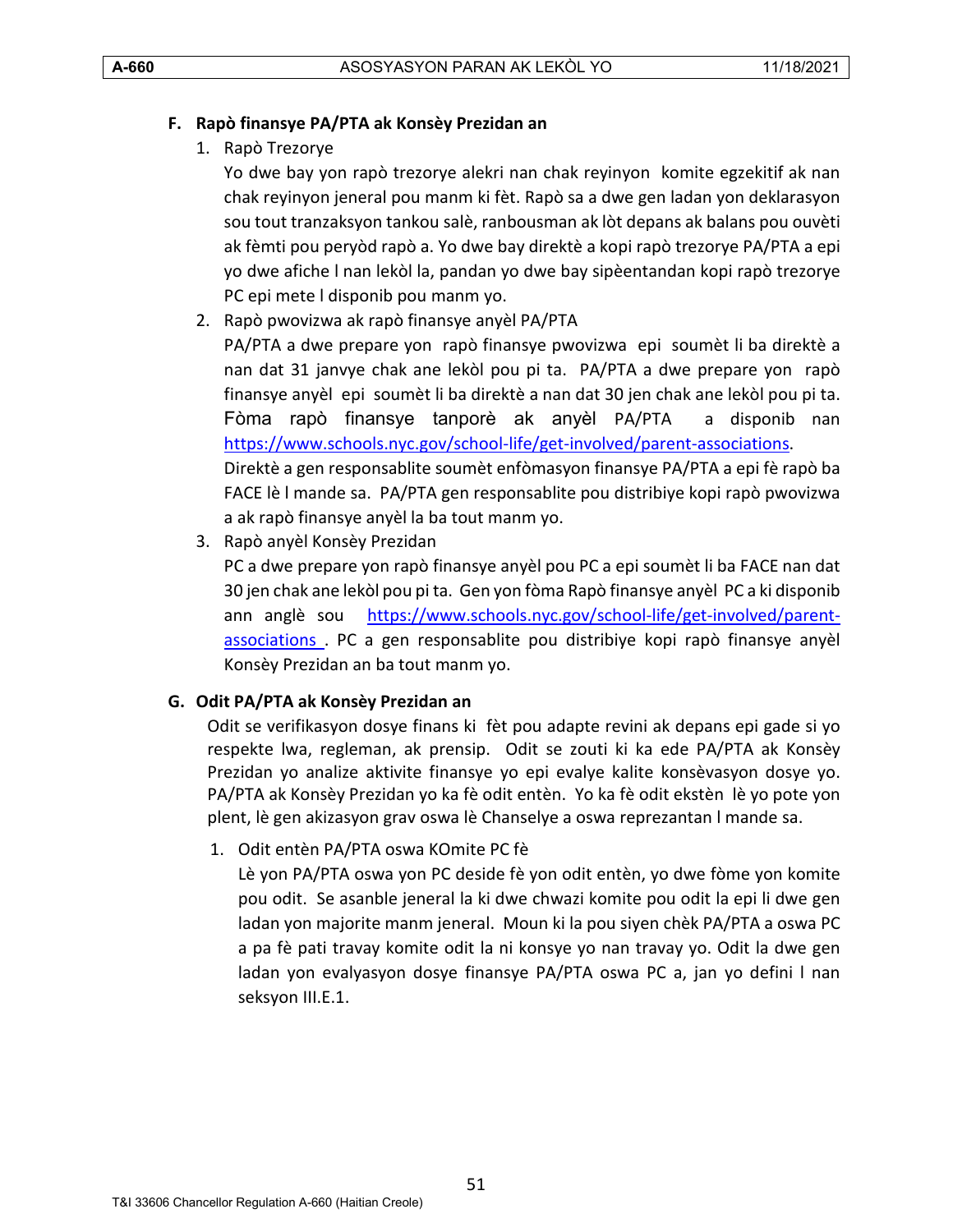#### <span id="page-50-0"></span>**F. Rapò finansye PA/PTA ak Konsèy Prezidan an**

1. Rapò Trezorye

Yo dwe bay yon rapò trezorye alekri nan chak reyinyon komite egzekitif ak nan chak reyinyon jeneral pou manm ki fèt. Rapò sa a dwe gen ladan yon deklarasyon sou tout tranzaksyon tankou salè, ranbousman ak lòt depans ak balans pou ouvèti ak fèmti pou peryòd rapò a. Yo dwe bay direktè a kopi rapò trezorye PA/PTA a epi yo dwe afiche l nan lekòl la, pandan yo dwe bay sipèentandan kopi rapò trezorye PC epi mete l disponib pou manm yo.

2. Rapò pwovizwa ak rapò finansye anyèl PA/PTA

PA/PTA a dwe prepare yon rapò finansye pwovizwa epi soumèt li ba direktè a nan dat 31 janvye chak ane lekòl pou pi ta. PA/PTA a dwe prepare yon rapò finansye anyèl epi soumèt li ba direktè a nan dat 30 jen chak ane lekòl pou pi ta. Fòma rapò finansye tanporè ak anyèl PA/PTA a disponib nan [https://www.schools.nyc.gov/school-life/get-involved/parent-associations.](https://www.schools.nyc.gov/school-life/get-involved/parent-associations) Direktè a gen responsablite soumèt enfòmasyon finansye PA/PTA a epi fè rapò ba FACE lè l mande sa. PA/PTA gen responsablite pou distribiye kopi rapò pwovizwa a ak rapò finansye anyèl la ba tout manm yo.

3. Rapò anyèl Konsèy Prezidan

PC a dwe prepare yon rapò finansye anyèl pou PC a epi soumèt li ba FACE nan dat 30 jen chak ane lekòl pou pi ta. Gen yon fòma Rapò finansye anyèl PC a ki disponib ann anglè sou [https://www.schools.nyc.gov/school-life/get-involved/parent](https://www.schools.nyc.gov/school-life/get-involved/parent-associations)[associations](https://www.schools.nyc.gov/school-life/get-involved/parent-associations) . PC a gen responsablite pou distribiye kopi rapò finansye anyèl Konsèy Prezidan an ba tout manm yo.

#### <span id="page-50-1"></span>**G. Odit PA/PTA ak Konsèy Prezidan an**

Odit se verifikasyon dosye finans ki fèt pou adapte revini ak depans epi gade si yo respekte lwa, regleman, ak prensip. Odit se zouti ki ka ede PA/PTA ak Konsèy Prezidan yo analize aktivite finansye yo epi evalye kalite konsèvasyon dosye yo. PA/PTA ak Konsèy Prezidan yo ka fè odit entèn. Yo ka fè odit ekstèn lè yo pote yon plent, lè gen akizasyon grav oswa lè Chanselye a oswa reprezantan l mande sa.

1. Odit entèn PA/PTA oswa KOmite PC fè

Lè yon PA/PTA oswa yon PC deside fè yon odit entèn, yo dwe fòme yon komite pou odit. Se asanble jeneral la ki dwe chwazi komite pou odit la epi li dwe gen ladan yon majorite manm jeneral. Moun ki la pou siyen chèk PA/PTA a oswa PC a pa fè pati travay komite odit la ni konsye yo nan travay yo. Odit la dwe gen ladan yon evalyasyon dosye finansye PA/PTA oswa PC a, jan yo defini l nan seksyon III.E.1.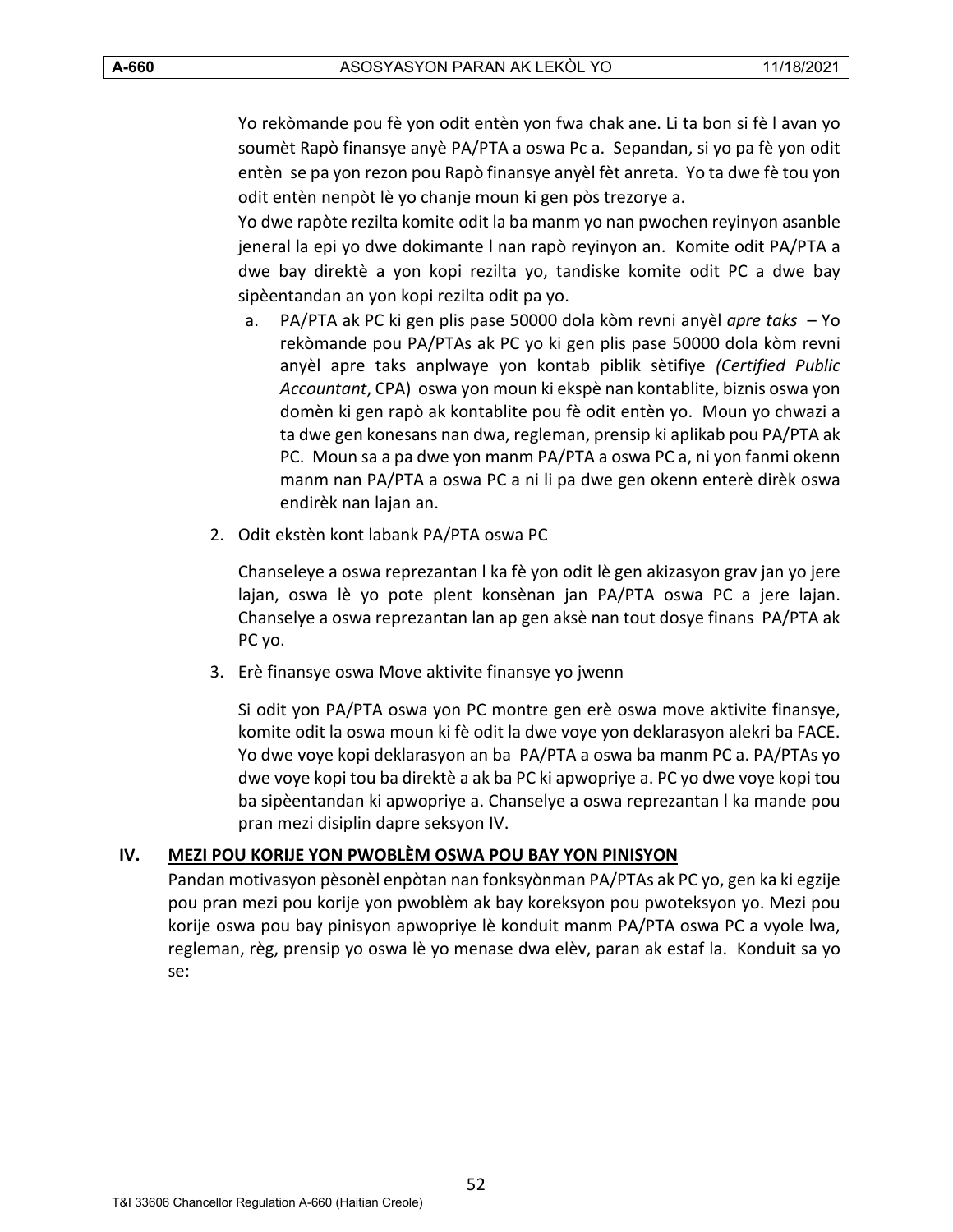Yo rekòmande pou fè yon odit entèn yon fwa chak ane. Li ta bon si fè l avan yo soumèt Rapò finansye anyè PA/PTA a oswa Pc a. Sepandan, si yo pa fè yon odit entèn se pa yon rezon pou Rapò finansye anyèl fèt anreta. Yo ta dwe fè tou yon odit entèn nenpòt lè yo chanje moun ki gen pòs trezorye a.

Yo dwe rapòte rezilta komite odit la ba manm yo nan pwochen reyinyon asanble jeneral la epi yo dwe dokimante l nan rapò reyinyon an. Komite odit PA/PTA a dwe bay direktè a yon kopi rezilta yo, tandiske komite odit PC a dwe bay sipèentandan an yon kopi rezilta odit pa yo.

- a. PA/PTA ak PC ki gen plis pase 50000 dola kòm revni anyèl *apre taks* Yo rekòmande pou PA/PTAs ak PC yo ki gen plis pase 50000 dola kòm revni anyèl apre taks anplwaye yon kontab piblik sètifiye *(Certified Public Accountant*, CPA) oswa yon moun ki ekspè nan kontablite, biznis oswa yon domèn ki gen rapò ak kontablite pou fè odit entèn yo. Moun yo chwazi a ta dwe gen konesans nan dwa, regleman, prensip ki aplikab pou PA/PTA ak PC. Moun sa a pa dwe yon manm PA/PTA a oswa PC a, ni yon fanmi okenn manm nan PA/PTA a oswa PC a ni li pa dwe gen okenn enterè dirèk oswa endirèk nan lajan an.
- 2. Odit ekstèn kont labank PA/PTA oswa PC

Chanseleye a oswa reprezantan l ka fè yon odit lè gen akizasyon grav jan yo jere lajan, oswa lè yo pote plent konsènan jan PA/PTA oswa PC a jere lajan. Chanselye a oswa reprezantan lan ap gen aksè nan tout dosye finans PA/PTA ak PC yo.

3. Erè finansye oswa Move aktivite finansye yo jwenn

Si odit yon PA/PTA oswa yon PC montre gen erè oswa move aktivite finansye, komite odit la oswa moun ki fè odit la dwe voye yon deklarasyon alekri ba FACE. Yo dwe voye kopi deklarasyon an ba PA/PTA a oswa ba manm PC a. PA/PTAs yo dwe voye kopi tou ba direktè a ak ba PC ki apwopriye a. PC yo dwe voye kopi tou ba sipèentandan ki apwopriye a. Chanselye a oswa reprezantan l ka mande pou pran mezi disiplin dapre seksyon IV.

#### <span id="page-51-0"></span>**IV. MEZI POU KORIJE YON PWOBLÈM OSWA POU BAY YON PINISYON**

Pandan motivasyon pèsonèl enpòtan nan fonksyònman PA/PTAs ak PC yo, gen ka ki egzije pou pran mezi pou korije yon pwoblèm ak bay koreksyon pou pwoteksyon yo. Mezi pou korije oswa pou bay pinisyon apwopriye lè konduit manm PA/PTA oswa PC a vyole lwa, regleman, règ, prensip yo oswa lè yo menase dwa elèv, paran ak estaf la. Konduit sa yo se: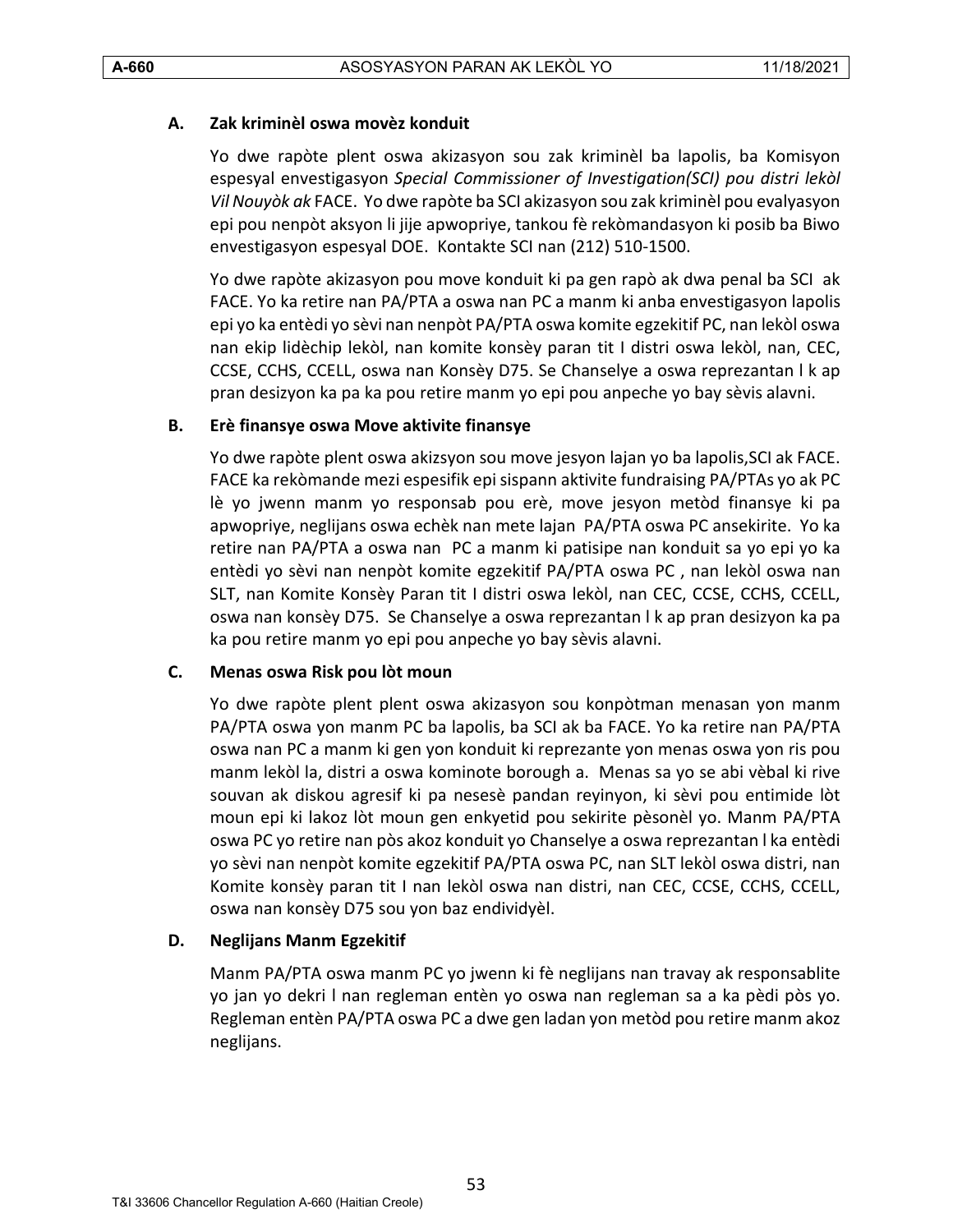#### <span id="page-52-0"></span>**A. Zak kriminèl oswa movèz konduit**

Yo dwe rapòte plent oswa akizasyon sou zak kriminèl ba lapolis, ba Komisyon espesyal envestigasyon *Special Commissioner of Investigation(SCI) pou distri lekòl Vil Nouyòk ak* FACE. Yo dwe rapòte ba SCI akizasyon sou zak kriminèl pou evalyasyon epi pou nenpòt aksyon li jije apwopriye, tankou fè rekòmandasyon ki posib ba Biwo envestigasyon espesyal DOE. Kontakte SCI nan (212) 510-1500.

Yo dwe rapòte akizasyon pou move konduit ki pa gen rapò ak dwa penal ba SCI ak FACE. Yo ka retire nan PA/PTA a oswa nan PC a manm ki anba envestigasyon lapolis epi yo ka entèdi yo sèvi nan nenpòt PA/PTA oswa komite egzekitif PC, nan lekòl oswa nan ekip lidèchip lekòl, nan komite konsèy paran tit I distri oswa lekòl, nan, CEC, CCSE, CCHS, CCELL, oswa nan Konsèy D75. Se Chanselye a oswa reprezantan l k ap pran desizyon ka pa ka pou retire manm yo epi pou anpeche yo bay sèvis alavni.

#### <span id="page-52-1"></span>**B. Erè finansye oswa Move aktivite finansye**

Yo dwe rapòte plent oswa akizsyon sou move jesyon lajan yo ba lapolis,SCI ak FACE. FACE ka rekòmande mezi espesifik epi sispann aktivite fundraising PA/PTAs yo ak PC lè yo jwenn manm yo responsab pou erè, move jesyon metòd finansye ki pa apwopriye, neglijans oswa echèk nan mete lajan PA/PTA oswa PC ansekirite. Yo ka retire nan PA/PTA a oswa nan PC a manm ki patisipe nan konduit sa yo epi yo ka entèdi yo sèvi nan nenpòt komite egzekitif PA/PTA oswa PC , nan lekòl oswa nan SLT, nan Komite Konsèy Paran tit I distri oswa lekòl, nan CEC, CCSE, CCHS, CCELL, oswa nan konsèy D75. Se Chanselye a oswa reprezantan l k ap pran desizyon ka pa ka pou retire manm yo epi pou anpeche yo bay sèvis alavni.

#### <span id="page-52-2"></span>**C. Menas oswa Risk pou lòt moun**

Yo dwe rapòte plent plent oswa akizasyon sou konpòtman menasan yon manm PA/PTA oswa yon manm PC ba lapolis, ba SCI ak ba FACE. Yo ka retire nan PA/PTA oswa nan PC a manm ki gen yon konduit ki reprezante yon menas oswa yon ris pou manm lekòl la, distri a oswa kominote borough a. Menas sa yo se abi vèbal ki rive souvan ak diskou agresif ki pa nesesè pandan reyinyon, ki sèvi pou entimide lòt moun epi ki lakoz lòt moun gen enkyetid pou sekirite pèsonèl yo. Manm PA/PTA oswa PC yo retire nan pòs akoz konduit yo Chanselye a oswa reprezantan l ka entèdi yo sèvi nan nenpòt komite egzekitif PA/PTA oswa PC, nan SLT lekòl oswa distri, nan Komite konsèy paran tit I nan lekòl oswa nan distri, nan CEC, CCSE, CCHS, CCELL, oswa nan konsèy D75 sou yon baz endividyèl.

#### <span id="page-52-3"></span>**D. Neglijans Manm Egzekitif**

Manm PA/PTA oswa manm PC yo jwenn ki fè neglijans nan travay ak responsablite yo jan yo dekri l nan regleman entèn yo oswa nan regleman sa a ka pèdi pòs yo. Regleman entèn PA/PTA oswa PC a dwe gen ladan yon metòd pou retire manm akoz neglijans.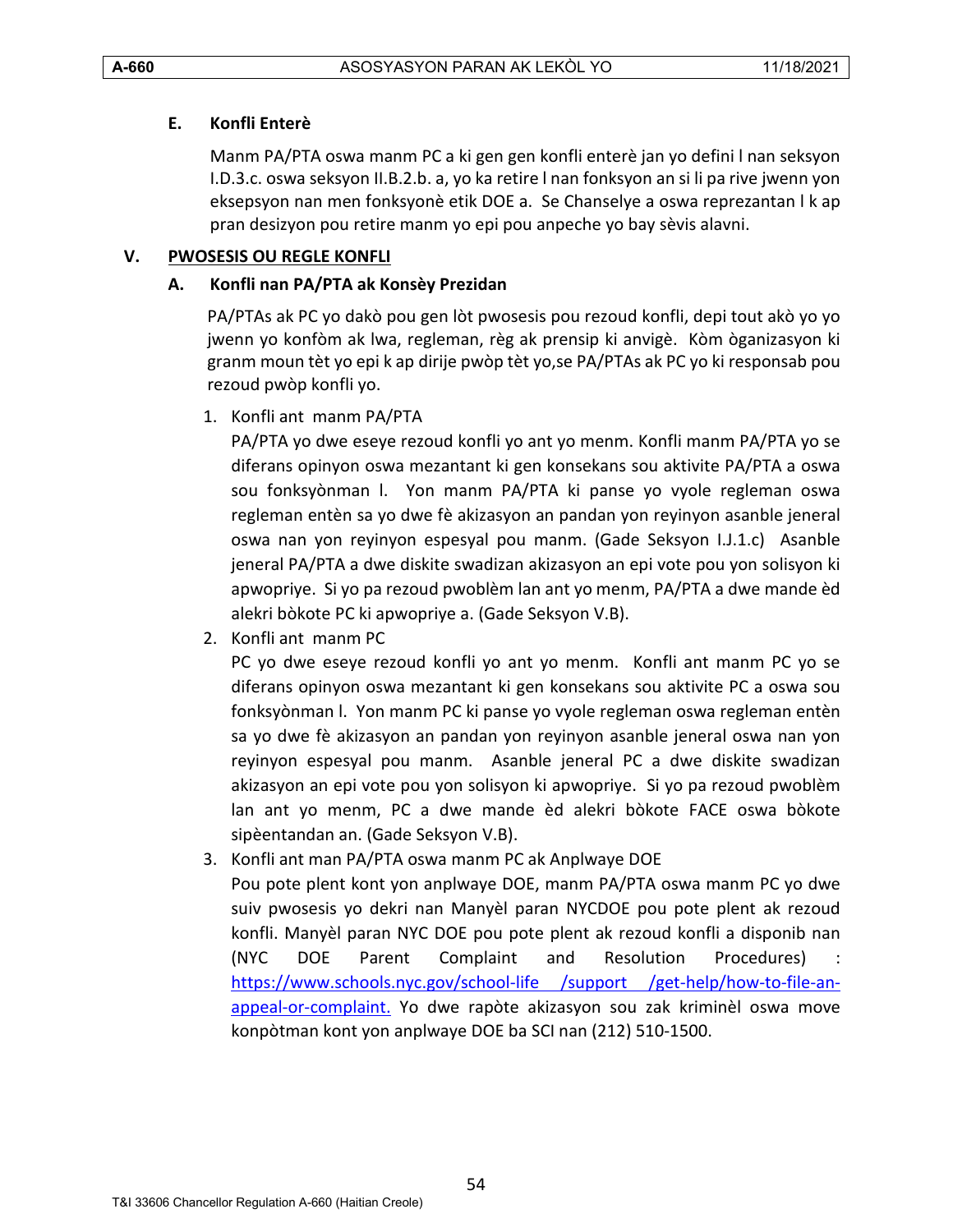# <span id="page-53-0"></span>**E. Konfli Enterè**

Manm PA/PTA oswa manm PC a ki gen gen konfli enterè jan yo defini l nan seksyon I.D.3.c. oswa seksyon II.B.2.b. a, yo ka retire l nan fonksyon an si li pa rive jwenn yon eksepsyon nan men fonksyonè etik DOE a. Se Chanselye a oswa reprezantan l k ap pran desizyon pou retire manm yo epi pou anpeche yo bay sèvis alavni.

# <span id="page-53-2"></span><span id="page-53-1"></span>**V. PWOSESIS OU REGLE KONFLI**

# **A. Konfli nan PA/PTA ak Konsèy Prezidan**

PA/PTAs ak PC yo dakò pou gen lòt pwosesis pou rezoud konfli, depi tout akò yo yo jwenn yo konfòm ak lwa, regleman, règ ak prensip ki anvigè. Kòm òganizasyon ki granm moun tèt yo epi k ap dirije pwòp tèt yo,se PA/PTAs ak PC yo ki responsab pou rezoud pwòp konfli yo.

1. Konfli ant manm PA/PTA

PA/PTA yo dwe eseye rezoud konfli yo ant yo menm. Konfli manm PA/PTA yo se diferans opinyon oswa mezantant ki gen konsekans sou aktivite PA/PTA a oswa sou fonksyònman l. Yon manm PA/PTA ki panse yo vyole regleman oswa regleman entèn sa yo dwe fè akizasyon an pandan yon reyinyon asanble jeneral oswa nan yon reyinyon espesyal pou manm. (Gade Seksyon I.J.1.c) Asanble jeneral PA/PTA a dwe diskite swadizan akizasyon an epi vote pou yon solisyon ki apwopriye. Si yo pa rezoud pwoblèm lan ant yo menm, PA/PTA a dwe mande èd alekri bòkote PC ki apwopriye a. (Gade Seksyon V.B).

2. Konfli ant manm PC

PC yo dwe eseye rezoud konfli yo ant yo menm. Konfli ant manm PC yo se diferans opinyon oswa mezantant ki gen konsekans sou aktivite PC a oswa sou fonksyònman l. Yon manm PC ki panse yo vyole regleman oswa regleman entèn sa yo dwe fè akizasyon an pandan yon reyinyon asanble jeneral oswa nan yon reyinyon espesyal pou manm. Asanble jeneral PC a dwe diskite swadizan akizasyon an epi vote pou yon solisyon ki apwopriye. Si yo pa rezoud pwoblèm lan ant yo menm, PC a dwe mande èd alekri bòkote FACE oswa bòkote sipèentandan an. (Gade Seksyon V.B).

3. Konfli ant man PA/PTA oswa manm PC ak Anplwaye DOE

Pou pote plent kont yon anplwaye DOE, manm PA/PTA oswa manm PC yo dwe suiv pwosesis yo dekri nan Manyèl paran NYCDOE pou pote plent ak rezoud konfli. Manyèl paran NYC DOE pou pote plent ak rezoud konfli a disponib nan (NYC DOE Parent Complaint and Resolution Procedures) [https://www.schools.nyc.gov/school-life /support /get-help/how-to-file-an](https://www.schools.nyc.gov/school-life%20/support%20/get-help/how-to-file-an-appeal-or-complaint)[appeal-or-complaint.](https://www.schools.nyc.gov/school-life%20/support%20/get-help/how-to-file-an-appeal-or-complaint) Yo dwe rapòte akizasyon sou zak kriminèl oswa move konpòtman kont yon anplwaye DOE ba SCI nan (212) 510-1500.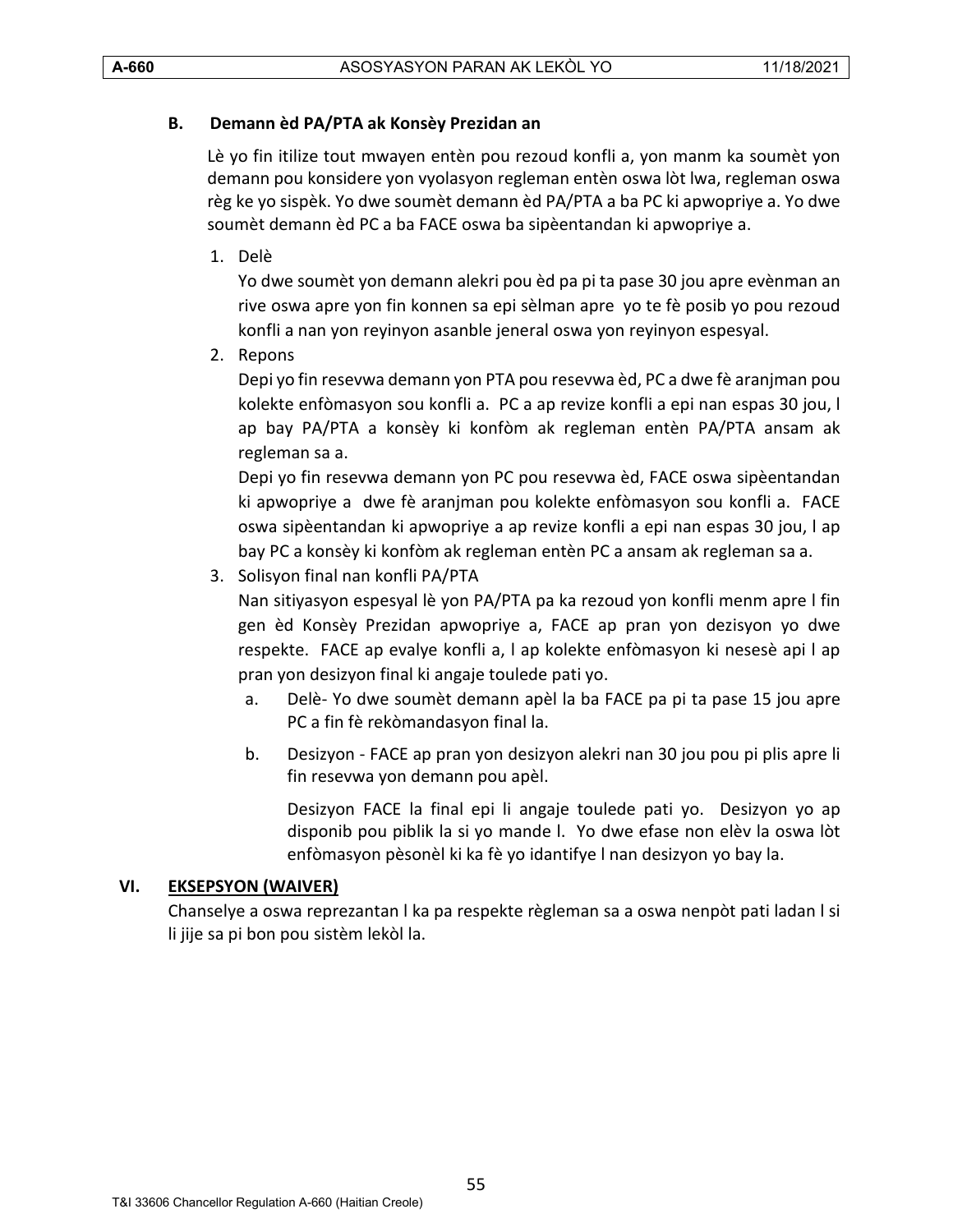# <span id="page-54-0"></span>**B. Demann èd PA/PTA ak Konsèy Prezidan an**

Lè yo fin itilize tout mwayen entèn pou rezoud konfli a, yon manm ka soumèt yon demann pou konsidere yon vyolasyon regleman entèn oswa lòt lwa, regleman oswa règ ke yo sispèk. Yo dwe soumèt demann èd PA/PTA a ba PC ki apwopriye a. Yo dwe soumèt demann èd PC a ba FACE oswa ba sipèentandan ki apwopriye a.

1. Delè

Yo dwe soumèt yon demann alekri pou èd pa pi ta pase 30 jou apre evènman an rive oswa apre yon fin konnen sa epi sèlman apre yo te fè posib yo pou rezoud konfli a nan yon reyinyon asanble jeneral oswa yon reyinyon espesyal.

2. Repons

Depi yo fin resevwa demann yon PTA pou resevwa èd, PC a dwe fè aranjman pou kolekte enfòmasyon sou konfli a. PC a ap revize konfli a epi nan espas 30 jou, l ap bay PA/PTA a konsèy ki konfòm ak regleman entèn PA/PTA ansam ak regleman sa a.

Depi yo fin resevwa demann yon PC pou resevwa èd, FACE oswa sipèentandan ki apwopriye a dwe fè aranjman pou kolekte enfòmasyon sou konfli a. FACE oswa sipèentandan ki apwopriye a ap revize konfli a epi nan espas 30 jou, l ap bay PC a konsèy ki konfòm ak regleman entèn PC a ansam ak regleman sa a.

3. Solisyon final nan konfli PA/PTA

Nan sitiyasyon espesyal lè yon PA/PTA pa ka rezoud yon konfli menm apre l fin gen èd Konsèy Prezidan apwopriye a, FACE ap pran yon dezisyon yo dwe respekte. FACE ap evalye konfli a, l ap kolekte enfòmasyon ki nesesè api l ap pran yon desizyon final ki angaje toulede pati yo.

- a. Delè- Yo dwe soumèt demann apèl la ba FACE pa pi ta pase 15 jou apre PC a fin fè rekòmandasyon final la.
- b. Desizyon FACE ap pran yon desizyon alekri nan 30 jou pou pi plis apre li fin resevwa yon demann pou apèl.

Desizyon FACE la final epi li angaje toulede pati yo. Desizyon yo ap disponib pou piblik la si yo mande l. Yo dwe efase non elèv la oswa lòt enfòmasyon pèsonèl ki ka fè yo idantifye l nan desizyon yo bay la.

# <span id="page-54-1"></span>**VI. EKSEPSYON (WAIVER)**

Chanselye a oswa reprezantan l ka pa respekte règleman sa a oswa nenpòt pati ladan l si li jije sa pi bon pou sistèm lekòl la.